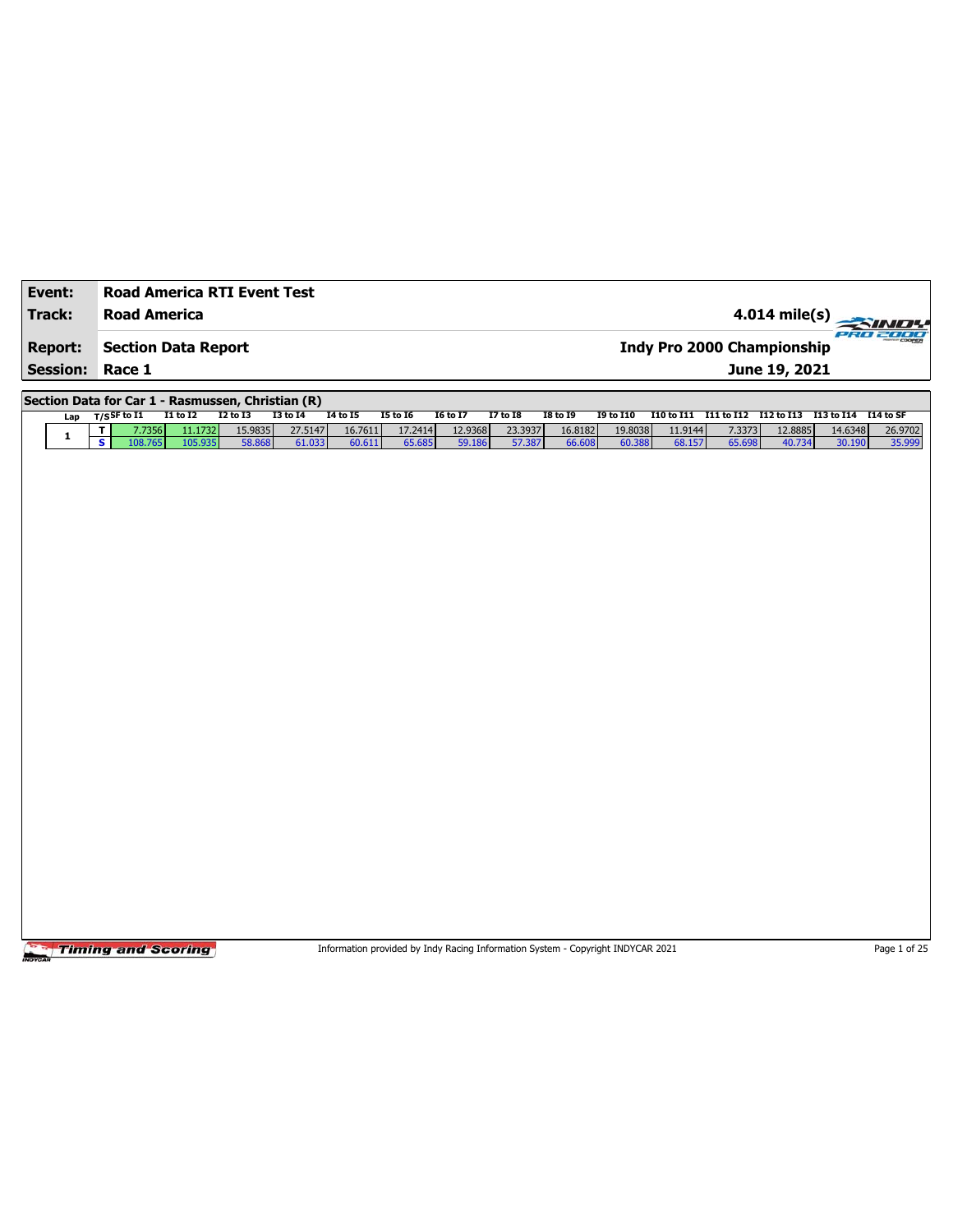| Event:          | <b>Road America RTI Event Test</b>                |                            |                            |                            |                            |                                                                                 |                            |                            |                            |                             |         |                                                                 |               |         |              |
|-----------------|---------------------------------------------------|----------------------------|----------------------------|----------------------------|----------------------------|---------------------------------------------------------------------------------|----------------------------|----------------------------|----------------------------|-----------------------------|---------|-----------------------------------------------------------------|---------------|---------|--------------|
| <b>Track:</b>   | <b>Road America</b>                               |                            |                            |                            |                            |                                                                                 |                            |                            |                            |                             |         |                                                                 | 4.014 mile(s) |         |              |
| <b>Report:</b>  | <b>Section Data Report</b>                        |                            |                            |                            |                            |                                                                                 |                            |                            |                            |                             |         | <b>Indy Pro 2000 Championship</b>                               |               | 51 T    |              |
| <b>Session:</b> | Race 1                                            |                            |                            |                            |                            |                                                                                 |                            |                            |                            |                             |         |                                                                 | June 19, 2021 |         |              |
|                 | Section Data for Car 1 - Rasmussen, Christian (R) |                            |                            |                            |                            |                                                                                 |                            |                            |                            |                             |         |                                                                 |               |         |              |
| Lap             | $T/S$ SF to I1<br>7.7356<br>Τ                     | <b>I1 to I2</b><br>11.1732 | <b>I2 to I3</b><br>15.9835 | <b>I3 to 14</b><br>27.5147 | <b>I4 to 15</b><br>16.7611 | <b>I5 to 16</b><br>17.2414                                                      | <b>I6 to I7</b><br>12.9368 | <b>I7 to I8</b><br>23.3937 | <b>I8 to 19</b><br>16.8182 | <b>I9 to I10</b><br>19.8038 | 11.9144 | I10 to I11 I11 to I12 I12 to I13 I13 to I14 I14 to SF<br>7.3373 | 12.8885       | 14.6348 | 26.9702      |
| 1               | $\overline{\mathbf{s}}$<br>108.765                | 105.935                    | 58.868                     | 61.033                     | 60.611                     | 65.685                                                                          | 59.186                     | 57.387                     | 66.608                     | 60.388                      | 68.157  | 65.698                                                          | 40.734        | 30.190  | 35.999       |
|                 |                                                   |                            |                            |                            |                            |                                                                                 |                            |                            |                            |                             |         |                                                                 |               |         |              |
|                 |                                                   |                            |                            |                            |                            |                                                                                 |                            |                            |                            |                             |         |                                                                 |               |         |              |
|                 |                                                   |                            |                            |                            |                            |                                                                                 |                            |                            |                            |                             |         |                                                                 |               |         |              |
|                 |                                                   |                            |                            |                            |                            |                                                                                 |                            |                            |                            |                             |         |                                                                 |               |         |              |
|                 |                                                   |                            |                            |                            |                            |                                                                                 |                            |                            |                            |                             |         |                                                                 |               |         |              |
|                 |                                                   |                            |                            |                            |                            |                                                                                 |                            |                            |                            |                             |         |                                                                 |               |         |              |
|                 |                                                   |                            |                            |                            |                            |                                                                                 |                            |                            |                            |                             |         |                                                                 |               |         |              |
|                 |                                                   |                            |                            |                            |                            |                                                                                 |                            |                            |                            |                             |         |                                                                 |               |         |              |
|                 |                                                   |                            |                            |                            |                            |                                                                                 |                            |                            |                            |                             |         |                                                                 |               |         |              |
|                 |                                                   |                            |                            |                            |                            |                                                                                 |                            |                            |                            |                             |         |                                                                 |               |         |              |
|                 |                                                   |                            |                            |                            |                            |                                                                                 |                            |                            |                            |                             |         |                                                                 |               |         |              |
|                 |                                                   |                            |                            |                            |                            |                                                                                 |                            |                            |                            |                             |         |                                                                 |               |         |              |
|                 |                                                   |                            |                            |                            |                            |                                                                                 |                            |                            |                            |                             |         |                                                                 |               |         |              |
|                 |                                                   |                            |                            |                            |                            |                                                                                 |                            |                            |                            |                             |         |                                                                 |               |         |              |
|                 |                                                   |                            |                            |                            |                            |                                                                                 |                            |                            |                            |                             |         |                                                                 |               |         |              |
|                 |                                                   |                            |                            |                            |                            |                                                                                 |                            |                            |                            |                             |         |                                                                 |               |         |              |
|                 |                                                   |                            |                            |                            |                            |                                                                                 |                            |                            |                            |                             |         |                                                                 |               |         |              |
|                 |                                                   |                            |                            |                            |                            |                                                                                 |                            |                            |                            |                             |         |                                                                 |               |         |              |
|                 |                                                   |                            |                            |                            |                            |                                                                                 |                            |                            |                            |                             |         |                                                                 |               |         |              |
|                 |                                                   |                            |                            |                            |                            |                                                                                 |                            |                            |                            |                             |         |                                                                 |               |         |              |
|                 |                                                   |                            |                            |                            |                            |                                                                                 |                            |                            |                            |                             |         |                                                                 |               |         |              |
|                 | <b>Timing and Scoring</b>                         |                            |                            |                            |                            | Information provided by Indy Racing Information System - Copyright INDYCAR 2021 |                            |                            |                            |                             |         |                                                                 |               |         | Page 1 of 25 |
|                 |                                                   |                            |                            |                            |                            |                                                                                 |                            |                            |                            |                             |         |                                                                 |               |         |              |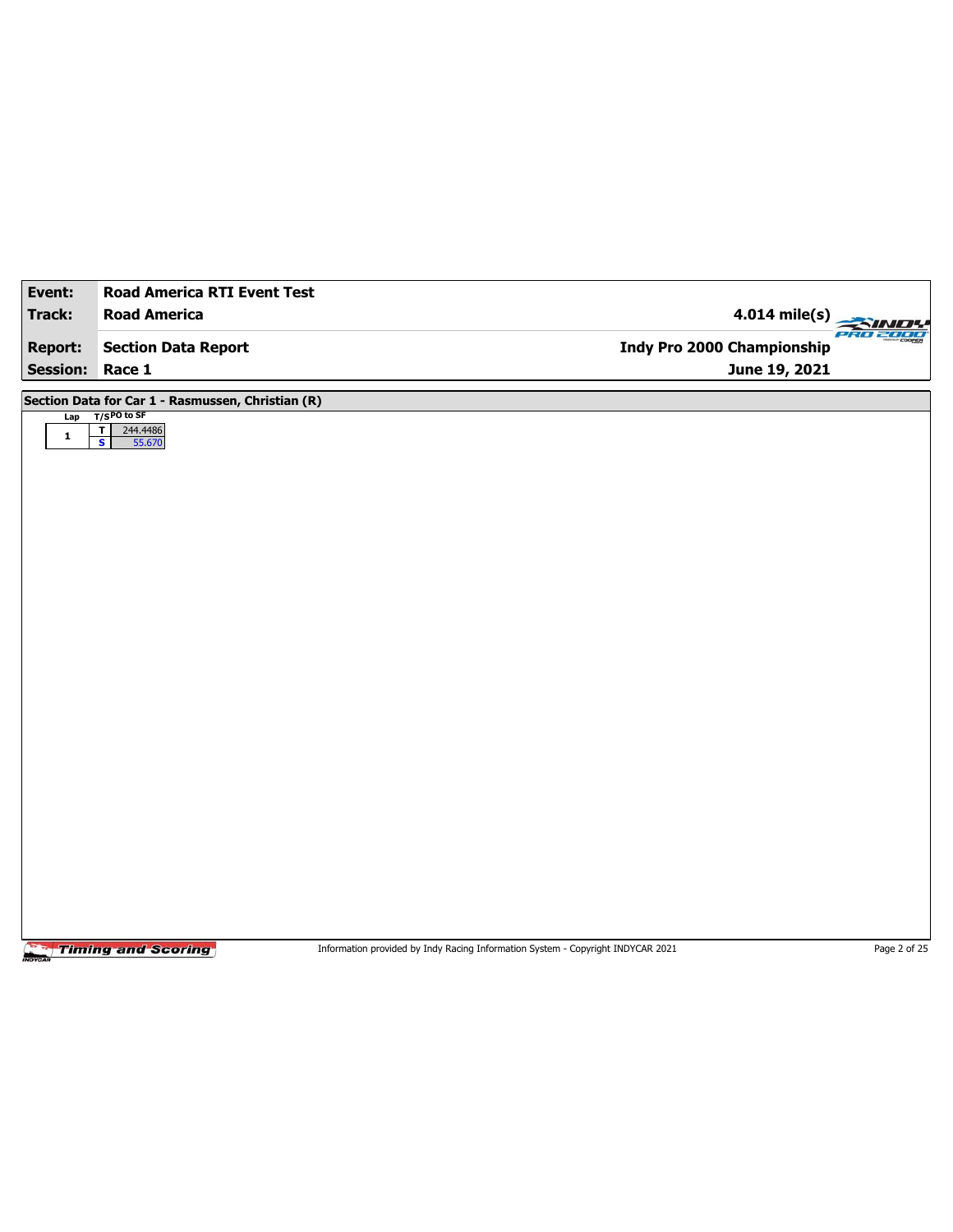| Event:              | <b>Road America RTI Event Test</b>                |                                                                                 |              |
|---------------------|---------------------------------------------------|---------------------------------------------------------------------------------|--------------|
| Track:              | <b>Road America</b>                               | 4.014 mile(s)                                                                   |              |
| <b>Report:</b>      | <b>Section Data Report</b>                        | <b>Indy Pro 2000 Championship</b>                                               | 20 2000      |
| Session: Race 1     |                                                   | June 19, 2021                                                                   |              |
|                     | Section Data for Car 1 - Rasmussen, Christian (R) |                                                                                 |              |
| Lap<br>$\mathbf{1}$ | $T/SPO$ to SF<br>T.<br>244.4486                   |                                                                                 |              |
|                     | $\overline{\mathbf{s}}$<br>55.670                 |                                                                                 |              |
|                     |                                                   |                                                                                 |              |
|                     |                                                   |                                                                                 |              |
|                     |                                                   |                                                                                 |              |
|                     |                                                   |                                                                                 |              |
|                     |                                                   |                                                                                 |              |
|                     |                                                   |                                                                                 |              |
|                     |                                                   |                                                                                 |              |
|                     |                                                   |                                                                                 |              |
|                     |                                                   |                                                                                 |              |
|                     |                                                   |                                                                                 |              |
|                     |                                                   |                                                                                 |              |
|                     |                                                   |                                                                                 |              |
|                     |                                                   |                                                                                 |              |
|                     |                                                   |                                                                                 |              |
|                     |                                                   |                                                                                 |              |
|                     |                                                   |                                                                                 |              |
|                     |                                                   |                                                                                 |              |
|                     | <b>Timing and Scoring</b>                         | Information provided by Indy Racing Information System - Copyright INDYCAR 2021 | Page 2 of 25 |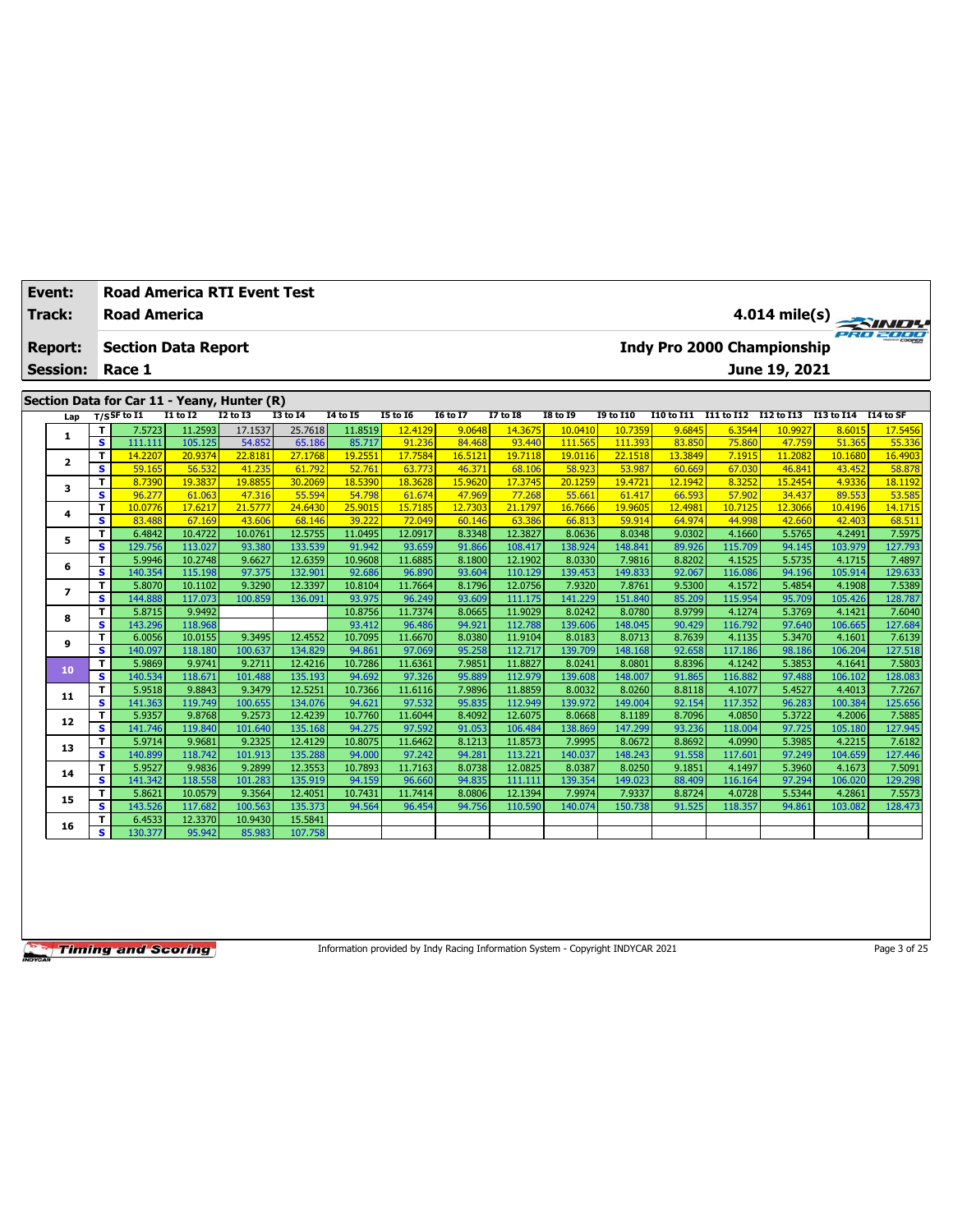| Event:          |        |                            |                    | <b>Road America RTI Event Test</b>          |          |                   |                   |                  |                    |                   |                   |                  |                   |                                   |                   |                   |
|-----------------|--------|----------------------------|--------------------|---------------------------------------------|----------|-------------------|-------------------|------------------|--------------------|-------------------|-------------------|------------------|-------------------|-----------------------------------|-------------------|-------------------|
| Track:          |        | <b>Road America</b>        |                    |                                             |          |                   |                   |                  |                    |                   |                   |                  |                   |                                   |                   | $4.014$ mile(s)   |
| <b>Report:</b>  |        | <b>Section Data Report</b> |                    |                                             |          |                   |                   |                  |                    |                   |                   |                  |                   | <b>Indy Pro 2000 Championship</b> |                   |                   |
| <b>Session:</b> |        | Race 1                     |                    |                                             |          |                   |                   |                  |                    |                   |                   |                  |                   | June 19, 2021                     |                   |                   |
|                 |        |                            |                    | Section Data for Car 11 - Yeany, Hunter (R) |          |                   |                   |                  |                    |                   |                   |                  |                   |                                   |                   |                   |
| Lap             |        | $T/S$ SF to I1             | $I1$ to $I2$       | $12$ to $13$                                | 13 to 14 | <b>I4 to I5</b>   | 15 to 16          | <b>16 to 17</b>  | <b>I7 to I8</b>    | <b>I8 to 19</b>   | <b>19 to I10</b>  | I10 to I11       | I11 to I12        | I12 to I13                        | I13 to I14        | I14 to SF         |
|                 | T      | 7.5723                     | 11.2593            | 17.1537                                     | 25.7618  | 11.8519           | 12.4129           | 9.0648           | 14.3675            | 10.0410           | 10.7359           | 9.6845           | 6.3544            | 10.9927                           | 8.6015            | 17.5456           |
| 1               | s      | 111.111                    | 105.125            | 54.852                                      | 65.186   | 85.717            | 91.236            | 84.468           | 93.440             | 111.565           | 111.393           | 83.850           | 75.860            | 47.759                            | 51.365            | 55.336            |
|                 | T      | 14.2207                    | 20,9374            | 22,8181                                     | 27.1768  | 19.2551           | 17.7584           | 16.5121          | 19.7118            | 19.0116           | 22.1518           | 13.3849          | 7.1915            | 11,2082                           | 10.1680           | 16.4903           |
| 2               | s      | 59.165                     | 56.532             | 41.235                                      | 61.792   | 52.761            | 63.773            | 46.371           | 68.106             | 58.923            | 53.987            | 60.669           | 67.030            | 46.841                            | 43.452            | 58.878            |
|                 | T      | 8.7390                     | 19.3837            | 19.8855                                     | 30,2069  | 18.5390           | 18.3628           | 15.9620          | 17.3745            | 20.1259           | 19.4721           | 12.1942          | 8.3252            | 15.2454                           | 4.9336            | 18.1192           |
| 3               | s      | 96.277                     | 61.063             | 47.316                                      | 55.594   | 54.798            | 61.674            | 47.969           | 77.268             | 55.661            | 61.417            | 66.593           | 57,902            | 34.437                            | 89.553            | 53.585            |
| 4               | T      | 10.0776                    | 17.6217            | 21,5777                                     | 24,6430  | 25,9015           | 15,7185           | 12.7303          | 21.1797            | 16.7666           | 19.9605           | 12,4981          | 10.7125           | 12,3066                           | 10.4196           | 14.1715           |
|                 | s      | 83.488                     | 67.169             | 43.606                                      | 68.146   | 39.222            | 72.049            | 60.146           | 63.386             | 66.813            | 59.914            | 64.974           | 44.998            | 42.660                            | 42.403            | 68.511            |
| 5               | T      | 6.4842                     | 10.4722            | 10.0761                                     | 12.5755  | 11.0495           | 12.0917           | 8.3348           | 12.3827            | 8.0636            | 8.0348            | 9.0302           | 4.1660            | 5.5765                            | 4.2491            | 7.5975            |
|                 | s      | 129.756                    | 113.027            | 93.380                                      | 133.539  | 91.942            | 93.659            | 91.866           | 108.417            | 138.924           | 148.841           | 89.926           | 115.709           | 94.145                            | 103.979           | 127.793           |
| 6               | T      | 5.9946                     | 10.2748            | 9.6627                                      | 12.6359  | 10.9608           | 11.6885           | 8.1800           | 12.1902            | 8.0330            | 7.9816            | 8.8202           | 4.1525            | 5.5735                            | 4.1715            | 7.4897            |
|                 | s      | 140.354                    | 115.198            | 97.375                                      | 132.901  | 92.686            | 96.890            | 93.604           | 110.129            | 139.453           | 149.833           | 92.067           | 116.086           | 94.196                            | 105.914           | 129.633           |
| 7               | T      | 5.8070                     | 10.1102            | 9.3290                                      | 12.3397  | 10.8104           | 11.7664           | 8.1796           | 12.0756            | 7.9320            | 7.8761            | 9.5300           | 4.1572            | 5.4854                            | 4.1908            | 7.5389            |
|                 | s      | 144.888                    | 117.073            | 100.859                                     | 136.091  | 93.975            | 96.249            | 93.609           | 111.175            | 141.229           | 151.840           | 85.209           | 115.954           | 95.709                            | 105.426           | 128.787           |
| 8               | T      | 5.8715                     | 9.9492             |                                             |          | 10.8756           | 11.7374           | 8.0665           | 11.9029<br>112.788 | 8.0242            | 8.0780            | 8.9799           | 4.1274            | 5.3769                            | 4.1421            | 7.6040<br>127.684 |
|                 | s<br>T | 143.296<br>6.0056          | 118.968<br>10.0155 | 9.3495                                      | 12.4552  | 93.412<br>10.7095 | 96.486<br>11.6670 | 94.921<br>8.0380 | 11.9104            | 139.606<br>8.0183 | 148.045<br>8.0713 | 90.429<br>8.7639 | 116.792<br>4.1135 | 97.640<br>5.3470                  | 106.665<br>4.1601 | 7.6139            |
| 9               | s      | 140.097                    | 118.180            | 100.637                                     | 134.829  | 94.861            | 97.069            | 95.258           | 112,717            | 139.709           | 148.168           | 92.658           | 117.186           | 98.186                            | 106.204           | 127.518           |
|                 | T      | 5.9869                     | 9.9741             | 9.2711                                      | 12.4216  | 10.7286           | 11.6361           | 7.9851           | 11.8827            | 8.0241            | 8.0801            | 8.8396           | 4.1242            | 5.3853                            | 4.1641            | 7.5803            |
| 10              | s      | 140.534                    | 118.671            | 101.488                                     | 135.193  | 94.692            | 97.326            | 95.889           | 112.979            | 139.608           | 148.007           | 91.865           | 116.882           | 97.488                            | 106.102           | 128.083           |
|                 | T      | 5.9518                     | 9.8843             | 9.3479                                      | 12.5251  | 10.7366           | 11.6116           | 7.9896           | 11.8859            | 8.0032            | 8.0260            | 8.8118           | 4.1077            | 5.4527                            | 4.4013            | 7.7267            |
| 11              | s      | 141.363                    | 119.749            | 100.655                                     | 134.076  | 94.621            | 97.532            | 95.835           | 112.949            | 139.972           | 149.004           | 92.154           | 117.352           | 96.283                            | 100.384           | 125.656           |
|                 | T      | 5.9357                     | 9.8768             | 9.2573                                      | 12.4239  | 10.7760           | 11.6044           | 8.4092           | 12.6075            | 8.0668            | 8.1189            | 8.7096           | 4.0850            | 5.3722                            | 4.2006            | 7.5885            |
| 12              | s      | 141.746                    | 119.840            | 101.640                                     | 135.168  | 94.275            | 97.592            | 91.053           | 106.484            | 138.869           | 147.299           | 93.236           | 118.004           | 97.725                            | 105.180           | 127.945           |
| 13              | T      | 5.9714                     | 9.9681             | 9.2325                                      | 12.4129  | 10.8075           | 11.6462           | 8.1213           | 11.8573            | 7.9995            | 8.0672            | 8.8692           | 4.0990            | 5.3985                            | 4.2215            | 7.6182            |
|                 | s      | 140.899                    | 118.742            | 101.913                                     | 135,288  | 94.000            | 97.242            | 94.281           | 113,221            | 140.037           | 148.243           | 91.558           | 117.601           | 97.249                            | 104.659           | 127.446           |
| 14              | T      | 5.9527                     | 9.9836             | 9.2899                                      | 12.3553  | 10.7893           | 11.7163           | 8.0738           | 12.0825            | 8.0387            | 8.0250            | 9.1851           | 4.1497            | 5.3960                            | 4.1673            | 7.5091            |
|                 | s      | 141.342                    | 118.558            | 101.283                                     | 135.919  | 94.159            | 96.660            | 94.835           | 111.111            | 139.354           | 149.023           | 88.409           | 116.164           | 97.294                            | 106.020           | 129.298           |
| 15              | т      | 5.8621                     | 10.0579            | 9.3564                                      | 12.4051  | 10.7431           | 11.7414           | 8.0806           | 12.1394            | 7.9974            | 7.9337            | 8.8724           | 4.0728            | 5.5344                            | 4.2861            | 7.5573            |
|                 | s      | 143.526                    | 117.682            | 100.563                                     | 135.373  | 94.564            | 96.454            | 94.756           | 110.590            | 140.074           | 150.738           | 91.525           | 118.357           | 94.861                            | 103.082           | 128.473           |
| 16              | т      | 6.4533                     | 12.3370            | 10.9430                                     | 15.5841  |                   |                   |                  |                    |                   |                   |                  |                   |                                   |                   |                   |
|                 | s      | 130.377                    | 95.942             | 85.983                                      | 107.758  |                   |                   |                  |                    |                   |                   |                  |                   |                                   |                   |                   |

Information provided by Indy Racing Information System - Copyright INDYCAR 2021 Page 3 of 25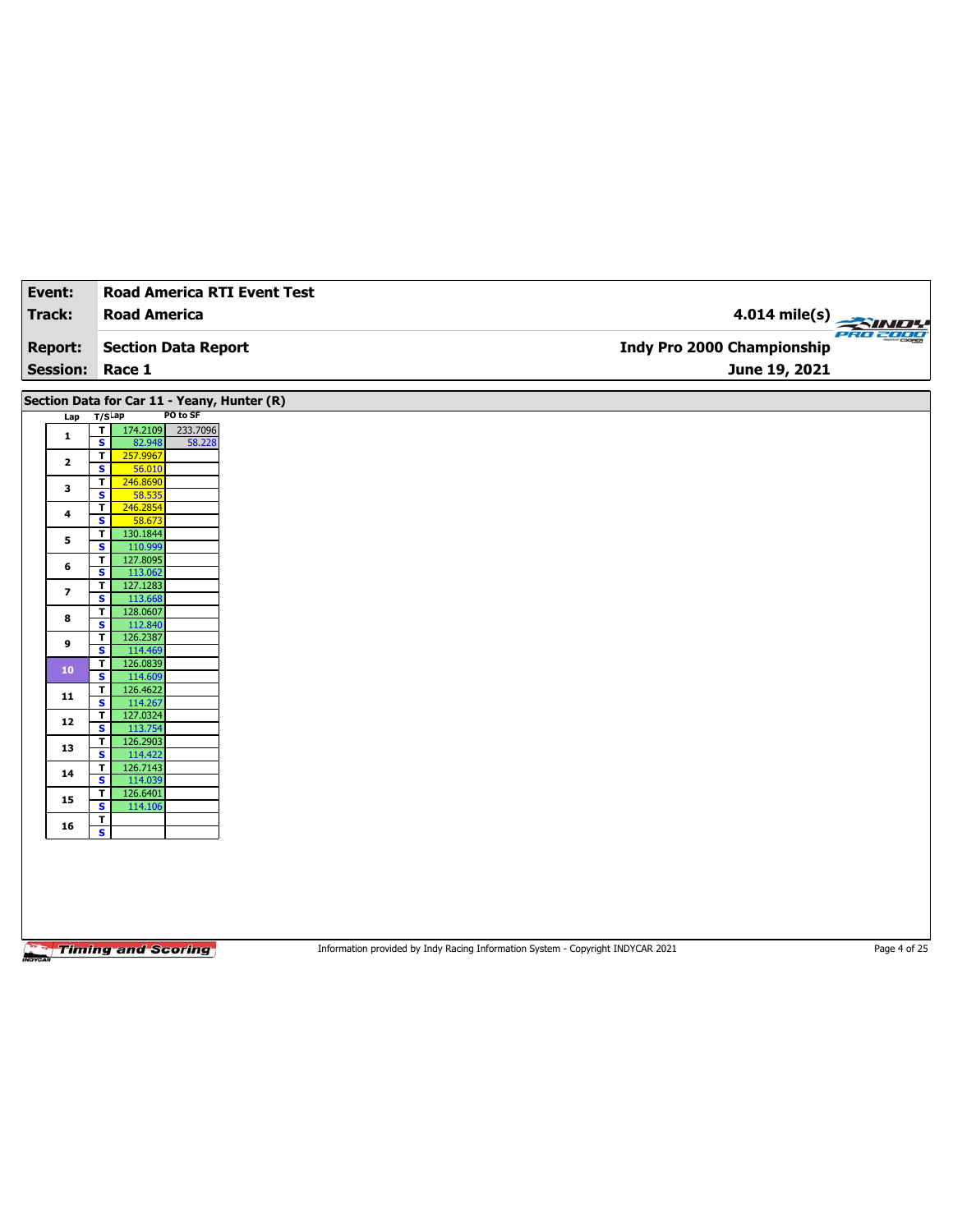| Event:                 | <b>Road America RTI Event Test</b>                                                 |                            |
|------------------------|------------------------------------------------------------------------------------|----------------------------|
| Track:                 | <b>Road America</b>                                                                | 4.014 mile(s)              |
|                        |                                                                                    | PRO 2000                   |
| <b>Report:</b>         | <b>Section Data Report</b>                                                         | Indy Pro 2000 Championship |
| <b>Session: Race 1</b> |                                                                                    | June 19, 2021              |
|                        | Section Data for Car 11 - Yeany, Hunter (R)                                        |                            |
| Lap                    | PO to SF<br>$T/S$ Lap                                                              |                            |
| $\mathbf{1}$           | T.<br>174.2109<br>233.7096                                                         |                            |
|                        | $\overline{\mathbf{s}}$<br>82.948<br>58.228<br>$\overline{\mathsf{r}}$<br>257.9967 |                            |
| $\mathbf{2}$           | $\overline{\mathbf{s}}$<br>56.010                                                  |                            |
| 3                      | T<br>246.8690                                                                      |                            |
|                        | $\overline{\mathbf{s}}$<br>58.535<br>T<br>246.2854                                 |                            |
| 4                      | S<br>58.673                                                                        |                            |
| 5                      | 130.1844<br>T                                                                      |                            |
|                        | $\overline{\mathbf{s}}$<br>110.999<br>127.8095<br>T                                |                            |
| 6                      | $\overline{\mathbf{s}}$<br>113.062                                                 |                            |
| 7                      | 127.1283<br>$\mathbf T$                                                            |                            |
|                        | $\overline{\mathbf{s}}$<br>113.668<br>128.0607<br>T                                |                            |
| 8                      | S<br>112.840                                                                       |                            |
| 9                      | 126.2387<br>T                                                                      |                            |
|                        | $\overline{\mathbf{s}}$<br>114.469<br>126.0839<br>T                                |                            |
| 10 <sub>1</sub>        | $\overline{\mathbf{s}}$<br>114.609                                                 |                            |
| 11                     | 126.4622<br>T                                                                      |                            |
|                        | $\overline{\mathbf{s}}$<br>114.267<br>127.0324<br>T.                               |                            |
| 12                     | $\overline{\mathbf{s}}$<br>113.754                                                 |                            |
| 13                     | $\overline{\mathbf{r}}$<br>126.2903                                                |                            |
|                        | $\overline{\mathbf{s}}$<br>114.422<br>126.7143<br>T.                               |                            |
| 14                     | S<br>114.039                                                                       |                            |
| 15                     | 126.6401<br>T                                                                      |                            |
|                        | $\overline{\mathbf{s}}$<br>114.106<br>T                                            |                            |
| 16                     | $\overline{\mathbf{s}}$                                                            |                            |
|                        |                                                                                    |                            |
|                        |                                                                                    |                            |
|                        |                                                                                    |                            |
|                        |                                                                                    |                            |
|                        |                                                                                    |                            |
|                        |                                                                                    |                            |

Information provided by Indy Racing Information System - Copyright INDYCAR 2021 Page 4 of 25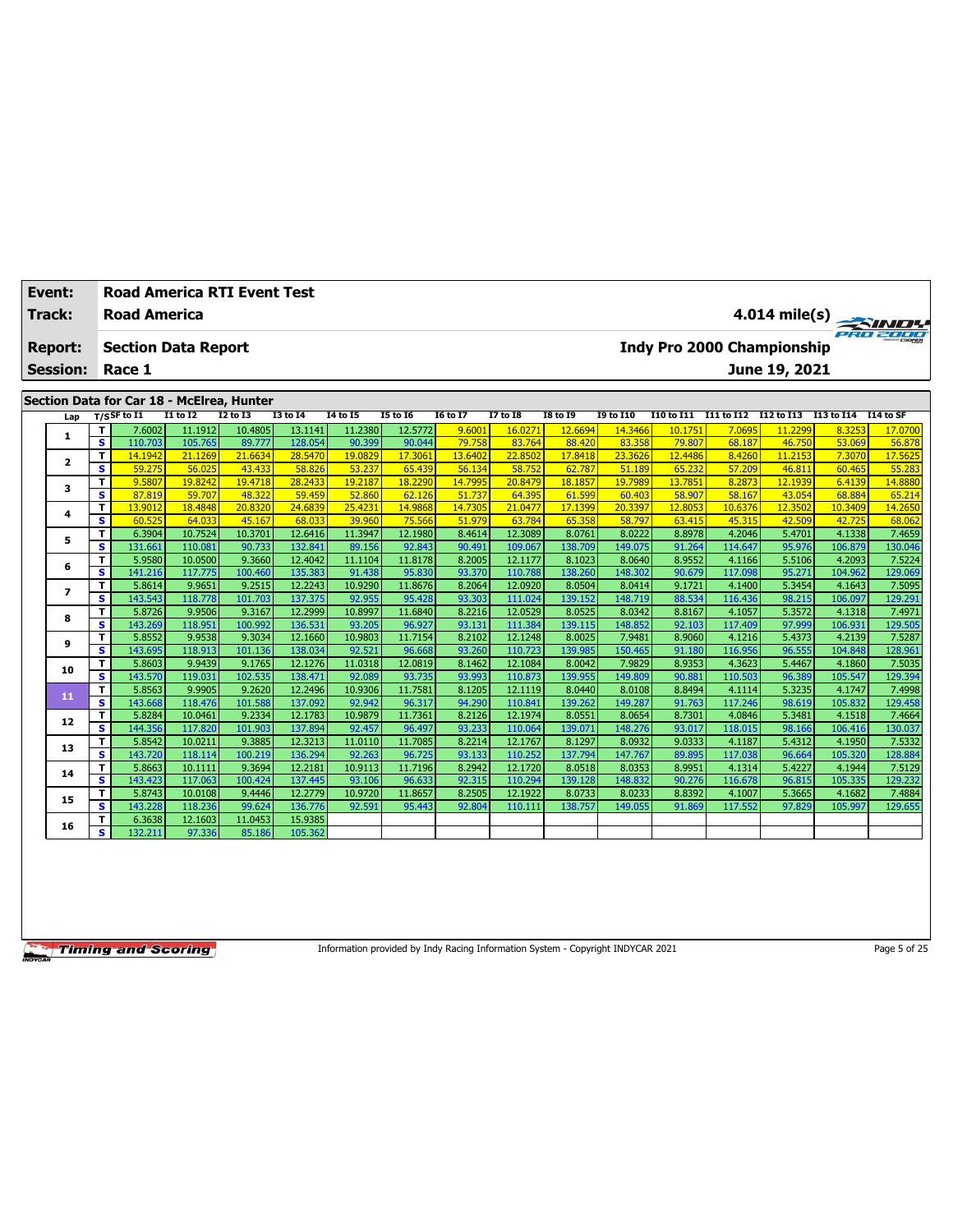| Event:          |        | <b>Road America RTI Event Test</b>                            |                   |                   |                    |                   |                   |                  |                    |                   |                   |                  |                   |                                             |                   |                   |
|-----------------|--------|---------------------------------------------------------------|-------------------|-------------------|--------------------|-------------------|-------------------|------------------|--------------------|-------------------|-------------------|------------------|-------------------|---------------------------------------------|-------------------|-------------------|
| Track:          |        | <b>Road America</b>                                           |                   |                   |                    |                   |                   |                  |                    |                   |                   |                  |                   |                                             |                   | $4.014$ mile(s)   |
| <b>Report:</b>  |        | <b>Section Data Report</b>                                    |                   |                   |                    |                   |                   |                  |                    |                   |                   |                  |                   | <b>Indy Pro 2000 Championship</b>           |                   |                   |
| <b>Session:</b> |        | Race 1                                                        |                   |                   |                    |                   |                   |                  |                    |                   |                   |                  |                   | June 19, 2021                               |                   |                   |
|                 |        |                                                               |                   |                   |                    |                   |                   |                  |                    |                   |                   |                  |                   |                                             |                   |                   |
|                 |        | Section Data for Car 18 - McElrea, Hunter<br>$T/S$ SF to $I1$ | $I1$ to $I2$      | $I2$ to $I3$      | <b>I3 to 14</b>    | <b>I4 to I5</b>   | <b>I5 to 16</b>   | 16 to 17         | <b>I7 to I8</b>    | <b>I8 to 19</b>   | I9 to I10         |                  |                   | I10 to I11 I11 to I12 I12 to I13 I13 to I14 |                   | I14 to SF         |
| Lap             | T      | 7.6002                                                        | 11.1912           | 10.4805           | 13.1141            | 11.2380           | 12.5772           | 9.6001           | 16.0271            | 12,6694           | 14.3466           | 10.1751          | 7.0695            | 11,2299                                     | 8.3253            | 17.0700           |
| 1               | s      | 110.703                                                       | 105.765           | 89.777            | 128.054            | 90.399            | 90.044            | 79.758           | 83.764             | 88.420            | 83.358            | 79.807           | 68.187            | 46.750                                      | 53.069            | 56.878            |
|                 | T      | 14.1942                                                       | 21.1269           | 21.6634           | 28.5470            | 19.0829           | 17.3061           | 13.6402          | 22.8502            | 17.8418           | 23.3626           | 12.4486          | 8.4260            | 11.2153                                     | 7.3070            | 17.5625           |
| $\mathbf{2}$    | s      | 59.275                                                        | 56.025            | 43.433            | 58.826             | 53.237            | 65.439            | 56.134           | 58.752             | 62.787            | 51.189            | 65.232           | 57.209            | 46.811                                      | 60.465            | 55.283            |
|                 | T      | 9.5807                                                        | 19,8242           | 19.4718           | 28.2433            | 19.2187           | 18,2290           | 14.7995          | 20.8479            | 18.1857           | 19.7989           | 13.7851          | 8.2873            | 12.1939                                     | 6.4139            | 14.8880           |
| 3               | s      | 87.819                                                        | 59.707            | 48.322            | 59.459             | 52.860            | 62.126            | 51.737           | 64.395             | 61.599            | 60.403            | 58.907           | 58.167            | 43.054                                      | 68.884            | 65.214            |
| 4               | T      | 13.9012                                                       | 18.4848           | 20.8320           | 24.6839            | 25.423            | 14.9868           | 14.7305          | 21.0477            | 17.1399           | 20.3397           | 12.8053          | 10.6376           | 12.3502                                     | 10.3409           | 14.2650           |
|                 | s      | 60.525                                                        | 64.033            | 45.167            | 68.033             | 39.960            | 75.566            | 51.979           | 63.784             | 65.358            | 58.797            | 63.415           | 45.315            | 42.509                                      | 42.725            | 68.062            |
| 5               | T      | 6.3904                                                        | 10.7524           | 10.3701           | 12.6416            | 11.3947           | 12.1980           | 8.4614           | 12.3089            | 8.0761            | 8.0222            | 8.8978           | 4.2046            | 5.4701                                      | 4.1338            | 7.4659            |
|                 | s      | 131.661                                                       | 110.081           | 90.733            | 132.841            | 89.156            | 92.843            | 90.491           | 109.067            | 138.709           | 149.075           | 91.264           | 114.647           | 95.976                                      | 106.879           | 130.046           |
| 6               | T      | 5.9580                                                        | 10.0500           | 9.3660            | 12.4042            | 11.1104           | 11.8178           | 8.2005           | 12.1177            | 8.1023            | 8.0640            | 8.9552           | 4.1166            | 5.5106                                      | 4.2093            | 7.5224            |
|                 | s      | 141.216                                                       | 117.775           | 100.460           | 135.383            | 91.438            | 95.830            | 93.370           | 110.788            | 138.260           | 148.302           | 90.679           | 117.098           | 95.271                                      | 104.962           | 129.069           |
| $\overline{ }$  | T      | 5.8614                                                        | 9.9651            | 9.2515            | 12.2243            | 10.9290           | 11.8676           | 8.2064           | 12.0920            | 8.0504            | 8.0414            | 9.1721           | 4.1400            | 5.3454                                      | 4.1643            | 7.5095            |
|                 | s<br>т | 143.543                                                       | 118.778           | 101.703           | 137.375<br>12.2999 | 92.955            | 95.428            | 93.303           | 111.024            | 139.152           | 148.719           | 88.534           | 116.436           | 98.215                                      | 106.097           | 129.291           |
| 8               | s      | 5.8726<br>143.269                                             | 9.9506<br>118.951 | 9.3167<br>100.992 | 136.531            | 10.8997<br>93.205 | 11.6840<br>96.927 | 8.2216<br>93.131 | 12.0529<br>111.384 | 8.0525<br>139.115 | 8.0342<br>148.852 | 8.8167<br>92.103 | 4.1057<br>117.409 | 5.3572<br>97.999                            | 4.1318<br>106.931 | 7.4971<br>129.505 |
|                 | T      | 5.8552                                                        | 9.9538            | 9.3034            | 12.1660            | 10.9803           | 11.7154           | 8.2102           | 12.1248            | 8.0025            | 7.9481            | 8.9060           | 4.1216            | 5.4373                                      | 4.2139            | 7.5287            |
| 9               | s      | 143.695                                                       | 118.913           | 101.136           | 138.034            | 92.521            | 96.668            | 93.260           | 110.723            | 139.985           | 150.465           | 91.180           | 116.956           | 96.555                                      | 104.848           | 128.961           |
|                 | T      | 5.8603                                                        | 9.9439            | 9.1765            | 12.1276            | 11.0318           | 12.0819           | 8.1462           | 12.1084            | 8.0042            | 7.9829            | 8.9353           | 4.3623            | 5.4467                                      | 4.1860            | 7.5035            |
| 10              | s      | 143.570                                                       | 119.031           | 102.535           | 138.471            | 92.089            | 93.735            | 93.993           | 110.873            | 139.955           | 149.809           | 90.881           | 110.503           | 96.389                                      | 105.547           | 129.394           |
|                 | T      | 5.8563                                                        | 9.9905            | 9.2620            | 12.2496            | 10.9306           | 11.7581           | 8.1205           | 12.1119            | 8.0440            | 8.0108            | 8.8494           | 4.1114            | 5.3235                                      | 4.1747            | 7.4998            |
| 11              | s      | 143.668                                                       | 118.476           | 101.588           | 137.092            | 92.942            | 96.317            | 94.290           | 110.841            | 139.262           | 149.287           | 91.763           | 117.246           | 98.619                                      | 105.832           | 129.458           |
| 12              | T      | 5.8284                                                        | 10.0461           | 9.2334            | 12.1783            | 10.9879           | 11.7361           | 8.2126           | 12.1974            | 8.0551            | 8.0654            | 8.7301           | 4.0846            | 5.3481                                      | 4.1518            | 7.4664            |
|                 | s      | 144.356                                                       | 117.820           | 101.903           | 137.894            | 92.457            | 96.497            | 93.233           | 110.064            | 139.071           | 148.276           | 93.017           | 118.015           | 98.166                                      | 106.416           | 130.037           |
| 13              | T      | 5.8542                                                        | 10.0211           | 9.3885            | 12.3213            | 11.0110           | 11.7085           | 8.2214           | 12.1767            | 8.1297            | 8.0932            | 9.0333           | 4.1187            | 5.4312                                      | 4.1950            | 7.5332            |
|                 | s      | 143.720                                                       | 118.114           | 100.219           | 136.294            | 92.263            | 96.725            | 93.133           | 110.252            | 137.794           | 147.767           | 89.895           | 117.038           | 96.664                                      | 105.320           | 128.884           |
| 14              | T      | 5.8663                                                        | 10.1111           | 9.3694            | 12.2181            | 10.9113           | 11.7196           | 8.2942           | 12.1720            | 8.0518            | 8.0353            | 8.9951           | 4.1314            | 5.4227                                      | 4.1944            | 7.5129            |
|                 | s      | 143.423                                                       | 117.063           | 100.424           | 137.445            | 93.106            | 96.633            | 92.315           | 110.294            | 139.128           | 148.832           | 90.276           | 116.678           | 96.815                                      | 105.335           | 129.232           |
| 15              | T      | 5.8743                                                        | 10.0108           | 9.4446            | 12.2779            | 10.9720           | 11.8657           | 8.2505           | 12.1922            | 8.0733            | 8.0233            | 8.8392           | 4.1007            | 5.3665                                      | 4.1682            | 7.4884            |
|                 | s      | 143.228                                                       | 118.236           | 99.624            | 136.776            | 92.591            | 95.443            | 92.804           | 110.111            | 138.757           | 149.055           | 91.869           | 117.552           | 97.829                                      | 105.997           | 129.655           |
| 16              | T<br>s | 6.3638<br>132.211                                             | 12.1603<br>97.336 | 11.0453           | 15.9385            |                   |                   |                  |                    |                   |                   |                  |                   |                                             |                   |                   |
|                 |        |                                                               |                   | 85.186            | 105.362            |                   |                   |                  |                    |                   |                   |                  |                   |                                             |                   |                   |

Information provided by Indy Racing Information System - Copyright INDYCAR 2021 Page 5 of 25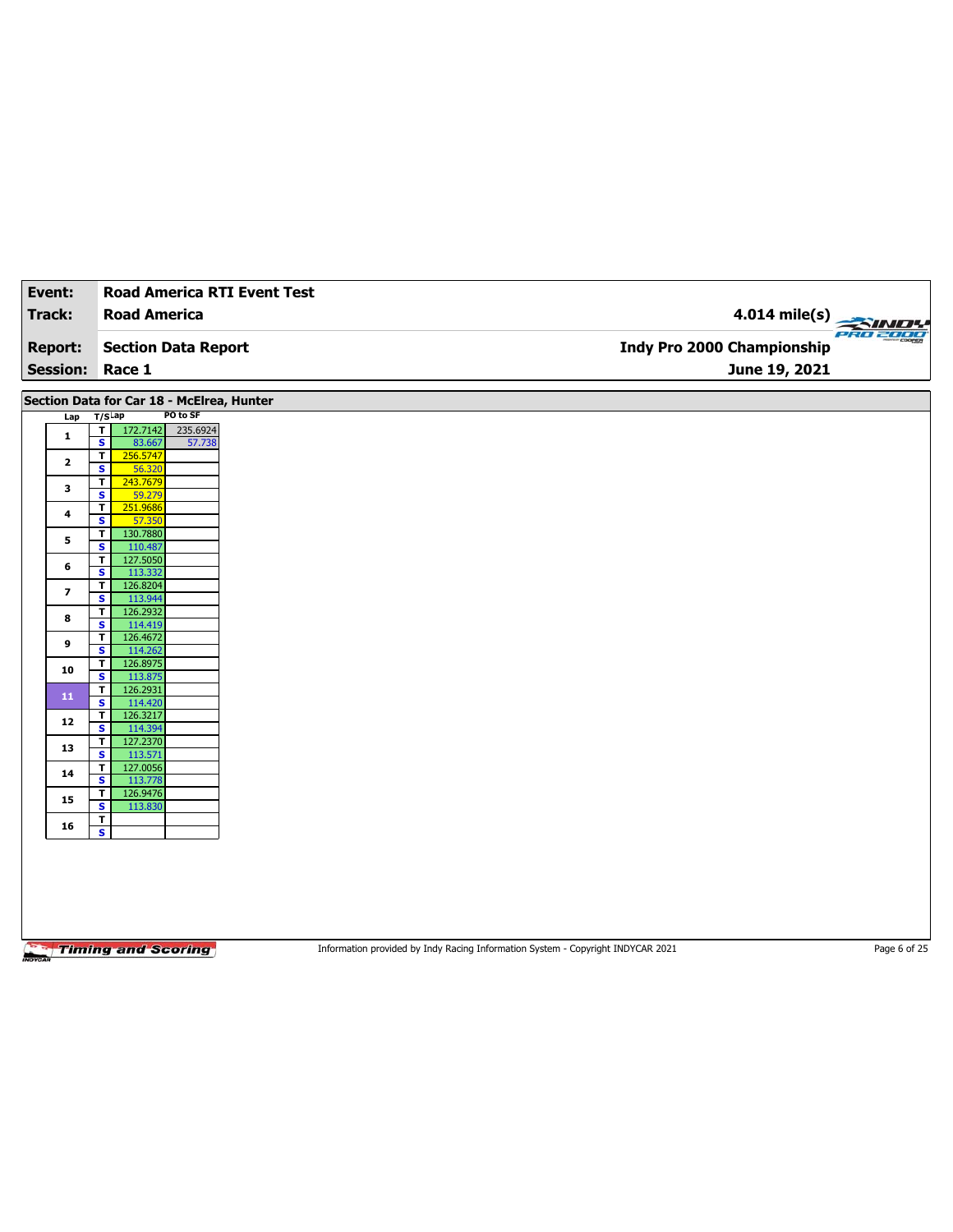| Event:                  | <b>Road America RTI Event Test</b>                                                 |                                   |
|-------------------------|------------------------------------------------------------------------------------|-----------------------------------|
| Track:                  | <b>Road America</b>                                                                | 4.014 mile(s)                     |
|                         |                                                                                    | PRO 2000                          |
| <b>Report:</b>          | <b>Section Data Report</b>                                                         | <b>Indy Pro 2000 Championship</b> |
| <b>Session:</b>         | Race 1                                                                             | June 19, 2021                     |
|                         | Section Data for Car 18 - McElrea, Hunter                                          |                                   |
| Lap                     | PO to SF<br>$T/S$ Lap                                                              |                                   |
| $\mathbf{1}$            | $\overline{\mathbf{r}}$<br>172.7142<br>235.6924                                    |                                   |
|                         | $\overline{\mathbf{s}}$<br>83.667<br>57.738<br>256.5747<br>$\overline{\mathsf{r}}$ |                                   |
| $\mathbf{2}$            | S<br>56.320                                                                        |                                   |
| 3                       | T<br>243.7679<br>$\overline{\mathbf{s}}$<br>59.279                                 |                                   |
|                         | $\overline{\mathsf{r}}$<br>251.9686                                                |                                   |
| 4                       | S<br>57.350                                                                        |                                   |
| 5                       | T<br>130.7880<br>$\overline{\mathbf{s}}$<br>110.487                                |                                   |
| 6                       | 127.5050<br>T                                                                      |                                   |
|                         | $\overline{\mathbf{s}}$<br>113.332                                                 |                                   |
| $\overline{\mathbf{z}}$ | 126.8204<br>$\mathbf{T}$<br>$\overline{\mathbf{s}}$<br>113.944                     |                                   |
| 8                       | 126.2932<br>T                                                                      |                                   |
|                         | S<br>114.419                                                                       |                                   |
| 9                       | 126.4672<br>$\mathbf T$<br>$\overline{\mathbf{s}}$<br>114.262                      |                                   |
| 10                      | 126.8975<br>$\mathbf{T}$                                                           |                                   |
|                         | S<br>113.875<br>126.2931<br>$\overline{\mathbf{r}}$                                |                                   |
| 11                      | $\overline{\mathbf{s}}$<br>114.420                                                 |                                   |
| 12                      | 126.3217<br>T                                                                      |                                   |
|                         | S<br>114.394<br>$\mathbf{T}$<br>127.2370                                           |                                   |
| 13                      | $\overline{\mathbf{s}}$<br>113.571                                                 |                                   |
| 14                      | 127.0056<br>$\mathbf{T}$<br>$\overline{\mathbf{s}}$<br>113.778                     |                                   |
|                         | 126.9476<br>T                                                                      |                                   |
| 15                      | $\overline{\mathbf{s}}$<br>113.830                                                 |                                   |
| 16                      | $\mathbf{T}$<br>$\mathbf{s}$                                                       |                                   |
|                         |                                                                                    |                                   |
|                         |                                                                                    |                                   |
|                         |                                                                                    |                                   |
|                         |                                                                                    |                                   |
|                         |                                                                                    |                                   |
|                         |                                                                                    |                                   |

Information provided by Indy Racing Information System - Copyright INDYCAR 2021 Page 6 of 25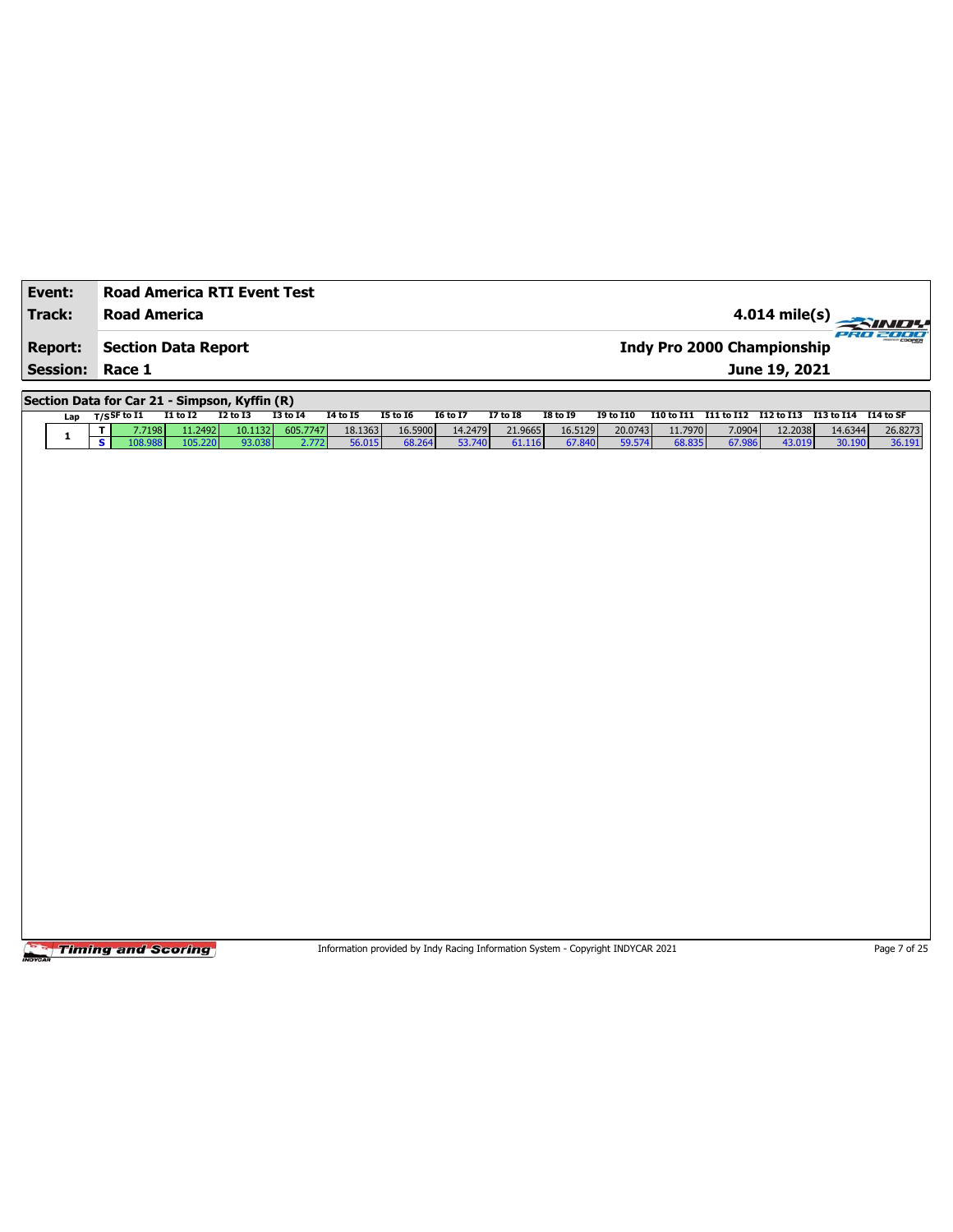| Event:          | <b>Road America RTI Event Test</b>                |                    |                   |                   |                   |                                                                                 |                   |                   |                   |                   |                                                       |                  |                   |                   |                   |
|-----------------|---------------------------------------------------|--------------------|-------------------|-------------------|-------------------|---------------------------------------------------------------------------------|-------------------|-------------------|-------------------|-------------------|-------------------------------------------------------|------------------|-------------------|-------------------|-------------------|
| <b>Track:</b>   | <b>Road America</b>                               |                    |                   |                   |                   |                                                                                 |                   |                   |                   |                   |                                                       |                  | 4.014 mile(s)     |                   |                   |
| <b>Report:</b>  | <b>Section Data Report</b>                        |                    |                   |                   |                   |                                                                                 |                   |                   |                   |                   | Indy Pro 2000 Championship                            |                  |                   | <b>CHILI</b>      |                   |
| <b>Session:</b> | Race 1                                            |                    |                   |                   |                   |                                                                                 |                   |                   |                   |                   |                                                       |                  | June 19, 2021     |                   |                   |
|                 | Section Data for Car 21 - Simpson, Kyffin (R)     |                    |                   |                   |                   |                                                                                 |                   |                   |                   |                   |                                                       |                  |                   |                   |                   |
| Lap             | $T/S$ SF to 11                                    | $I1$ to $I2$       | <b>I2 to I3</b>   | <b>I3 to 14</b>   | <b>I4 to I5</b>   | <b>I5 to 16</b>                                                                 | <b>I6 to I7</b>   | <b>I7 to I8</b>   | <b>I8 to 19</b>   | <b>I9 to I10</b>  | I10 to I11 I11 to I12 I12 to I13 I13 to I14 I14 to SF |                  |                   |                   |                   |
| 1               | 7.7198<br>т<br>$\overline{\mathbf{s}}$<br>108.988 | 11.2492<br>105.220 | 10.1132<br>93.038 | 605.7747<br>2.772 | 18.1363<br>56.015 | 16.5900<br>68.264                                                               | 14.2479<br>53.740 | 21.9665<br>61.116 | 16.5129<br>67.840 | 20.0743<br>59.574 | 11.7970<br>68.835                                     | 7.0904<br>67.986 | 12.2038<br>43.019 | 14.6344<br>30.190 | 26.8273<br>36.191 |
|                 |                                                   |                    |                   |                   |                   |                                                                                 |                   |                   |                   |                   |                                                       |                  |                   |                   |                   |
|                 |                                                   |                    |                   |                   |                   |                                                                                 |                   |                   |                   |                   |                                                       |                  |                   |                   |                   |
|                 |                                                   |                    |                   |                   |                   |                                                                                 |                   |                   |                   |                   |                                                       |                  |                   |                   |                   |
|                 |                                                   |                    |                   |                   |                   |                                                                                 |                   |                   |                   |                   |                                                       |                  |                   |                   |                   |
|                 |                                                   |                    |                   |                   |                   |                                                                                 |                   |                   |                   |                   |                                                       |                  |                   |                   |                   |
|                 |                                                   |                    |                   |                   |                   |                                                                                 |                   |                   |                   |                   |                                                       |                  |                   |                   |                   |
|                 |                                                   |                    |                   |                   |                   |                                                                                 |                   |                   |                   |                   |                                                       |                  |                   |                   |                   |
|                 |                                                   |                    |                   |                   |                   |                                                                                 |                   |                   |                   |                   |                                                       |                  |                   |                   |                   |
|                 |                                                   |                    |                   |                   |                   |                                                                                 |                   |                   |                   |                   |                                                       |                  |                   |                   |                   |
|                 |                                                   |                    |                   |                   |                   |                                                                                 |                   |                   |                   |                   |                                                       |                  |                   |                   |                   |
|                 |                                                   |                    |                   |                   |                   |                                                                                 |                   |                   |                   |                   |                                                       |                  |                   |                   |                   |
|                 |                                                   |                    |                   |                   |                   |                                                                                 |                   |                   |                   |                   |                                                       |                  |                   |                   |                   |
|                 |                                                   |                    |                   |                   |                   |                                                                                 |                   |                   |                   |                   |                                                       |                  |                   |                   |                   |
|                 |                                                   |                    |                   |                   |                   |                                                                                 |                   |                   |                   |                   |                                                       |                  |                   |                   |                   |
|                 |                                                   |                    |                   |                   |                   |                                                                                 |                   |                   |                   |                   |                                                       |                  |                   |                   |                   |
|                 |                                                   |                    |                   |                   |                   |                                                                                 |                   |                   |                   |                   |                                                       |                  |                   |                   |                   |
|                 |                                                   |                    |                   |                   |                   |                                                                                 |                   |                   |                   |                   |                                                       |                  |                   |                   |                   |
|                 |                                                   |                    |                   |                   |                   |                                                                                 |                   |                   |                   |                   |                                                       |                  |                   |                   |                   |
|                 |                                                   |                    |                   |                   |                   |                                                                                 |                   |                   |                   |                   |                                                       |                  |                   |                   |                   |
|                 |                                                   |                    |                   |                   |                   |                                                                                 |                   |                   |                   |                   |                                                       |                  |                   |                   |                   |
|                 |                                                   |                    |                   |                   |                   |                                                                                 |                   |                   |                   |                   |                                                       |                  |                   |                   |                   |
|                 | <b>Timing and Scoring</b>                         |                    |                   |                   |                   | Information provided by Indy Racing Information System - Copyright INDYCAR 2021 |                   |                   |                   |                   |                                                       |                  |                   |                   | Page 7 of 25      |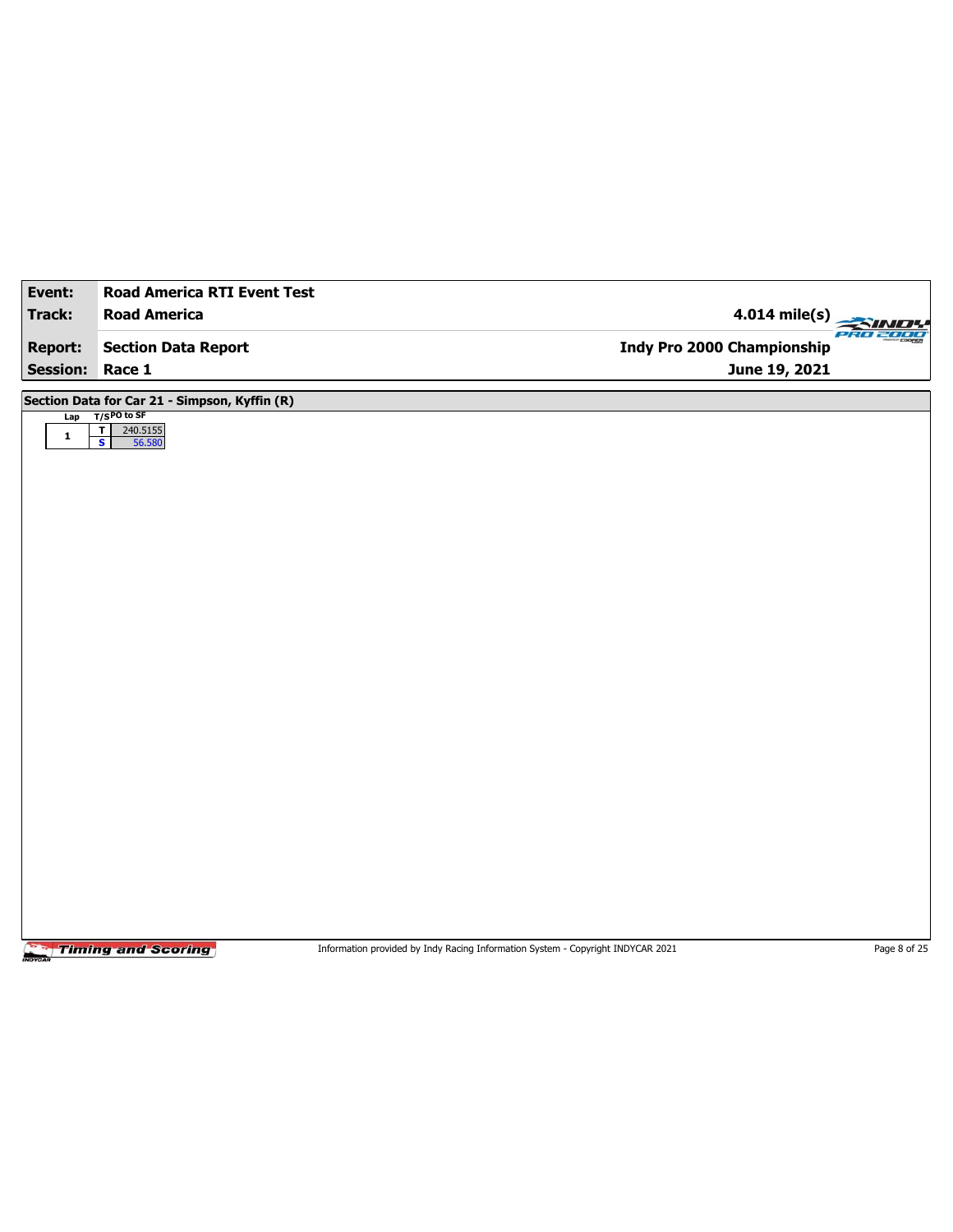| Event:          | <b>Road America RTI Event Test</b>                                       |                                               |
|-----------------|--------------------------------------------------------------------------|-----------------------------------------------|
| <b>Track:</b>   | <b>Road America</b>                                                      | $4.014$ mile(s)<br>$\sim$                     |
| <b>Report:</b>  | <b>Section Data Report</b>                                               | <b>PRO 2000</b><br>Indy Pro 2000 Championship |
| Session: Race 1 |                                                                          | June 19, 2021                                 |
|                 |                                                                          |                                               |
| Lap             | Section Data for Car 21 - Simpson, Kyffin (R)<br>$T/SPO$ to SF           |                                               |
| $\mathbf 1$     | $\overline{\mathbf{r}}$<br>240.5155<br>$\overline{\mathbf{s}}$<br>56.580 |                                               |
|                 |                                                                          |                                               |
|                 |                                                                          |                                               |
|                 |                                                                          |                                               |
|                 |                                                                          |                                               |
|                 |                                                                          |                                               |
|                 |                                                                          |                                               |
|                 |                                                                          |                                               |
|                 |                                                                          |                                               |
|                 |                                                                          |                                               |
|                 |                                                                          |                                               |
|                 |                                                                          |                                               |
|                 |                                                                          |                                               |
|                 |                                                                          |                                               |
|                 |                                                                          |                                               |
|                 |                                                                          |                                               |
|                 |                                                                          |                                               |
|                 |                                                                          |                                               |
|                 |                                                                          |                                               |
|                 |                                                                          |                                               |
|                 |                                                                          |                                               |
|                 |                                                                          |                                               |

Information provided by Indy Racing Information System - Copyright INDYCAR 2021 Page 8 of 25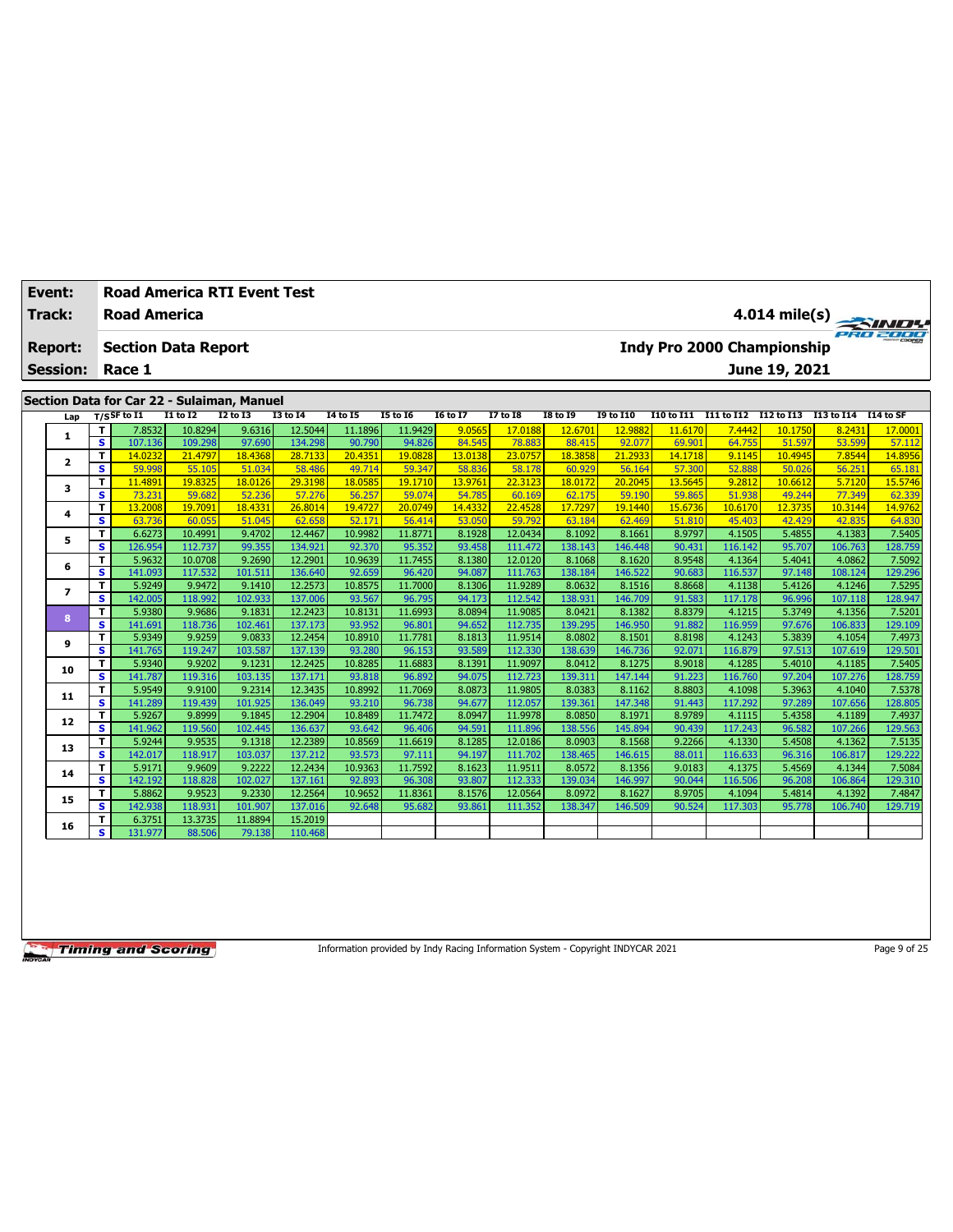| Event:          |        | <b>Road America RTI Event Test</b>         |                   |                   |                    |                   |                   |                  |                    |                   |                   |                  |                   |                                   |                   |                                                   |
|-----------------|--------|--------------------------------------------|-------------------|-------------------|--------------------|-------------------|-------------------|------------------|--------------------|-------------------|-------------------|------------------|-------------------|-----------------------------------|-------------------|---------------------------------------------------|
| Track:          |        | <b>Road America</b>                        |                   |                   |                    |                   |                   |                  |                    |                   |                   |                  |                   |                                   |                   | $\frac{4.014 \text{ mile(s)}}{600 \text{ rad/s}}$ |
| <b>Report:</b>  |        | <b>Section Data Report</b>                 |                   |                   |                    |                   |                   |                  |                    |                   |                   |                  |                   | <b>Indy Pro 2000 Championship</b> |                   |                                                   |
| <b>Session:</b> |        | Race 1                                     |                   |                   |                    |                   |                   |                  |                    |                   |                   |                  |                   | June 19, 2021                     |                   |                                                   |
|                 |        | Section Data for Car 22 - Sulaiman, Manuel |                   |                   |                    |                   |                   |                  |                    |                   |                   |                  |                   |                                   |                   |                                                   |
| Lap             |        | $T/S$ SF to $I1$                           | $I1$ to $I2$      | <b>I2 to I3</b>   | <b>I3 to 14</b>    | <b>I4 to I5</b>   | <b>15 to 16</b>   | <b>16 to 17</b>  | <b>I7 to I8</b>    | <b>I8 to 19</b>   | <b>19 to I10</b>  | I10 to I11       | I11 to I12        | I12 to I13 I13 to I14             |                   | I14 to SF                                         |
|                 | т      | 7.8532                                     | 10.8294           | 9.6316            | 12.5044            | 11.1896           | 11.9429           | 9.0565           | 17,0188            | 12.6701           | 12.9882           | 11.6170          | 7.4442            | 10.1750                           | 8.2431            | 17.0001                                           |
| 1               | s      | 107.136                                    | 109.298           | 97.690            | 134.298            | 90.790            | 94.826            | 84.545           | 78.883             | 88.415            | 92.077            | 69.901           | 64.755            | 51.597                            | 53.599            | 57.112                                            |
|                 | T      | 14.0232                                    | 21,4797           | 18.4368           | 28,7133            | 20,4351           | 19.0828           | 13.0138          | 23.0757            | 18.3858           | 21,2933           | 14.1718          | 9.1145            | 10.4945                           | 7.8544            | 14.8956                                           |
| $\mathbf{z}$    | s      | 59.998                                     | 55.105            | 51.034            | 58.486             | 49.714            | 59.347            | 58.836           | 58.178             | 60.929            | 56.164            | 57.300           | 52.888            | 50.026                            | 56.251            | 65.181                                            |
| з               | т      | 11.4891                                    | 19.8325           | 18.0126           | 29.3198            | 18.0585           | 19.1710           | 13.9761          | 22.3123            | 18.0172           | 20,2045           | 13.5645          | 9.2812            | 10.6612                           | 5.7120            | 15.5746                                           |
|                 | s      | 73.231                                     | 59.682            | 52.236            | 57.276             | 56.257            | 59.074            | 54.785           | 60.169             | 62.175            | 59.190            | 59.865           | 51.938            | 49.244                            | 77.349            | 62.339                                            |
| 4               | T      | 13.2008                                    | 19.7091           | 18.4331           | 26,8014            | 19.4727           | 20.0749           | 14.4332          | 22.4528            | 17.7297           | 19.1440           | 15.6736          | 10.6170           | 12,3735                           | 10.3144           | 14.9762                                           |
|                 | s      | 63.736                                     | 60.055            | 51.045            | 62.658             | 52.17             | 56,414            | 53.050           | 59.792             | 63.184            | 62.469            | 51,810           | 45.403            | 42.429                            | 42.835            | 64.830                                            |
| 5               | т      | 6.6273                                     | 10.4991           | 9.4702            | 12.4467            | 10.9982           | 11.8771           | 8.1928           | 12.0434            | 8.1092            | 8.1661            | 8.9797           | 4.1505            | 5.4855                            | 4.1383            | 7.5405                                            |
|                 | s      | 126.954                                    | 112.737           | 99.355            | 134.921            | 92.370            | 95.352            | 93.458           | 111.472            | 138.143           | 146.448           | 90.431           | 116.142           | 95.707                            | 106.763           | 128.759                                           |
| 6               | т      | 5.9632                                     | 10.0708           | 9.2690            | 12.2901            | 10.9639           | 11.7455           | 8.1380           | 12.0120            | 8.1068            | 8.1620            | 8.9548           | 4.1364            | 5.4041                            | 4.0862            | 7.5092                                            |
|                 | S      | 141.093                                    | 117.532           | 101.511           | 136.640            | 92.659            | 96.420            | 94.087           | 111.763            | 138.184           | 146.522           | 90.683           | 116.537           | 97.148                            | 108.124           | 129.296                                           |
| 7               | т      | 5.9249                                     | 9.9472            | 9.1410            | 12.2573            | 10.8575           | 11.7000           | 8.1306           | 11.9289            | 8.0632            | 8.1516            | 8.8668           | 4.1138            | 5.4126                            | 4.1246            | 7.5295                                            |
|                 | s<br>T | 142.005<br>5.9380                          | 118.992<br>9.9686 | 102.933<br>9.1831 | 137.006<br>12.2423 | 93.567<br>10.8131 | 96.795<br>11.6993 | 94.173<br>8.0894 | 112.542<br>11.9085 | 138.931<br>8.0421 | 146.709<br>8.1382 | 91.583<br>8.8379 | 117.178<br>4.1215 | 96.996<br>5.3749                  | 107.118<br>4.1356 | 128.947<br>7.5201                                 |
| 8               | s      | 141.691                                    | 118.736           | 102.461           | 137.173            | 93.952            | 96.801            | 94.652           | 112.735            | 139.295           | 146.950           | 91.882           | 116.959           | 97.676                            | 106.833           | 129.109                                           |
|                 | т      | 5.9349                                     | 9.9259            | 9.0833            | 12.2454            | 10.8910           | 11.7781           | 8.1813           | 11.9514            | 8.0802            | 8.1501            | 8.8198           | 4.1243            | 5.3839                            | 4.1054            | 7.4973                                            |
| 9               | s      | 141.765                                    | 119.247           | 103.587           | 137.139            | 93.280            | 96.153            | 93.589           | 112.330            | 138.639           | 146.736           | 92.071           | 116.879           | 97.513                            | 107.619           | 129.501                                           |
|                 | т      | 5.9340                                     | 9.9202            | 9.1231            | 12.2425            | 10.8285           | 11.6883           | 8.1391           | 11.9097            | 8.0412            | 8.1275            | 8.9018           | 4.1285            | 5.4010                            | 4.1185            | 7.5405                                            |
| 10              | s      | 141.787                                    | 119.316           | 103.135           | 137.171            | 93.818            | 96.892            | 94.075           | 112.723            | 139.311           | 147.144           | 91.223           | 116.760           | 97.204                            | 107.276           | 128.759                                           |
|                 | т      | 5.9549                                     | 9.9100            | 9.2314            | 12.3435            | 10.8992           | 11.7069           | 8.0873           | 11.9805            | 8.0383            | 8.1162            | 8.8803           | 4.1098            | 5.3963                            | 4.1040            | 7.5378                                            |
| 11              | s      | 141.289                                    | 119.439           | 101.925           | 136.049            | 93.210            | 96.738            | 94.677           | 112.057            | 139.361           | 147.348           | 91.443           | 117.292           | 97.289                            | 107.656           | 128.805                                           |
| 12              | т      | 5.9267                                     | 9.8999            | 9.1845            | 12.2904            | 10.8489           | 11.7472           | 8.0947           | 11.9978            | 8.0850            | 8.1971            | 8.9789           | 4.1115            | 5.4358                            | 4.1189            | 7.4937                                            |
|                 | s      | 141.962                                    | 119.560           | 102.445           | 136.637            | 93.642            | 96.406            | 94.591           | 111.896            | 138.556           | 145.894           | 90.439           | 117.243           | 96.582                            | 107.266           | 129.563                                           |
| 13              | т      | 5.9244                                     | 9.9535            | 9.1318            | 12.2389            | 10.8569           | 11.6619           | 8.1285           | 12.0186            | 8.0903            | 8.1568            | 9.2266           | 4.1330            | 5.4508                            | 4.1362            | 7.5135                                            |
|                 | s      | 142.017                                    | 118.917           | 103.037           | 137.212            | 93.573            | 97.111            | 94.197           | 111.702            | 138.465           | 146.615           | 88.011           | 116.633           | 96.316                            | 106.817           | 129.222                                           |
| 14              | т      | 5.9171                                     | 9.9609            | 9.2222            | 12.2434            | 10.9363           | 11.7592           | 8.1623           | 11.9511            | 8.0572            | 8.1356            | 9.0183           | 4.1375            | 5.4569                            | 4.1344            | 7.5084                                            |
|                 | s      | 142.192                                    | 118.828           | 102.027           | 137.161            | 92.893            | 96.308            | 93.807           | 112.333            | 139.034           | 146.997           | 90.044           | 116.506           | 96.208                            | 106.864           | 129.310                                           |
| 15              | т      | 5.8862                                     | 9.9523            | 9.2330            | 12.2564            | 10.9652           | 11.8361           | 8.1576           | 12.0564            | 8.0972            | 8.1627            | 8.9705           | 4.1094            | 5.4814                            | 4.1392            | 7.4847                                            |
|                 | s      | 142.938                                    | 118.931           | 101.907           | 137.016            | 92.648            | 95.682            | 93.861           | 111.352            | 138.347           | 146.509           | 90.524           | 117.303           | 95.778                            | 106.740           | 129.719                                           |
| 16              | т      | 6.3751                                     | 13.3735           | 11.8894           | 15.2019            |                   |                   |                  |                    |                   |                   |                  |                   |                                   |                   |                                                   |
|                 | s      | 131.977                                    | 88.506            | 79.138            | 110.468            |                   |                   |                  |                    |                   |                   |                  |                   |                                   |                   |                                                   |

Information provided by Indy Racing Information System - Copyright INDYCAR 2021 Page 9 of 25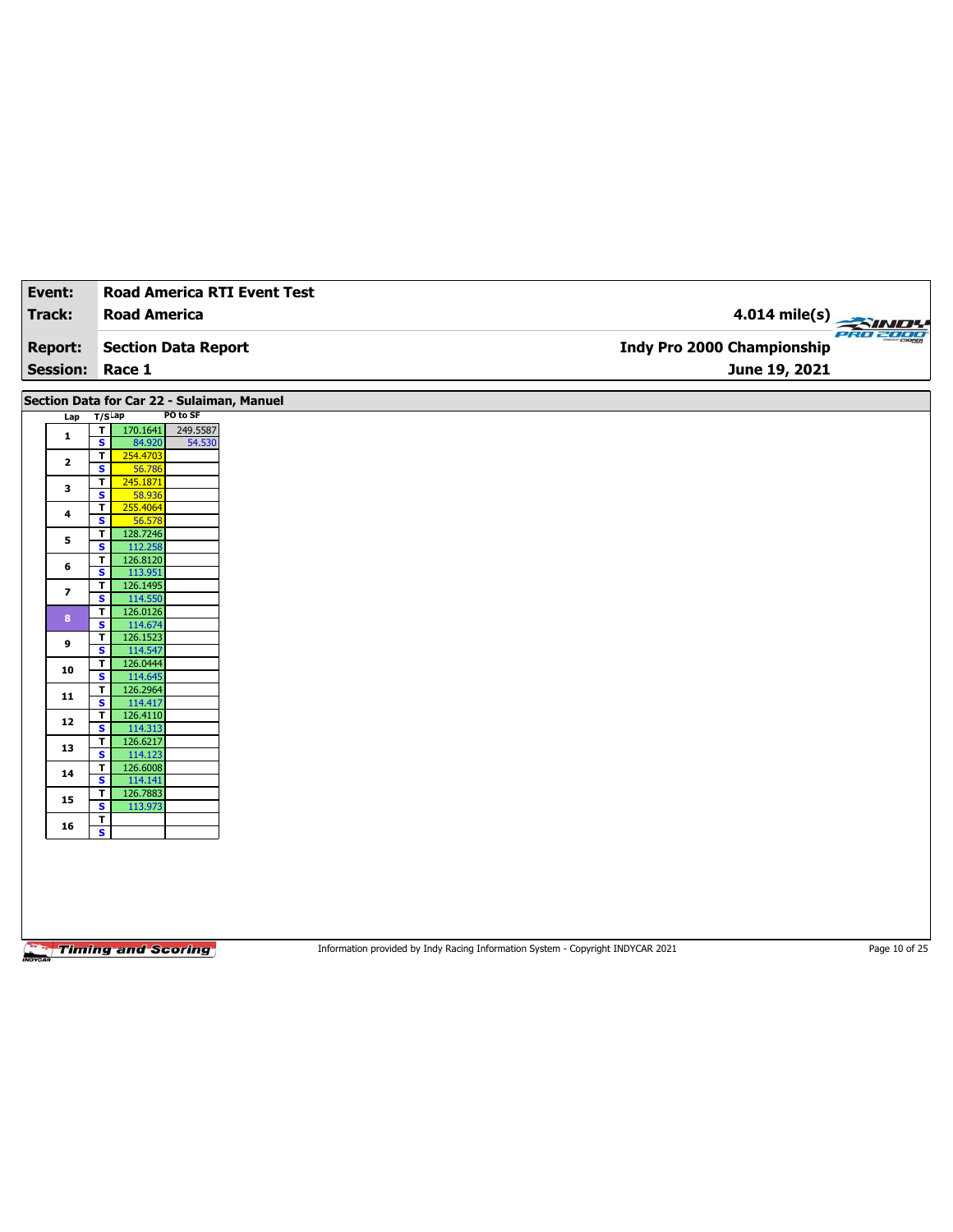| Event:          | <b>Road America RTI Event Test</b>                                                             |                                               |
|-----------------|------------------------------------------------------------------------------------------------|-----------------------------------------------|
| Track:          | <b>Road America</b>                                                                            | 4.014 mile(s)                                 |
| <b>Report:</b>  | <b>Section Data Report</b>                                                                     | PRO 2000<br><b>Indy Pro 2000 Championship</b> |
|                 |                                                                                                |                                               |
| <b>Session:</b> | Race 1                                                                                         | June 19, 2021                                 |
|                 | Section Data for Car 22 - Sulaiman, Manuel                                                     |                                               |
| Lap             | PO to SF<br>T/SLap                                                                             |                                               |
| $\mathbf{1}$    | $\overline{\mathbf{r}}$<br>170.1641<br>249.5587<br>$\overline{\mathbf{s}}$<br>84.920<br>54.530 |                                               |
| $\mathbf{2}$    | ٣<br>254.4703                                                                                  |                                               |
|                 | $\mathbf{s}$<br>56.786<br>$\overline{1}$<br>245.1871                                           |                                               |
| З               | $\overline{\mathbf{s}}$<br>58.936                                                              |                                               |
| 4               | $\overline{\mathsf{r}}$<br>255.4064<br>S<br>56.578                                             |                                               |
| 5               | T<br>128.7246                                                                                  |                                               |
|                 | $\overline{\mathbf{s}}$<br>112.258<br>126.8120<br>$\overline{\mathsf{r}}$                      |                                               |
| 6               | S<br>113.951                                                                                   |                                               |
| 7               | $\overline{\mathbf{r}}$<br>126.1495                                                            |                                               |
|                 | $\overline{\mathbf{s}}$<br>114.550<br>126.0126<br>T                                            |                                               |
| 8               | S<br>114.674                                                                                   |                                               |
| 9               | $\overline{\mathbf{r}}$<br>126.1523<br>$\overline{\mathbf{s}}$<br>114.547                      |                                               |
| 10              | 126.0444<br>T                                                                                  |                                               |
|                 | S<br>114.645<br>$\overline{\mathbf{r}}$<br>126.2964                                            |                                               |
| $11$            | $\overline{\mathbf{s}}$<br>114.417                                                             |                                               |
| 12              | 126.4110<br>T                                                                                  |                                               |
|                 | S<br>114.313<br>$\overline{\mathbf{r}}$<br>126.6217                                            |                                               |
| 13              | $\overline{\mathbf{s}}$<br>114.123                                                             |                                               |
| 14              | 126.6008<br>T<br>S<br>114.141                                                                  |                                               |
| 15              | 126.7883<br>$\mathbf{T}$                                                                       |                                               |
|                 | $\overline{\mathbf{s}}$<br>113.973<br>$\mathbf{T}$                                             |                                               |
| 16              | $\overline{\mathbf{s}}$                                                                        |                                               |
|                 |                                                                                                |                                               |
|                 |                                                                                                |                                               |
|                 |                                                                                                |                                               |
|                 |                                                                                                |                                               |
|                 |                                                                                                |                                               |

Information provided by Indy Racing Information System - Copyright INDYCAR 2021 Page 10 of 25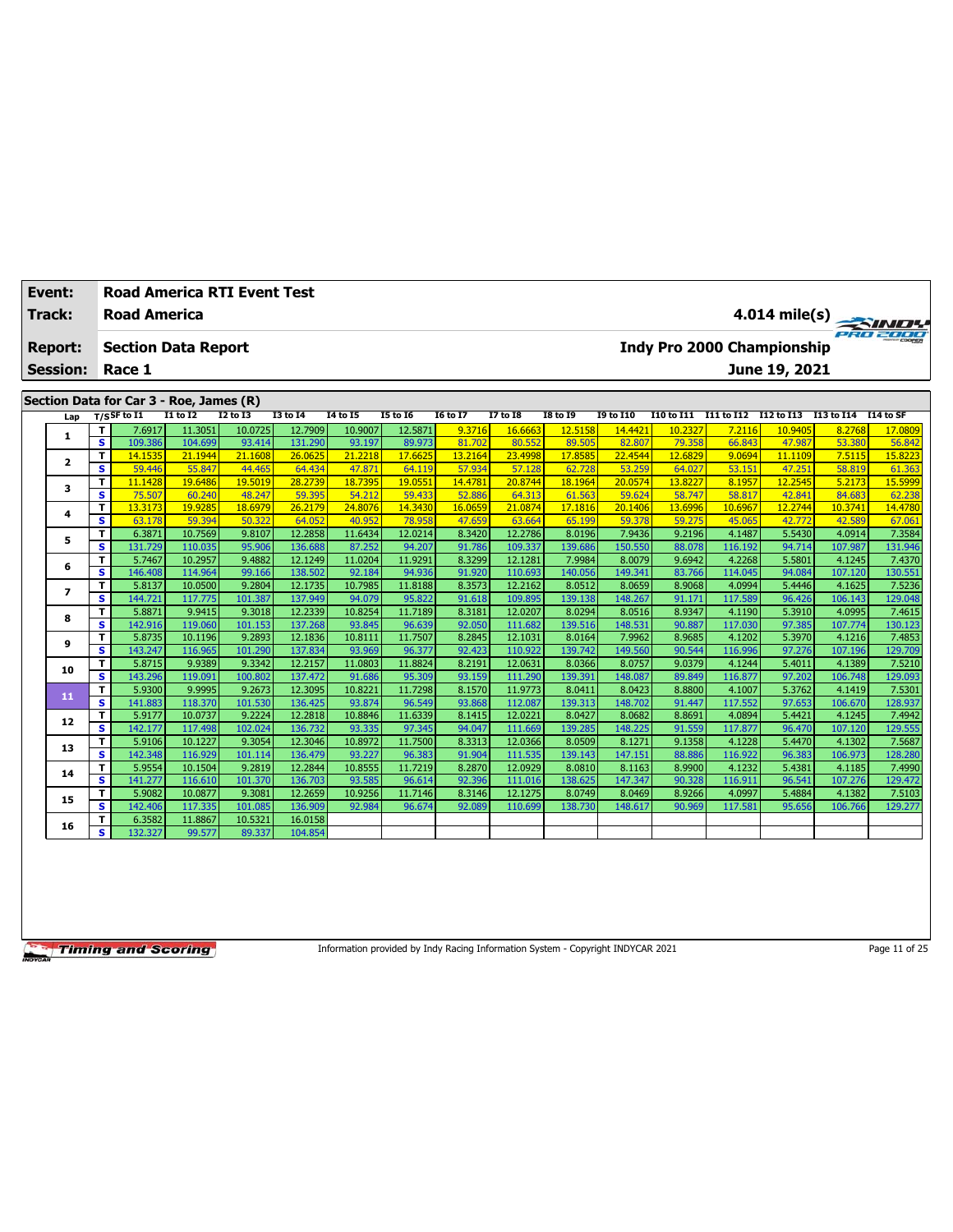| Event:          |                         |                                         |                    | <b>Road America RTI Event Test</b> |                    |                   |                   |                   |                    |                   |                   |                   |                                   |                   |                   |                                                 |
|-----------------|-------------------------|-----------------------------------------|--------------------|------------------------------------|--------------------|-------------------|-------------------|-------------------|--------------------|-------------------|-------------------|-------------------|-----------------------------------|-------------------|-------------------|-------------------------------------------------|
| Track:          |                         | <b>Road America</b>                     |                    |                                    |                    |                   |                   |                   |                    |                   |                   |                   |                                   |                   |                   | $\frac{4.014 \text{ mile(s)}}{2000 \text{ Hz}}$ |
| <b>Report:</b>  |                         | <b>Section Data Report</b>              |                    |                                    |                    |                   |                   |                   |                    |                   |                   |                   | <b>Indy Pro 2000 Championship</b> |                   |                   |                                                 |
| <b>Session:</b> |                         | Race 1                                  |                    |                                    |                    |                   |                   |                   |                    |                   |                   |                   |                                   | June 19, 2021     |                   |                                                 |
|                 |                         |                                         |                    |                                    |                    |                   |                   |                   |                    |                   |                   |                   |                                   |                   |                   |                                                 |
|                 |                         | Section Data for Car 3 - Roe, James (R) | $I1$ to $I2$       | <b>I2 to I3</b>                    |                    |                   |                   |                   |                    |                   |                   |                   |                                   |                   |                   |                                                 |
| Lap             |                         | $T/S$ SF to I1                          |                    |                                    | $13$ to $14$       | <b>14 to 15</b>   | <b>I5 to 16</b>   | <b>I6 to I7</b>   | <b>I7 to 18</b>    | <b>I8 to 19</b>   | <b>19 to I10</b>  | I10 to I11        | I11 to I12 I12 to I13 I13 to I14  |                   |                   | I14 to SF                                       |
| 1               | T                       | 7.6917                                  | 11.3051            | 10.0725                            | 12.7909            | 10.9007           | 12.5871           | 9.3716            | 16,6663            | 12.5158           | 14.4421           | 10.2327           | 7.2116                            | 10.9405           | 8.2768            | 17,0809                                         |
|                 | $\mathbf{s}$<br>T       | 109.386<br>14.1535                      | 104.699            | 93.414<br>21,1608                  | 131.290<br>26,0625 | 93.197<br>21.2218 | 89.973<br>17.6625 | 81.702<br>13.2164 | 80.552<br>23,4998  | 89.505<br>17.8585 | 82.807<br>22.4544 | 79.358<br>12.6829 | 66.843<br>9.0694                  | 47.987            | 53.380<br>7.5115  | 56.842<br>15.8223                               |
| 2               | $\mathbf{s}$            | 59,446                                  | 21.1944<br>55.847  | 44.465                             | 64.434             | 47,871            | 64.119            | 57.934            | 57.128             | 62.728            | 53.259            | 64.027            | 53.151                            | 11.1109<br>47.251 | 58.819            | 61.363                                          |
|                 | T                       | 11.1428                                 | 19.6486            | 19.5019                            | 28,2739            | 18.7395           | 19.0551           | 14.4781           | 20.8744            | 18.1964           | 20.0574           | 13.8227           | 8.1957                            | 12.2545           | 5.2173            | 15.5999                                         |
| 3               | $\mathbf{s}$            | 75.507                                  | 60.240             | 48.247                             | 59.395             | 54.212            | 59.433            | 52.886            | 64.313             | 61.563            | 59.624            | 58.747            | 58.817                            | 42.841            | 84.683            | 62.238                                          |
|                 | T                       | 13.3173                                 | 19.9285            | 18.6979                            | 26,2179            | 24.8076           | 14.3430           | 16.0659           | 21.0874            | 17.1816           | 20.1406           | 13.6996           | 10.6967                           | 12.2744           | 10.3741           | 14.4780                                         |
| 4               | s                       | 63.178                                  | 59.394             | 50.322                             | 64.052             | 40.952            | 78.958            | 47.659            | 63.664             | 65.199            | 59.378            | 59.275            | 45.065                            | 42.772            | 42.589            | 67.061                                          |
|                 | T                       | 6.3871                                  | 10.7569            | 9.8107                             | 12.2858            | 11.6434           | 12.0214           | 8.3420            | 12.2786            | 8.0196            | 7.9436            | 9.2196            | 4.1487                            | 5.5430            | 4.0914            | 7.3584                                          |
| 5               | s                       | 131.729                                 | 110.035            | 95.906                             | 136.688            | 87.252            | 94.207            | 91.786            | 109.337            | 139.686           | 150.550           | 88.078            | 116.192                           | 94.714            | 107.987           | 131.946                                         |
|                 | T                       | 5.7467                                  | 10.2957            | 9.4882                             | 12.1249            | 11.0204           | 11.9291           | 8.3299            | 12.1281            | 7.9984            | 8.0079            | 9.6942            | 4.2268                            | 5.5801            | 4.1245            | 7.4370                                          |
| 6               | $\mathbf{s}$            | 146.408                                 | 114.964            | 99.166                             | 138.502            | 92.184            | 94.936            | 91.920            | 110.693            | 140.056           | 149.341           | 83.766            | 114.045                           | 94.084            | 107.120           | 130.551                                         |
|                 | T                       | 5.8137                                  | 10.0500            | 9.2804                             | 12.1735            | 10.7985           | 11.8188           | 8.3573            | 12.2162            | 8.0512            | 8.0659            | 8.9068            | 4.0994                            | 5.4446            | 4.1625            | 7.5236                                          |
| 7               | S                       | 144.721                                 | 117,775            | 101.387                            | 137.949            | 94.079            | 95.822            | 91.618            | 109.895            | 139.138           | 148.267           | 91.171            | 117.589                           | 96.426            | 106.143           | 129.048                                         |
| 8               | T                       | 5.8871                                  | 9.9415             | 9.3018                             | 12.2339            | 10.8254           | 11.7189           | 8.3181            | 12.0207            | 8.0294            | 8.0516            | 8.9347            | 4.1190                            | 5.3910            | 4.0995            | 7.4615                                          |
|                 | $\mathbf{s}$            | 142.916                                 | 119.060            | 101.153                            | 137.268            | 93.845            | 96.639            | 92.050            | 111.682            | 139.516           | 148.531           | 90.887            | 117.030                           | 97.385            | 107.774           | 130.123                                         |
| 9               | T                       | 5.8735                                  | 10.1196            | 9.2893                             | 12.1836            | 10.8111           | 11.7507           | 8.2845            | 12.1031            | 8.0164            | 7.9962            | 8.9685            | 4.1202                            | 5.3970            | 4.1216            | 7.4853                                          |
|                 | $\mathbf{s}$            | 143.247                                 | 116.965            | 101.290                            | 137.834            | 93.969            | 96.377            | 92.423            | 110.922            | 139.742           | 149.560           | 90.544            | 116.996                           | 97.276            | 107.196           | 129.709                                         |
| 10              | T                       | 5.8715                                  | 9.9389             | 9.3342                             | 12.2157            | 11.0803           | 11.8824           | 8.2191            | 12.0631            | 8.0366            | 8.0757            | 9.0379            | 4.1244                            | 5.4011            | 4.1389            | 7.5210                                          |
|                 | $\mathbf{s}$            | 143.296                                 | 119.091            | 100.802                            | 137.472            | 91.686            | 95.309            | 93.159            | 111.290            | 139.391           | 148.087           | 89.849            | 116.877                           | 97.202            | 106.748           | 129.093                                         |
| 11              | $\mathbf T$             | 5.9300                                  | 9.9995             | 9.2673                             | 12.3095            | 10.8221           | 11.7298           | 8.1570            | 11.9773            | 8.0411            | 8.0423            | 8.8800            | 4.1007                            | 5.3762            | 4.1419            | 7.5301                                          |
|                 | S                       | 141.883                                 | 118.370            | 101.530                            | 136.425            | 93.874            | 96.549            | 93.868            | 112.087            | 139.313           | 148.702           | 91.447            | 117.552                           | 97.653            | 106.670           | 128.937                                         |
| 12              | T                       | 5.9177                                  | 10.0737            | 9.2224                             | 12.2818            | 10.8846           | 11.6339           | 8.1415            | 12.0221            | 8.0427            | 8.0682            | 8.8691            | 4.0894                            | 5.4421            | 4.1245            | 7.4942                                          |
|                 | $\overline{\mathbf{s}}$ | 142.177                                 | 117.498            | 102.024                            | 136.732            | 93.335            | 97.345            | 94.047            | 111.669            | 139.285           | 148.225           | 91.559            | 117.877                           | 96.470            | 107.120           | 129.555                                         |
| 13              | т                       | 5.9106                                  | 10.1227            | 9.3054                             | 12.3046            | 10.8972           | 11.7500           | 8.3313            | 12.0366            | 8.0509            | 8.1271            | 9.1358            | 4.1228                            | 5.4470            | 4.1302            | 7.5687                                          |
|                 | $\mathbf{s}$<br>T       | 142.348<br>5.9554                       | 116.929<br>10.1504 | 101.114<br>9.2819                  | 136,479<br>12.2844 | 93.227<br>10.8555 | 96.383<br>11.7219 | 91.904<br>8.2870  | 111.535<br>12.0929 | 139.143<br>8.0810 | 147.151<br>8.1163 | 88.886<br>8.9900  | 116.922<br>4.1232                 | 96.383<br>5.4381  | 106.973<br>4.1185 | 128.280<br>7.4990                               |
| 14              | $\mathbf{s}$            | 141.277                                 | 116.610            | 101.370                            | 136.703            | 93.585            | 96.614            | 92.396            | 111.016            | 138.625           | 147.347           | 90.328            | 116.911                           | 96.541            | 107.276           | 129.472                                         |
|                 | т                       | 5.9082                                  | 10.0877            | 9.3081                             | 12.2659            | 10.9256           | 11.7146           | 8.3146            | 12.1275            | 8.0749            | 8.0469            | 8.9266            | 4.0997                            | 5.4884            | 4.1382            | 7.5103                                          |
| 15              | s                       | 142.406                                 | 117.335            | 101.085                            | 136.909            | 92.984            | 96.674            | 92.089            | 110.699            | 138.730           | 148.617           | 90.969            | 117.581                           | 95.656            | 106.766           | 129.277                                         |
|                 | T                       | 6.3582                                  | 11.8867            | 10.5321                            | 16.0158            |                   |                   |                   |                    |                   |                   |                   |                                   |                   |                   |                                                 |
| 16              | $\mathbf{s}$            | 132.327                                 | 99.577             | 89.337                             | 104.854            |                   |                   |                   |                    |                   |                   |                   |                                   |                   |                   |                                                 |
|                 |                         |                                         |                    |                                    |                    |                   |                   |                   |                    |                   |                   |                   |                                   |                   |                   |                                                 |

Information provided by Indy Racing Information System - Copyright INDYCAR 2021 Page 11 of 25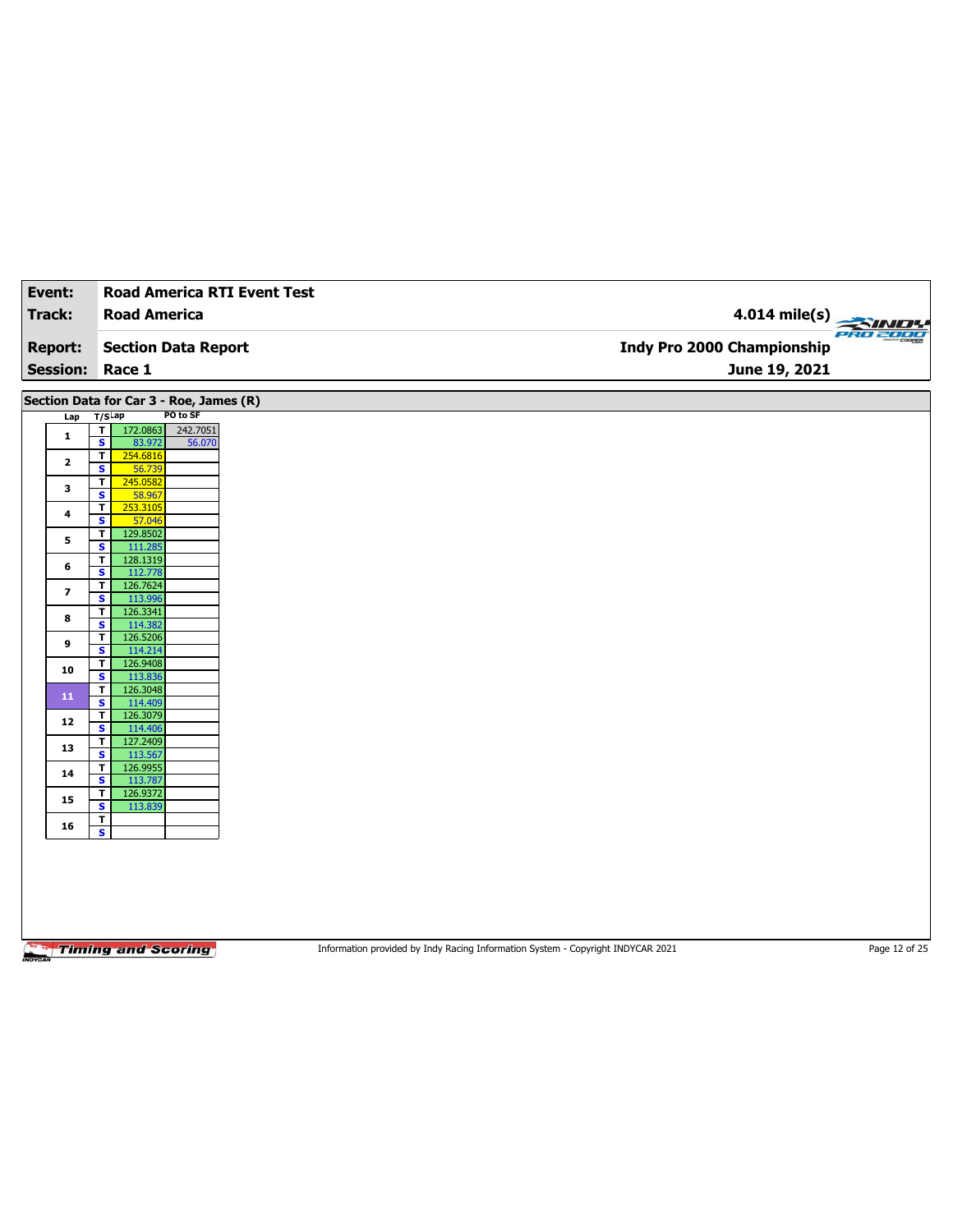| <b>Road America</b><br><b>Section Data Report</b><br>Section Data for Car 3 - Roe, James (R)<br>PO to SF<br>242.7051<br>172.0863<br>56.070<br>128.1319 | 4.014 mile(s)<br>PRO 2000<br>Indy Pro 2000 Championship<br>June 19, 2021 |
|--------------------------------------------------------------------------------------------------------------------------------------------------------|--------------------------------------------------------------------------|
|                                                                                                                                                        |                                                                          |
|                                                                                                                                                        |                                                                          |
|                                                                                                                                                        |                                                                          |
|                                                                                                                                                        |                                                                          |
|                                                                                                                                                        |                                                                          |
|                                                                                                                                                        |                                                                          |
|                                                                                                                                                        |                                                                          |
|                                                                                                                                                        |                                                                          |
|                                                                                                                                                        |                                                                          |
|                                                                                                                                                        |                                                                          |
|                                                                                                                                                        |                                                                          |
|                                                                                                                                                        |                                                                          |
|                                                                                                                                                        |                                                                          |
|                                                                                                                                                        |                                                                          |
|                                                                                                                                                        |                                                                          |
|                                                                                                                                                        |                                                                          |
|                                                                                                                                                        |                                                                          |
|                                                                                                                                                        |                                                                          |
|                                                                                                                                                        |                                                                          |
|                                                                                                                                                        |                                                                          |
|                                                                                                                                                        |                                                                          |
|                                                                                                                                                        |                                                                          |
|                                                                                                                                                        |                                                                          |
|                                                                                                                                                        |                                                                          |
|                                                                                                                                                        |                                                                          |
|                                                                                                                                                        |                                                                          |
|                                                                                                                                                        |                                                                          |
|                                                                                                                                                        |                                                                          |
|                                                                                                                                                        |                                                                          |
|                                                                                                                                                        |                                                                          |
|                                                                                                                                                        |                                                                          |
| 126.7624<br>114.382<br>126.5206<br>114.214<br>126.9408<br>126.3048<br>126.3079<br>114.406<br>127.2409<br>126.9955<br>126.9372                          |                                                                          |

Information provided by Indy Racing Information System - Copyright INDYCAR 2021 Page 12 of 25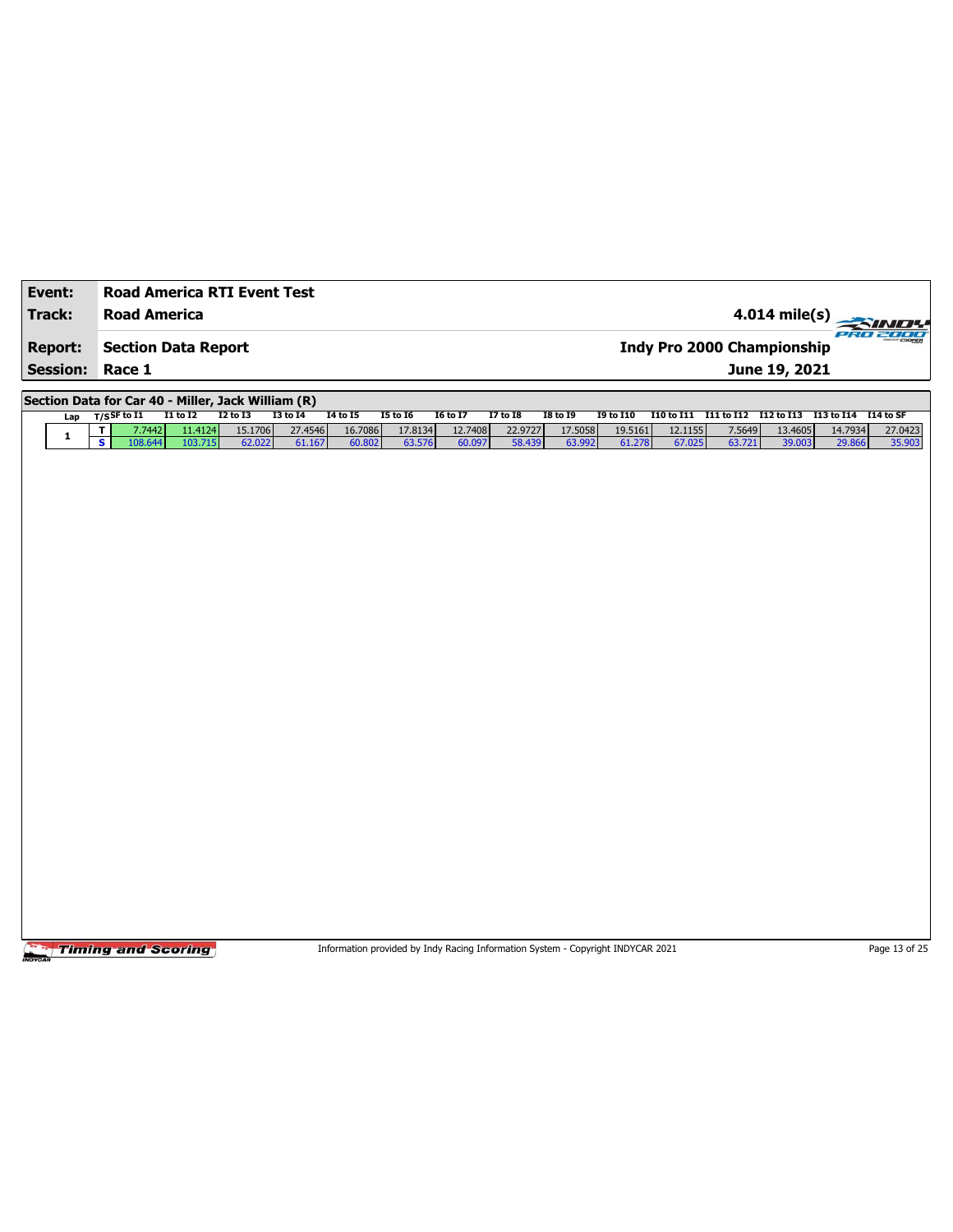| Event:          | <b>Road America RTI Event Test</b>                 |                    |                   |                   |                   |                   |                   |                   |                   |                                                                                 |                                   |                  |                   |                                                       |                   |
|-----------------|----------------------------------------------------|--------------------|-------------------|-------------------|-------------------|-------------------|-------------------|-------------------|-------------------|---------------------------------------------------------------------------------|-----------------------------------|------------------|-------------------|-------------------------------------------------------|-------------------|
| Track:          | <b>Road America</b>                                |                    |                   |                   |                   |                   |                   |                   |                   |                                                                                 |                                   |                  | 4.014 mile(s)     |                                                       |                   |
| <b>Report:</b>  | <b>Section Data Report</b>                         |                    |                   |                   |                   |                   |                   |                   |                   |                                                                                 | <b>Indy Pro 2000 Championship</b> |                  |                   | e so zo                                               |                   |
| <b>Session:</b> | Race 1                                             |                    |                   |                   |                   |                   |                   |                   |                   |                                                                                 |                                   |                  | June 19, 2021     |                                                       |                   |
|                 | Section Data for Car 40 - Miller, Jack William (R) |                    |                   |                   |                   |                   |                   |                   |                   |                                                                                 |                                   |                  |                   |                                                       |                   |
| Lap             | $T/S$ SF to I1                                     | $I1$ to $I2$       | <b>I2 to I3</b>   | <b>I3 to 14</b>   | <b>I4 to I5</b>   | <b>I5 to 16</b>   | <b>I6 to I7</b>   | <b>I7 to I8</b>   | <b>I8 to 19</b>   | <b>I9 to I10</b>                                                                |                                   |                  |                   | I10 to I11 I11 to I12 I12 to I13 I13 to I14 I14 to SF |                   |
| 1               | T<br>7.7442<br>$\overline{\mathbf{s}}$<br>108.644  | 11.4124<br>103.715 | 15.1706<br>62.022 | 27.4546<br>61.167 | 16.7086<br>60.802 | 17.8134<br>63.576 | 12.7408<br>60.097 | 22.9727<br>58.439 | 17.5058<br>63.992 | 19.5161<br>61.278                                                               | 12.1155<br>67.025                 | 7.5649<br>63.721 | 13.4605<br>39.003 | 14.7934<br>29.866                                     | 27.0423<br>35.903 |
|                 |                                                    |                    |                   |                   |                   |                   |                   |                   |                   |                                                                                 |                                   |                  |                   |                                                       |                   |
|                 |                                                    |                    |                   |                   |                   |                   |                   |                   |                   |                                                                                 |                                   |                  |                   |                                                       |                   |
|                 |                                                    |                    |                   |                   |                   |                   |                   |                   |                   |                                                                                 |                                   |                  |                   |                                                       |                   |
|                 |                                                    |                    |                   |                   |                   |                   |                   |                   |                   |                                                                                 |                                   |                  |                   |                                                       |                   |
|                 |                                                    |                    |                   |                   |                   |                   |                   |                   |                   |                                                                                 |                                   |                  |                   |                                                       |                   |
|                 |                                                    |                    |                   |                   |                   |                   |                   |                   |                   |                                                                                 |                                   |                  |                   |                                                       |                   |
|                 |                                                    |                    |                   |                   |                   |                   |                   |                   |                   |                                                                                 |                                   |                  |                   |                                                       |                   |
|                 |                                                    |                    |                   |                   |                   |                   |                   |                   |                   |                                                                                 |                                   |                  |                   |                                                       |                   |
|                 |                                                    |                    |                   |                   |                   |                   |                   |                   |                   |                                                                                 |                                   |                  |                   |                                                       |                   |
|                 |                                                    |                    |                   |                   |                   |                   |                   |                   |                   |                                                                                 |                                   |                  |                   |                                                       |                   |
|                 |                                                    |                    |                   |                   |                   |                   |                   |                   |                   |                                                                                 |                                   |                  |                   |                                                       |                   |
|                 |                                                    |                    |                   |                   |                   |                   |                   |                   |                   |                                                                                 |                                   |                  |                   |                                                       |                   |
|                 |                                                    |                    |                   |                   |                   |                   |                   |                   |                   |                                                                                 |                                   |                  |                   |                                                       |                   |
|                 |                                                    |                    |                   |                   |                   |                   |                   |                   |                   |                                                                                 |                                   |                  |                   |                                                       |                   |
|                 |                                                    |                    |                   |                   |                   |                   |                   |                   |                   |                                                                                 |                                   |                  |                   |                                                       |                   |
|                 |                                                    |                    |                   |                   |                   |                   |                   |                   |                   |                                                                                 |                                   |                  |                   |                                                       |                   |
|                 |                                                    |                    |                   |                   |                   |                   |                   |                   |                   |                                                                                 |                                   |                  |                   |                                                       |                   |
|                 |                                                    |                    |                   |                   |                   |                   |                   |                   |                   |                                                                                 |                                   |                  |                   |                                                       |                   |
|                 |                                                    |                    |                   |                   |                   |                   |                   |                   |                   |                                                                                 |                                   |                  |                   |                                                       |                   |
|                 |                                                    |                    |                   |                   |                   |                   |                   |                   |                   |                                                                                 |                                   |                  |                   |                                                       |                   |
|                 |                                                    |                    |                   |                   |                   |                   |                   |                   |                   |                                                                                 |                                   |                  |                   |                                                       |                   |
|                 |                                                    |                    |                   |                   |                   |                   |                   |                   |                   |                                                                                 |                                   |                  |                   |                                                       |                   |
|                 |                                                    |                    |                   |                   |                   |                   |                   |                   |                   |                                                                                 |                                   |                  |                   |                                                       |                   |
|                 |                                                    |                    |                   |                   |                   |                   |                   |                   |                   |                                                                                 |                                   |                  |                   |                                                       |                   |
|                 |                                                    |                    |                   |                   |                   |                   |                   |                   |                   |                                                                                 |                                   |                  |                   |                                                       |                   |
|                 |                                                    |                    |                   |                   |                   |                   |                   |                   |                   |                                                                                 |                                   |                  |                   |                                                       |                   |
|                 |                                                    |                    |                   |                   |                   |                   |                   |                   |                   |                                                                                 |                                   |                  |                   |                                                       |                   |
|                 |                                                    |                    |                   |                   |                   |                   |                   |                   |                   |                                                                                 |                                   |                  |                   |                                                       |                   |
|                 |                                                    |                    |                   |                   |                   |                   |                   |                   |                   |                                                                                 |                                   |                  |                   |                                                       |                   |
|                 | <b>Timing and Scoring</b>                          |                    |                   |                   |                   |                   |                   |                   |                   | Information provided by Indy Racing Information System - Copyright INDYCAR 2021 |                                   |                  |                   |                                                       | Page 13 of 25     |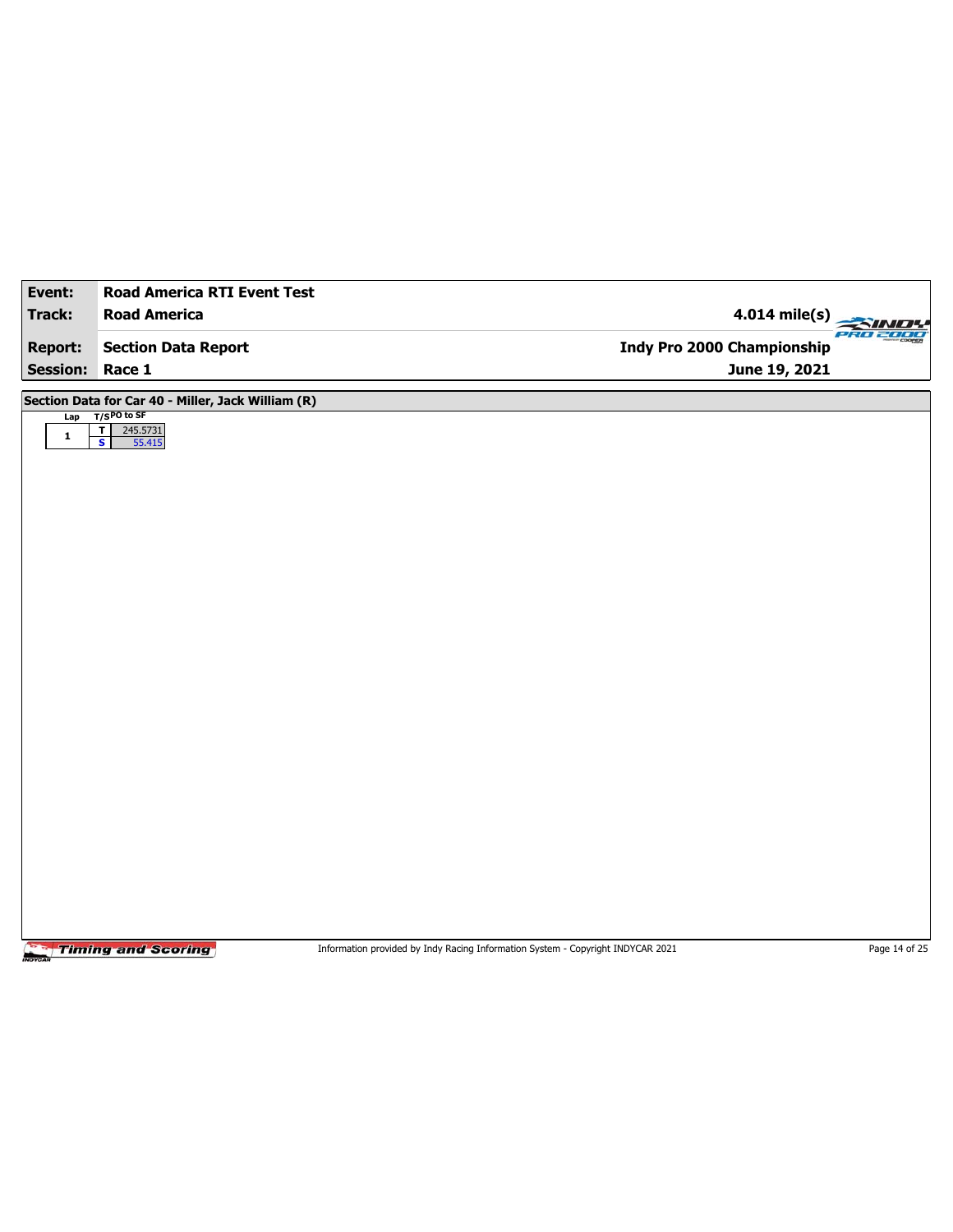| Event:              | <b>Road America RTI Event Test</b>                   |                                                                                 |               |
|---------------------|------------------------------------------------------|---------------------------------------------------------------------------------|---------------|
| Track:              | <b>Road America</b>                                  | $4.014$ mile(s)                                                                 |               |
| <b>Report:</b>      | <b>Section Data Report</b>                           | <b>Indy Pro 2000 Championship</b>                                               | RO 2000       |
| Session: Race 1     |                                                      | June 19, 2021                                                                   |               |
|                     | Section Data for Car 40 - Miller, Jack William (R)   |                                                                                 |               |
| Lap<br>$\mathbf{1}$ | $T/SPO$ to SF<br>$\overline{\mathbf{r}}$<br>245.5731 |                                                                                 |               |
|                     | $\overline{\mathbf{s}}$<br>55.415                    |                                                                                 |               |
|                     |                                                      |                                                                                 |               |
|                     |                                                      |                                                                                 |               |
|                     |                                                      |                                                                                 |               |
|                     |                                                      |                                                                                 |               |
|                     |                                                      |                                                                                 |               |
|                     |                                                      |                                                                                 |               |
|                     |                                                      |                                                                                 |               |
|                     |                                                      |                                                                                 |               |
|                     |                                                      |                                                                                 |               |
|                     |                                                      |                                                                                 |               |
|                     |                                                      |                                                                                 |               |
|                     |                                                      |                                                                                 |               |
|                     |                                                      |                                                                                 |               |
|                     |                                                      |                                                                                 |               |
|                     |                                                      |                                                                                 |               |
|                     |                                                      |                                                                                 |               |
|                     |                                                      |                                                                                 |               |
|                     |                                                      |                                                                                 |               |
|                     |                                                      |                                                                                 |               |
|                     | <b>Timing and Scoring</b>                            | Information provided by Indy Racing Information System - Copyright INDYCAR 2021 | Page 14 of 25 |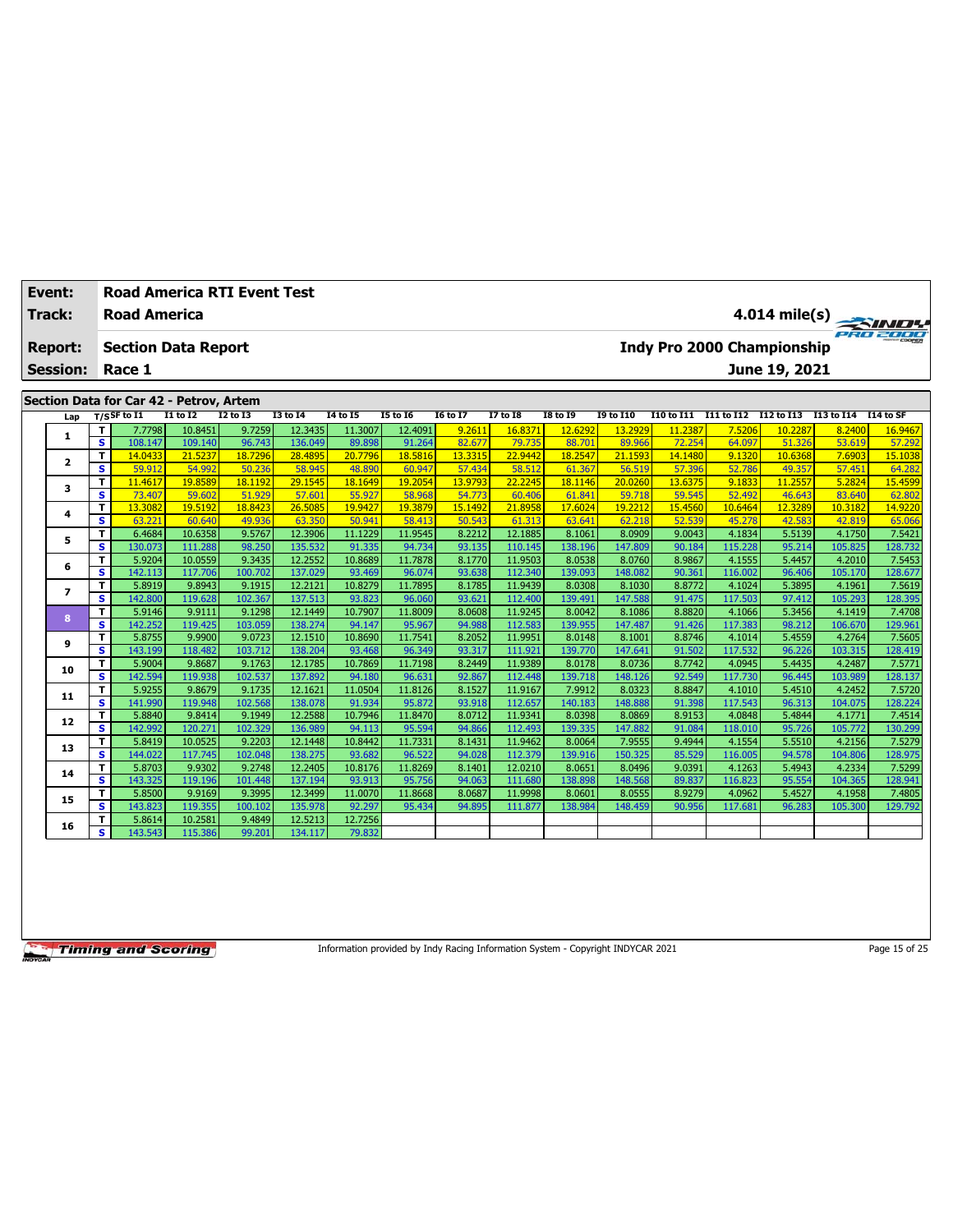| Event:          | <b>Road America RTI Event Test</b> |                                                                                                           |                   |                   |                    |                   |                   |                  |                    |                   |                   |                  |                   |                       |                   |                   |
|-----------------|------------------------------------|-----------------------------------------------------------------------------------------------------------|-------------------|-------------------|--------------------|-------------------|-------------------|------------------|--------------------|-------------------|-------------------|------------------|-------------------|-----------------------|-------------------|-------------------|
| <b>Track:</b>   |                                    | <b>Road America</b><br>$4.014$ mile(s)<br><b>Indy Pro 2000 Championship</b><br><b>Section Data Report</b> |                   |                   |                    |                   |                   |                  |                    |                   |                   |                  |                   |                       |                   |                   |
| <b>Report:</b>  |                                    |                                                                                                           |                   |                   |                    |                   |                   |                  |                    |                   |                   |                  |                   |                       |                   |                   |
| <b>Session:</b> |                                    | Race 1                                                                                                    |                   |                   |                    |                   |                   |                  |                    |                   |                   |                  |                   | June 19, 2021         |                   |                   |
|                 |                                    | Section Data for Car 42 - Petrov, Artem                                                                   |                   |                   |                    |                   |                   |                  |                    |                   |                   |                  |                   |                       |                   |                   |
| Lap             |                                    | $T/S$ SF to I1                                                                                            | <b>I1 to I2</b>   | $12$ to $13$      | <b>I3 to 14</b>    | <b>I4 to I5</b>   | <b>I5 to 16</b>   | <b>I6 to I7</b>  | $I7$ to $I8$       | <b>I8 to 19</b>   | <b>19 to I10</b>  | I10 to I11       | <b>I11 to I12</b> | I12 to I13 I13 to I14 |                   | I14 to SF         |
|                 | T                                  | 7.7798                                                                                                    | 10.8451           | 9.7259            | 12.3435            | 11.3007           | 12.4091           | 9.2611           | 16,8371            | 12,6292           | 13,2929           | 11.2387          | 7.5206            | 10.2287               | 8.2400            | 16.9467           |
| 1               | s                                  | 108.147                                                                                                   | 109.140           | 96.743            | 136.049            | 89.898            | 91.264            | 82.677           | 79.735             | 88.701            | 89.966            | 72.254           | 64.097            | 51.326                | 53.619            | 57.292            |
|                 | T                                  | 14.0433                                                                                                   | 21.5237           | 18.7296           | 28.4895            | 20.7796           | 18.5816           | 13.3315          | 22.9442            | 18.2547           | 21.1593           | 14.1480          | 9.1320            | 10.6368               | 7.6903            | 15.1038           |
| 2               | $\mathbf{s}$                       | 59.912                                                                                                    | 54.992            | 50,236            | 58.945             | 48.890            | 60.947            | 57,434           | 58.512             | 61.367            | 56.519            | 57.396           | 52.786            | 49.357                | 57.451            | 64.282            |
| 3               | T                                  | 11.4617                                                                                                   | 19.8589           | 18.1192           | 29.1545            | 18.1649           | 19.2054           | 13.9793          | 22.2245            | 18.1146           | 20.0260           | 13.6375          | 9.1833            | 11.2557               | 5.2824            | 15.4599           |
|                 | $\mathbf{s}$                       | 73.407                                                                                                    | 59.602            | 51,929            | 57.601             | 55.927            | 58.968            | 54.773           | 60,406             | 61.841            | 59.718            | 59.545           | 52,492            | 46.643                | 83.640            | 62.802            |
| 4               | T                                  | 13.3082                                                                                                   | 19.5192           | 18.8423           | 26.5085            | 19.9427           | 19.3879           | 15.1492          | 21.8958            | 17.6024           | 19.2212           | 15.4560          | 10.6464           | 12.3289               | 10.3182           | 14.9220           |
|                 | s                                  | 63.221                                                                                                    | 60.640            | 49.936            | 63.350             | 50.941            | 58.413            | 50.543           | 61.313             | 63.641            | 62.218            | 52.539           | 45.278            | 42.583                | 42.819            | 65.066            |
| 5               | T                                  | 6.4684                                                                                                    | 10.6358           | 9.5767            | 12.3906            | 11.1229           | 11.9545           | 8.2212           | 12.1885            | 8.1061            | 8.0909            | 9.0043           | 4.1834            | 5.5139                | 4.1750            | 7.5421            |
|                 | s                                  | 130.073                                                                                                   | 111.288           | 98.250            | 135.532            | 91.335            | 94.734            | 93.135           | 110.145            | 138.196           | 147.809           | 90.184           | 115.228           | 95.214                | 105.825           | 128.732           |
| 6               | T                                  | 5.9204                                                                                                    | 10.0559           | 9.3435            | 12.2552            | 10.8689           | 11.7878           | 8.1770           | 11.9503            | 8.0538            | 8.0760            | 8.9867           | 4.1555            | 5.4457                | 4.2010            | 7.5453            |
|                 | s                                  | 142.113                                                                                                   | 117.706           | 100.702           | 137.029            | 93.469            | 96.074            | 93.638           | 112.340            | 139.093           | 148.082           | 90.361           | 116.002           | 96.406                | 105.170           | 128.677           |
| 7               | T                                  | 5.8919                                                                                                    | 9.8943            | 9.1915            | 12.2121            | 10.8279           | 11.7895           | 8.1785           | 11.9439            | 8.0308            | 8.1030            | 8.8772           | 4.1024            | 5.3895                | 4.1961            | 7.5619            |
|                 | s<br>T                             | 142.800<br>5.9146                                                                                         | 119.628<br>9.9111 | 102.367<br>9.1298 | 137.513<br>12.1449 | 93.823<br>10.7907 | 96.060<br>11.8009 | 93.621<br>8.0608 | 112.400<br>11.9245 | 139.491<br>8.0042 | 147.588<br>8.1086 | 91.475<br>8.8820 | 117.503<br>4.1066 | 97.412<br>5.3456      | 105.293<br>4.1419 | 128.395           |
| 8               | s                                  | 142.252                                                                                                   | 119.425           | 103.059           | 138.274            | 94.147            | 95.967            | 94.988           | 112.583            | 139.955           | 147.487           | 91.426           | 117.383           | 98.212                | 106.670           | 7.4708<br>129.961 |
|                 | T                                  | 5.8755                                                                                                    | 9.9900            | 9.0723            | 12.1510            | 10.8690           | 11.7541           | 8.2052           | 11.9951            | 8.0148            | 8.1001            | 8.8746           | 4.1014            | 5.4559                | 4.2764            | 7.5605            |
| 9               | s                                  | 143.199                                                                                                   | 118.482           | 103.712           | 138.204            | 93.468            | 96.349            | 93.317           | 111.921            | 139.770           | 147.641           | 91.502           | 117.532           | 96.226                | 103.315           | 128.419           |
|                 | T                                  | 5.9004                                                                                                    | 9.8687            | 9.1763            | 12.1785            | 10.7869           | 11.7198           | 8.2449           | 11.9389            | 8.0178            | 8.0736            | 8.7742           | 4.0945            | 5.4435                | 4.2487            | 7.5771            |
| 10              | $\mathbf{s}$                       | 142.594                                                                                                   | 119.938           | 102.537           | 137.892            | 94.180            | 96.631            | 92.867           | 112.448            | 139.718           | 148.126           | 92.549           | 117.730           | 96.445                | 103.989           | 128.137           |
|                 | T                                  | 5.9255                                                                                                    | 9.8679            | 9.1735            | 12.1621            | 11.0504           | 11.8126           | 8.1527           | 11.9167            | 7.9912            | 8.0323            | 8.8847           | 4.1010            | 5.4510                | 4.2452            | 7.5720            |
| 11              | s                                  | 141.990                                                                                                   | 119.948           | 102.568           | 138.078            | 91.934            | 95.872            | 93.918           | 112.657            | 140.183           | 148.888           | 91.398           | 117.543           | 96.313                | 104.075           | 128.224           |
| 12              | Т                                  | 5.8840                                                                                                    | 9.8414            | 9.1949            | 12.2588            | 10.7946           | 11.8470           | 8.0712           | 11.9341            | 8.0398            | 8.0869            | 8.9153           | 4.0848            | 5.4844                | 4.1771            | 7.4514            |
|                 | $\mathbf{s}$                       | 142.992                                                                                                   | 120.271           | 102.329           | 136.989            | 94.113            | 95.594            | 94.866           | 112.493            | 139.335           | 147.882           | 91.084           | 118.010           | 95.726                | 105.772           | 130.299           |
| 13              | $\mathbf{T}$                       | 5.8419                                                                                                    | 10.0525           | 9.2203            | 12.1448            | 10.8442           | 11.7331           | 8.1431           | 11.9462            | 8.0064            | 7.9555            | 9.4944           | 4.1554            | 5.5510                | 4.2156            | 7.5279            |
|                 | $\mathbf{s}$                       | 144.022                                                                                                   | 117.745           | 102.048           | 138.275            | 93.682            | 96.522            | 94.028           | 112.379            | 139.916           | 150.325           | 85.529           | 116.005           | 94.578                | 104.806           | 128.975           |
| 14              | т                                  | 5.8703                                                                                                    | 9.9302            | 9.2748            | 12.2405            | 10.8176           | 11.8269           | 8.1401           | 12.0210            | 8.0651            | 8.0496            | 9.0391           | 4.1263            | 5.4943                | 4.2334            | 7.5299            |
|                 | $\mathbf{s}$                       | 143.325                                                                                                   | 119.196           | 101.448           | 137.194            | 93.913            | 95.756            | 94.063           | 111.680            | 138.898           | 148.568           | 89.837           | 116.823           | 95.554                | 104.365           | 128.941           |
| 15              | T                                  | 5.8500                                                                                                    | 9.9169            | 9.3995            | 12.3499            | 11.0070           | 11.8668           | 8.0687           | 11.9998            | 8.0601            | 8.0555            | 8.9279           | 4.0962            | 5.4527                | 4.1958            | 7.4805            |
|                 | $\mathbf{s}$                       | 143.823                                                                                                   | 119.355           | 100.102           | 135.978            | 92.297            | 95.434            | 94.895           | 111.877            | 138.984           | 148.459           | 90.956           | 117.681           | 96.283                | 105.300           | 129.792           |
| 16              | т                                  | 5.8614                                                                                                    | 10.2581           | 9.4849            | 12.5213            | 12.7256           |                   |                  |                    |                   |                   |                  |                   |                       |                   |                   |
|                 | s                                  | 143.543                                                                                                   | 115.386           | 99.201            | 134.117            | 79.832            |                   |                  |                    |                   |                   |                  |                   |                       |                   |                   |

Information provided by Indy Racing Information System - Copyright INDYCAR 2021 Page 15 of 25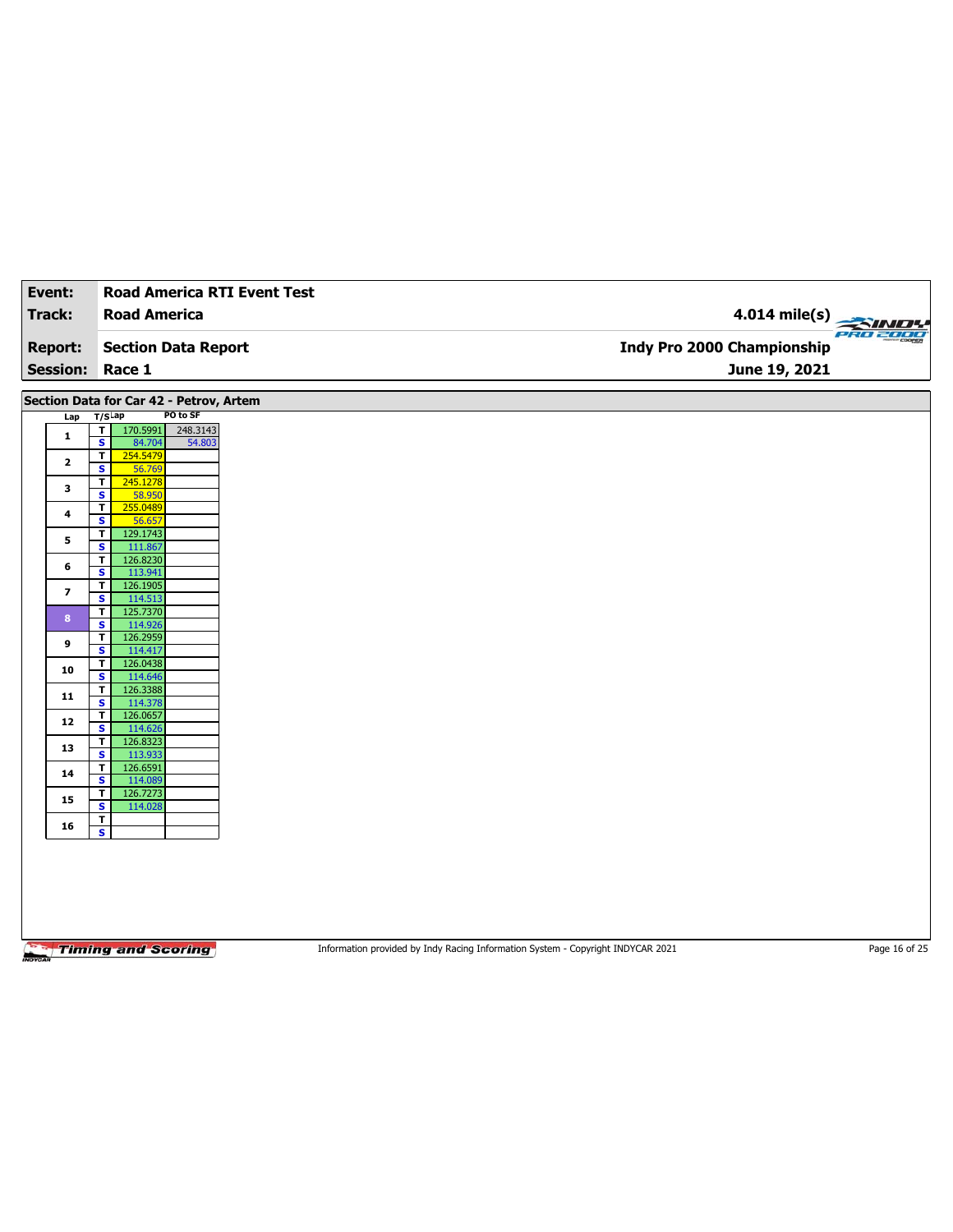| Event:          | <b>Road America RTI Event Test</b>                                                             |                                        |
|-----------------|------------------------------------------------------------------------------------------------|----------------------------------------|
| Track:          | <b>Road America</b>                                                                            | 4.014 mile(s)                          |
| <b>Report:</b>  | <b>Section Data Report</b>                                                                     | PRO 2000<br>Indy Pro 2000 Championship |
| <b>Session:</b> | Race 1                                                                                         | June 19, 2021                          |
|                 |                                                                                                |                                        |
|                 | Section Data for Car 42 - Petrov, Artem                                                        |                                        |
| Lap             | PO to SF<br>$T/S$ Lap                                                                          |                                        |
| $\mathbf{1}$    | 248.3143<br>$\overline{\mathbf{r}}$<br>170.5991<br>$\overline{\mathbf{s}}$<br>84.704<br>54.803 |                                        |
|                 | $\mathbf{I}$<br>254.5479                                                                       |                                        |
| $\mathbf{2}$    | $\overline{\mathbf{s}}$<br>56.769                                                              |                                        |
| 3               | $\overline{1}$<br>245.1278<br>$\overline{\mathbf{s}}$<br>58.950                                |                                        |
|                 | 255.0489<br>$\overline{\mathsf{r}}$                                                            |                                        |
| 4               | S<br>56.657                                                                                    |                                        |
| 5               | T<br>129.1743<br>$\overline{\mathbf{s}}$<br>111.867                                            |                                        |
|                 | $\overline{\mathsf{r}}$<br>126.8230                                                            |                                        |
| 6               | S<br>113.941                                                                                   |                                        |
| 7               | 126.1905<br>T<br>$\overline{\mathbf{s}}$<br>114.513                                            |                                        |
|                 | 125.7370<br>$\overline{\mathsf{r}}$                                                            |                                        |
| 8               | S<br>114.926                                                                                   |                                        |
| 9               | $\overline{\mathbf{r}}$<br>126.2959<br>$\overline{\mathbf{s}}$                                 |                                        |
|                 | 114.417<br>126.0438<br>T                                                                       |                                        |
| ${\bf 10}$      | S<br>114.646                                                                                   |                                        |
| 11              | 126.3388<br>$\mathbf{T}$                                                                       |                                        |
|                 | $\overline{\mathbf{s}}$<br>114.378<br>126.0657<br>$\mathbf{T}$                                 |                                        |
| 12              | S<br>114.626                                                                                   |                                        |
| 13              | 126.8323<br>$\mathbf T$                                                                        |                                        |
|                 | $\overline{\mathbf{s}}$<br>113.933<br>126.6591<br>$\mathbf{T}$                                 |                                        |
| 14              | $\overline{\mathbf{s}}$<br>114.089                                                             |                                        |
| 15              | 126.7273<br>$\mathbf{T}$                                                                       |                                        |
|                 | $\overline{\mathbf{s}}$<br>114.028<br>T                                                        |                                        |
| 16              | $\overline{\mathbf{s}}$                                                                        |                                        |
|                 |                                                                                                |                                        |
|                 |                                                                                                |                                        |
|                 |                                                                                                |                                        |
|                 |                                                                                                |                                        |

Information provided by Indy Racing Information System - Copyright INDYCAR 2021 Page 16 of 25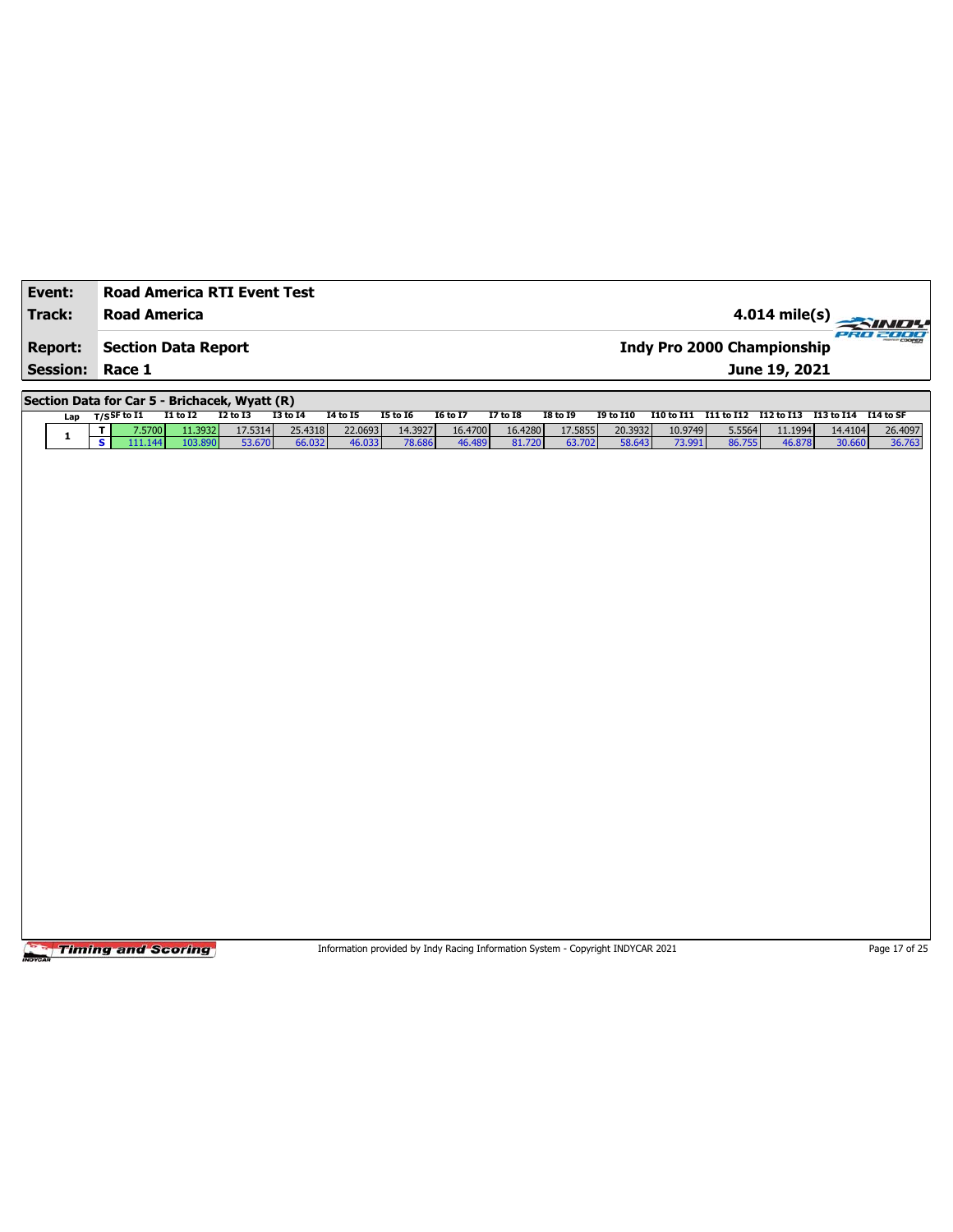| Event:          | <b>Road America RTI Event Test</b>                |                    |                   |                   |                   |                   |                   |                   |                   |                   |                                                       |                  |                         |                   |                   |
|-----------------|---------------------------------------------------|--------------------|-------------------|-------------------|-------------------|-------------------|-------------------|-------------------|-------------------|-------------------|-------------------------------------------------------|------------------|-------------------------|-------------------|-------------------|
| Track:          | <b>Road America</b>                               |                    |                   |                   |                   |                   |                   |                   |                   |                   |                                                       |                  | $4.014 \text{ mile(s)}$ |                   |                   |
| <b>Report:</b>  | <b>Section Data Report</b>                        |                    |                   |                   |                   |                   |                   |                   |                   |                   | <b>Indy Pro 2000 Championship</b>                     |                  |                         |                   | 280 2000          |
| <b>Session:</b> | Race 1                                            |                    |                   |                   |                   |                   |                   |                   |                   |                   |                                                       |                  | June 19, 2021           |                   |                   |
|                 | Section Data for Car 5 - Brichacek, Wyatt (R)     |                    |                   |                   |                   |                   |                   |                   |                   |                   |                                                       |                  |                         |                   |                   |
| Lap             | $T/S$ SF to $I1$                                  | $I1$ to $I2$       | $I2$ to $I3$      | $I3$ to $I4$      | <b>I4 to I5</b>   | <b>I5 to 16</b>   | <b>I6 to I7</b>   | <b>I7 to I8</b>   | <b>I8 to 19</b>   | <b>I9 to I10</b>  | I10 to I11 I11 to I12 I12 to I13 I13 to I14 I14 to SF |                  |                         |                   |                   |
| $\mathbf{1}$    | T<br>7.5700<br>$\overline{\mathbf{s}}$<br>111.144 | 11.3932<br>103.890 | 17.5314<br>53.670 | 25.4318<br>66.032 | 22.0693<br>46.033 | 14.3927<br>78.686 | 16.4700<br>46.489 | 16.4280<br>81.720 | 17.5855<br>63.702 | 20.3932<br>58.643 | 10.9749<br>73.991                                     | 5.5564<br>86.755 | 11.1994<br>46.878       | 14.4104<br>30.660 | 26.4097<br>36.763 |
|                 |                                                   |                    |                   |                   |                   |                   |                   |                   |                   |                   |                                                       |                  |                         |                   |                   |
|                 |                                                   |                    |                   |                   |                   |                   |                   |                   |                   |                   |                                                       |                  |                         |                   |                   |

Information provided by Indy Racing Information System - Copyright INDYCAR 2021 Page 17 of 25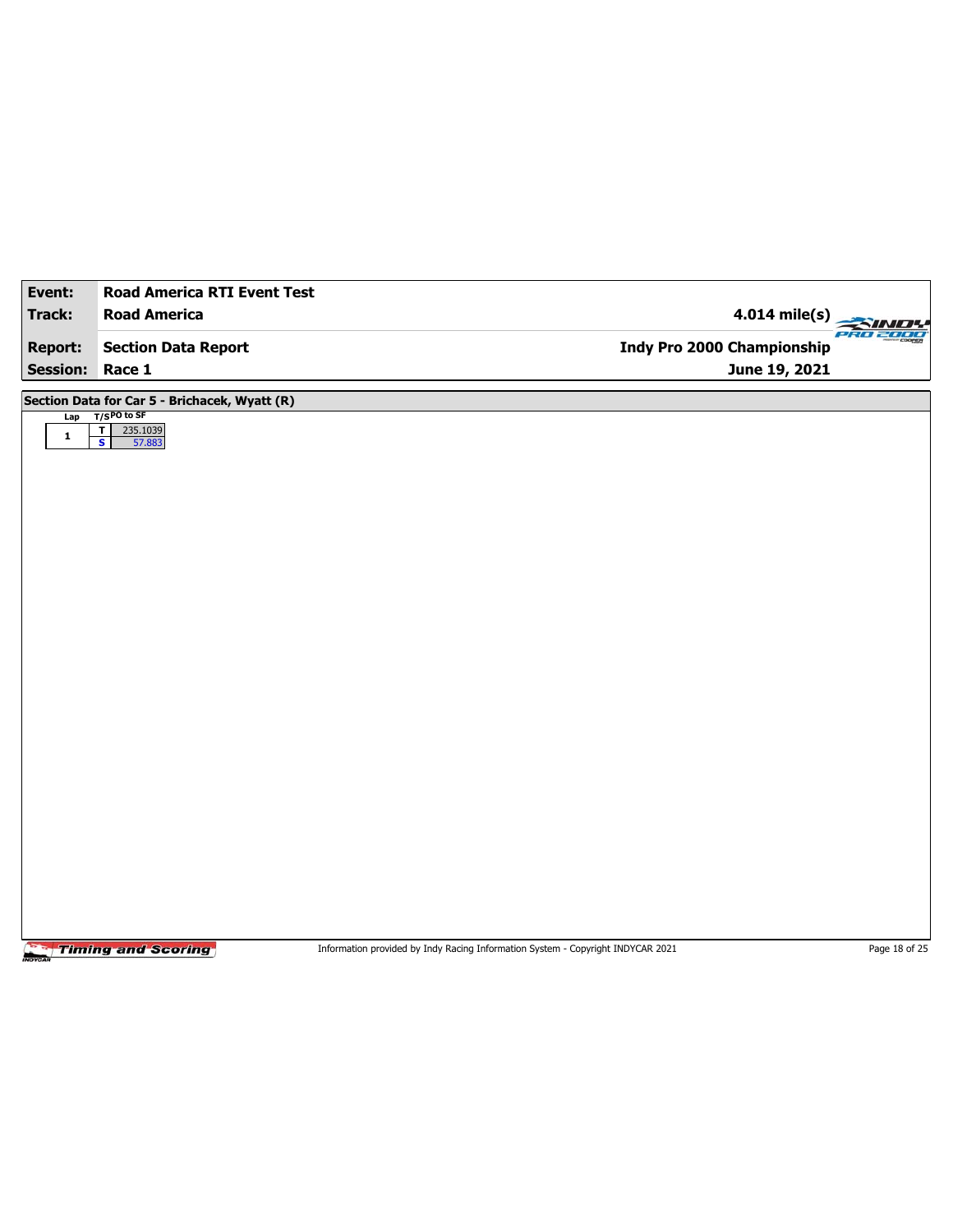| Event:          | <b>Road America RTI Event Test</b>            |                                               |
|-----------------|-----------------------------------------------|-----------------------------------------------|
| Track:          | <b>Road America</b>                           | 4.014 mile(s)                                 |
| <b>Report:</b>  | <b>Section Data Report</b>                    | <b>PRO 2000</b><br>Indy Pro 2000 Championship |
| <b>Session:</b> | Race 1                                        | June 19, 2021                                 |
|                 | Section Data for Car 5 - Brichacek, Wyatt (R) |                                               |
|                 | Lap T/SPO to SF                               |                                               |
| $\mathbf 1$     | 피<br>235.1039<br>$\mathbf{s}$<br>57.883       |                                               |
|                 |                                               |                                               |
|                 |                                               |                                               |
|                 |                                               |                                               |
|                 |                                               |                                               |
|                 |                                               |                                               |
|                 |                                               |                                               |
|                 |                                               |                                               |
|                 |                                               |                                               |
|                 |                                               |                                               |
|                 |                                               |                                               |
|                 |                                               |                                               |
|                 |                                               |                                               |
|                 |                                               |                                               |
|                 |                                               |                                               |
|                 |                                               |                                               |
|                 |                                               |                                               |
|                 |                                               |                                               |
|                 |                                               |                                               |
|                 |                                               |                                               |
|                 |                                               |                                               |

Information provided by Indy Racing Information System - Copyright INDYCAR 2021 Page 18 of 25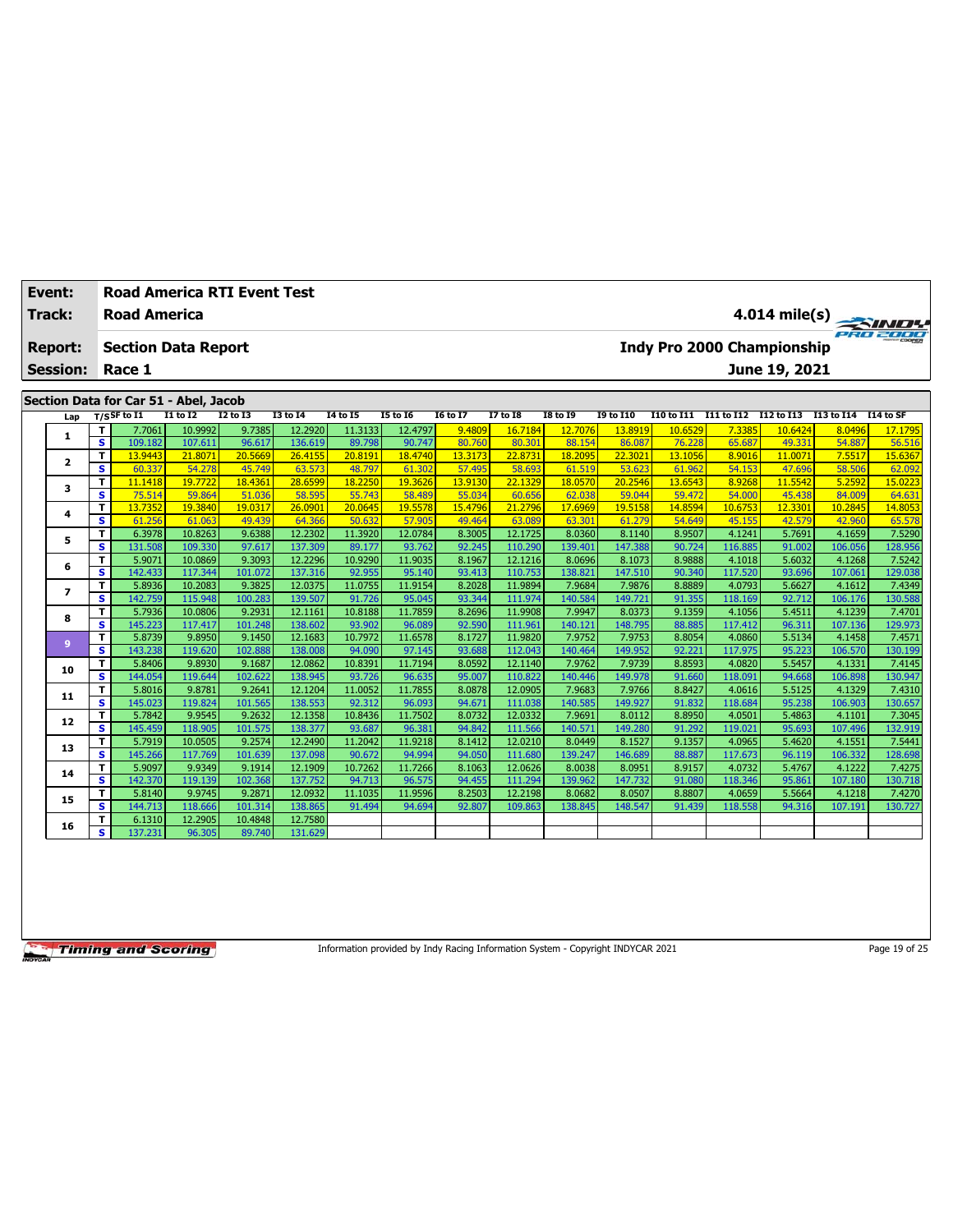| Event: |                                                                                                                                                                                                                                                                                             |                         |                            |                    | <b>Road America RTI Event Test</b> |                    |                   |                   |                   |                    |                   |                   |                   |                   |                                   |                   |                     |
|--------|---------------------------------------------------------------------------------------------------------------------------------------------------------------------------------------------------------------------------------------------------------------------------------------------|-------------------------|----------------------------|--------------------|------------------------------------|--------------------|-------------------|-------------------|-------------------|--------------------|-------------------|-------------------|-------------------|-------------------|-----------------------------------|-------------------|---------------------|
| Track: |                                                                                                                                                                                                                                                                                             |                         | <b>Road America</b>        |                    |                                    |                    |                   |                   |                   |                    |                   |                   |                   |                   | $4.014$ mile(s)                   |                   | <b>THE POINT !!</b> |
|        | <b>Report:</b>                                                                                                                                                                                                                                                                              |                         | <b>Section Data Report</b> |                    |                                    |                    |                   |                   |                   |                    |                   |                   |                   |                   | <b>Indy Pro 2000 Championship</b> |                   |                     |
|        | <b>Session:</b>                                                                                                                                                                                                                                                                             |                         | Race 1                     |                    |                                    |                    |                   |                   |                   |                    |                   |                   |                   |                   | June 19, 2021                     |                   |                     |
|        |                                                                                                                                                                                                                                                                                             |                         |                            |                    |                                    |                    |                   |                   |                   |                    |                   |                   |                   |                   |                                   |                   |                     |
|        | Section Data for Car 51 - Abel, Jacob<br>$T/S$ SF to I1<br><b>I1 to I2</b><br><b>I2 to I3</b><br><b>I3 to 14</b><br>14 to 15<br><b>I5 to 16</b><br>16 to 17<br><b>I7 to I8</b><br><b>I8 to 19</b><br><b>19 to I10</b><br>I10 to I11<br>I11 to I12 I12 to I13 I13 to I14<br>I14 to SF<br>Lap |                         |                            |                    |                                    |                    |                   |                   |                   |                    |                   |                   |                   |                   |                                   |                   |                     |
|        |                                                                                                                                                                                                                                                                                             |                         |                            |                    |                                    |                    |                   |                   |                   |                    |                   |                   |                   |                   |                                   |                   |                     |
|        | 1                                                                                                                                                                                                                                                                                           | т<br>s                  | 7.7061                     | 10.9992            | 9.7385                             | 12.2920            | 11.3133           | 12.4797           | 9.4809            | 16.7184            | 12.7076           | 13.8919           | 10.6529           | 7.3385            | 10.6424                           | 8.0496            | 17.1795             |
|        |                                                                                                                                                                                                                                                                                             | T                       | 109.182<br>13.9443         | 107.611<br>21.8071 | 96.617<br>20.5669                  | 136.619<br>26.4155 | 89.798<br>20.8191 | 90.747<br>18.4740 | 80.760<br>13.3173 | 80.301<br>22.8731  | 88.154<br>18.2095 | 86.087<br>22.3021 | 76.228<br>13.1056 | 65.687<br>8.9016  | 49.331<br>11.007                  | 54.887<br>7.5517  | 56.516<br>15.6367   |
|        | $\overline{2}$                                                                                                                                                                                                                                                                              | s                       | 60.337                     | 54.278             | 45.749                             | 63.573             | 48.797            | 61.302            | 57.495            | 58.693             | 61.519            | 53.623            | 61.962            | 54.153            | 47.696                            | 58.506            | 62.092              |
|        |                                                                                                                                                                                                                                                                                             | T                       | 11.1418                    | 19,7722            | 18,4361                            | 28.6599            | 18,2250           | 19.3626           | 13.9130           | 22.1329            | 18.0570           | 20.2546           | 13.6543           | 8.9268            | 11.5542                           | 5.2592            | 15.0223             |
|        | 3                                                                                                                                                                                                                                                                                           | $\overline{\mathbf{s}}$ | 75.514                     | 59.864             | 51.036                             | 58.595             | 55.743            | 58.489            | 55.034            | 60.656             | 62.038            | 59.044            | 59.472            | 54,000            | 45.438                            | 84.009            | 64.631              |
|        |                                                                                                                                                                                                                                                                                             | T                       | 13.7352                    | 19.3840            | 19.0317                            | 26,0901            | 20.064            | 19.5578           | 15.4796           | 21.2796            | 17.6969           | 19.5158           | 14.8594           | 10.6753           | 12.3301                           | 10.2845           | 14.8053             |
|        | 4                                                                                                                                                                                                                                                                                           | s                       | 61.256                     | 61.063             | 49.439                             | 64.366             | 50.632            | 57.905            | 49.464            | 63.089             | 63.301            | 61.279            | 54.649            | 45.155            | 42.579                            | 42.960            | 65.578              |
|        |                                                                                                                                                                                                                                                                                             | T                       | 6.3978                     | 10.8263            | 9.6388                             | 12.2302            | 11.3920           | 12.0784           | 8.3005            | 12.1725            | 8.0360            | 8.1140            | 8.9507            | 4.1241            | 5.7691                            | 4.1659            | 7.5290              |
|        | 5                                                                                                                                                                                                                                                                                           | s                       | 131.508                    | 109.330            | 97.617                             | 137.309            | 89.177            | 93.762            | 92.245            | 110.290            | 139.401           | 147.388           | 90.724            | 116.885           | 91.002                            | 106.056           | 128.956             |
|        | 6                                                                                                                                                                                                                                                                                           | T                       | 5.9071                     | 10.0869            | 9.3093                             | 12.2296            | 10.9290           | 11.9035           | 8.1967            | 12.1216            | 8.0696            | 8.1073            | 8.9888            | 4.1018            | 5.6032                            | 4.1268            | 7.5242              |
|        |                                                                                                                                                                                                                                                                                             | s                       | 142.433                    | 117.344            | 101.072                            | 137.316            | 92.955            | 95.140            | 93.413            | 110.753            | 138.821           | 147.510           | 90.340            | 117.520           | 93.696                            | 107.061           | 129.038             |
|        | $\overline{ }$                                                                                                                                                                                                                                                                              | T                       | 5.8936                     | 10.2083            | 9.3825                             | 12.0375            | 11.0755           | 11.9154           | 8.2028            | 11.9894            | 7.9684            | 7.9876            | 8.8889            | 4.0793            | 5.6627                            | 4.1612            | 7.4349              |
|        |                                                                                                                                                                                                                                                                                             | s                       | 142.759                    | 115.948            | 100.283                            | 139.507            | 91.726            | 95.045            | 93.344            | 111.974            | 140.584           | 149.721           | 91.355            | 118.169           | 92.712                            | 106.176           | 130.588             |
|        | 8                                                                                                                                                                                                                                                                                           | T                       | 5.7936                     | 10.0806            | 9.2931                             | 12.1161            | 10.8188           | 11.7859           | 8.2696            | 11.9908            | 7.9947            | 8.0373            | 9.1359            | 4.1056            | 5.4511                            | 4.1239            | 7.4701              |
|        |                                                                                                                                                                                                                                                                                             | s                       | 145.223                    | 117.417            | 101.248                            | 138,602            | 93.902            | 96.089            | 92.590            | 111.961            | 140.121           | 148.795           | 88.885            | 117.412           | 96.311                            | 107.136           | 129.973             |
|        | 9                                                                                                                                                                                                                                                                                           | T                       | 5.8739                     | 9.8950             | 9.1450                             | 12.1683            | 10.7972           | 11.6578           | 8.1727            | 11.9820            | 7.9752            | 7.9753            | 8.8054            | 4.0860            | 5.5134                            | 4.1458            | 7.4571              |
|        |                                                                                                                                                                                                                                                                                             | s<br>T                  | 143.238<br>5.8406          | 119.620<br>9.8930  | 102.888<br>9.1687                  | 138,008<br>12.0862 | 94.090<br>10.8391 | 97.145<br>11.7194 | 93.688<br>8.0592  | 112.043<br>12.1140 | 140.464<br>7.9762 | 149.952<br>7.9739 | 92.221<br>8.8593  | 117.975<br>4.0820 | 95.223<br>5.5457                  | 106.570<br>4.1331 | 130.199<br>7.4145   |
|        | 10                                                                                                                                                                                                                                                                                          | s                       | 144.054                    | 119.644            | 102.622                            | 138.945            | 93.726            | 96.635            | 95.007            | 110.822            | 140.446           | 149.978           | 91.660            | 118.091           | 94.668                            | 106.898           | 130.947             |
|        |                                                                                                                                                                                                                                                                                             | T                       | 5.8016                     | 9.8781             | 9.2641                             | 12.1204            | 11.0052           | 11.7855           | 8.0878            | 12.0905            | 7.9683            | 7.9766            | 8.8427            | 4.0616            | 5.5125                            | 4.1329            | 7.4310              |
|        | 11                                                                                                                                                                                                                                                                                          | s                       | 145.023                    | 119.824            | 101.565                            | 138.553            | 92.312            | 96.093            | 94.67             | 111.038            | 140.585           | 149.927           | 91.832            | 118.684           | 95.238                            | 106.903           | 130.657             |
|        |                                                                                                                                                                                                                                                                                             | T                       | 5.7842                     | 9.9545             | 9.2632                             | 12.1358            | 10.8436           | 11.7502           | 8.0732            | 12.0332            | 7.9691            | 8.0112            | 8.8950            | 4.0501            | 5.4863                            | 4.1101            | 7.3045              |
|        | 12                                                                                                                                                                                                                                                                                          | s                       | 145.459                    | 118.905            | 101.575                            | 138.377            | 93.687            | 96.381            | 94.842            | 111.566            | 140.571           | 149.280           | 91.292            | 119.021           | 95.693                            | 107.496           | 132.919             |
|        |                                                                                                                                                                                                                                                                                             | T                       | 5.7919                     | 10.0505            | 9.2574                             | 12.2490            | 11.2042           | 11.9218           | 8.1412            | 12.0210            | 8.0449            | 8.1527            | 9.1357            | 4.0965            | 5.4620                            | 4.1551            | 7.5441              |
|        | 13                                                                                                                                                                                                                                                                                          | s                       | 145.266                    | 117.769            | 101.639                            | 137.098            | 90.672            | 94.994            | 94.050            | 111.680            | 139.247           | 146.689           | 88.887            | 117.673           | 96.119                            | 106.332           | 128.698             |
|        |                                                                                                                                                                                                                                                                                             | T                       | 5.9097                     | 9.9349             | 9.1914                             | 12.1909            | 10.7262           | 11.7266           | 8.1063            | 12.0626            | 8.0038            | 8.0951            | 8.9157            | 4.0732            | 5.4767                            | 4.1222            | 7.4275              |
|        | 14                                                                                                                                                                                                                                                                                          | s                       | 142.370                    | 119.139            | 102.368                            | 137.752            | 94.713            | 96.575            | 94.455            | 111.294            | 139.962           | 147.732           | 91.080            | 118.346           | 95.861                            | 107.180           | 130.718             |
|        | 15                                                                                                                                                                                                                                                                                          | т                       | 5.8140                     | 9.9745             | 9.2871                             | 12.0932            | 11.1035           | 11.9596           | 8.2503            | 12.2198            | 8.0682            | 8.0507            | 8.8807            | 4.0659            | 5.5664                            | 4.1218            | 7.4270              |
|        |                                                                                                                                                                                                                                                                                             | $\mathbf{s}$            | 144.713                    | 118.666            | 101.314                            | 138.865            | 91.494            | 94.694            | 92.807            | 109.863            | 138.845           | 148.547           | 91.439            | 118.558           | 94.316                            | 107.191           | 130.727             |
|        | 16                                                                                                                                                                                                                                                                                          | т                       | 6.1310                     | 12.2905            | 10.4848                            | 12.7580            |                   |                   |                   |                    |                   |                   |                   |                   |                                   |                   |                     |
|        |                                                                                                                                                                                                                                                                                             | s                       | 137.231                    | 96.305             | 89.740                             | 131.629            |                   |                   |                   |                    |                   |                   |                   |                   |                                   |                   |                     |

Information provided by Indy Racing Information System - Copyright INDYCAR 2021 Page 19 of 25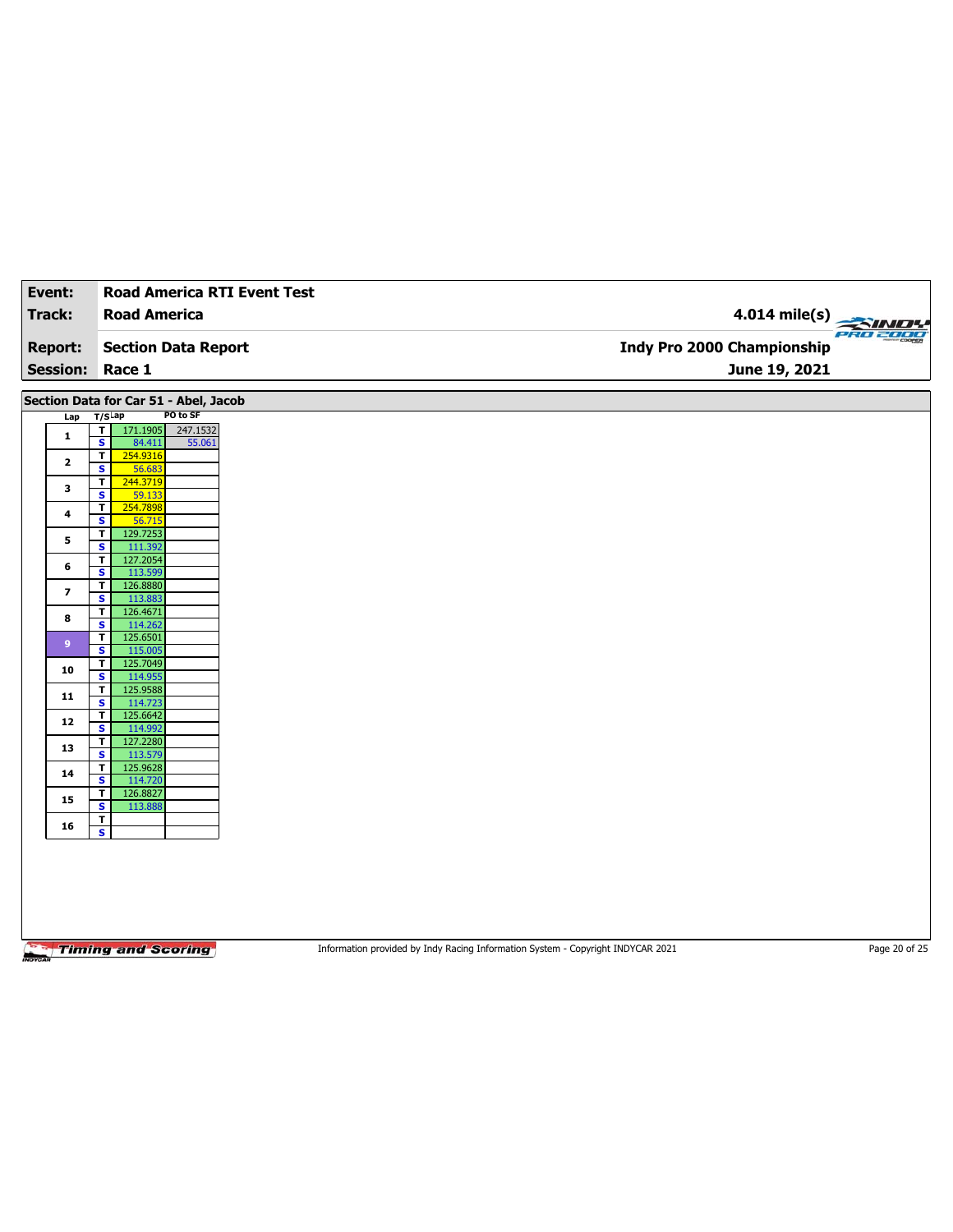| Event:                  | <b>Road America RTI Event Test</b>                                        |                            |
|-------------------------|---------------------------------------------------------------------------|----------------------------|
| <b>Track:</b>           | <b>Road America</b>                                                       | 4.014 mile(s)<br>PRO 2000  |
| <b>Report:</b>          | <b>Section Data Report</b>                                                | Indy Pro 2000 Championship |
| <b>Session:</b>         | Race 1                                                                    | June 19, 2021              |
|                         | Section Data for Car 51 - Abel, Jacob                                     |                            |
| Lap T/SLap              | PO to SF                                                                  |                            |
| $\mathbf{1}$            | 171.1905<br>247.1532<br>T<br>$\overline{\mathbf{s}}$<br>84.411<br>55.061  |                            |
| $\mathbf{2}$            | 254.9316<br>$\mathbf{I}$                                                  |                            |
|                         | $\overline{\mathbf{s}}$<br>56.683<br>$\overline{1}$<br>244.3719           |                            |
| 3                       | $\overline{\mathbf{s}}$<br>59.133                                         |                            |
| 4                       | 254.7898<br>T<br>S<br>56.715                                              |                            |
| 5                       | 129.7253<br>T                                                             |                            |
|                         | $\overline{\mathbf{s}}$<br>111.392<br>127.2054<br>$\overline{\mathsf{r}}$ |                            |
| 6                       | $\overline{\mathbf{s}}$<br>113.599                                        |                            |
| $\overline{\mathbf{z}}$ | $\mathbf{T}$<br>126.8880<br>$\overline{\mathbf{s}}$<br>113.883            |                            |
| 8                       | 126.4671<br>T<br>$\mathbf{s}$<br>114.262                                  |                            |
| 9 <sup>°</sup>          | 125.6501<br>T                                                             |                            |
|                         | $\overline{\mathbf{s}}$<br>115.005<br>᠇<br>125.7049                       |                            |
| 10                      | $\overline{\mathbf{s}}$<br>114.955                                        |                            |
| $11$                    | $\blacksquare$<br>125.9588<br>$\overline{\mathbf{s}}$<br>114.723          |                            |
| 12                      | 125.6642<br>$\overline{\mathsf{r}}$                                       |                            |
|                         | 114.992<br>S<br>T<br>127.2280                                             |                            |
| 13                      | $\overline{\mathbf{s}}$<br>113.579                                        |                            |
| 14                      | 125.9628<br>$\overline{\mathbf{r}}$<br>$\overline{\mathbf{s}}$<br>114.720 |                            |
| 15                      | $\overline{\mathbf{r}}$<br>126.8827                                       |                            |
|                         | $\overline{\mathbf{s}}$<br>113.888<br>Τ                                   |                            |
| 16                      | $\overline{\mathbf{s}}$                                                   |                            |
|                         |                                                                           |                            |
|                         |                                                                           |                            |
|                         |                                                                           |                            |
|                         |                                                                           |                            |
|                         |                                                                           |                            |

Information provided by Indy Racing Information System - Copyright INDYCAR 2021 Page 20 of 25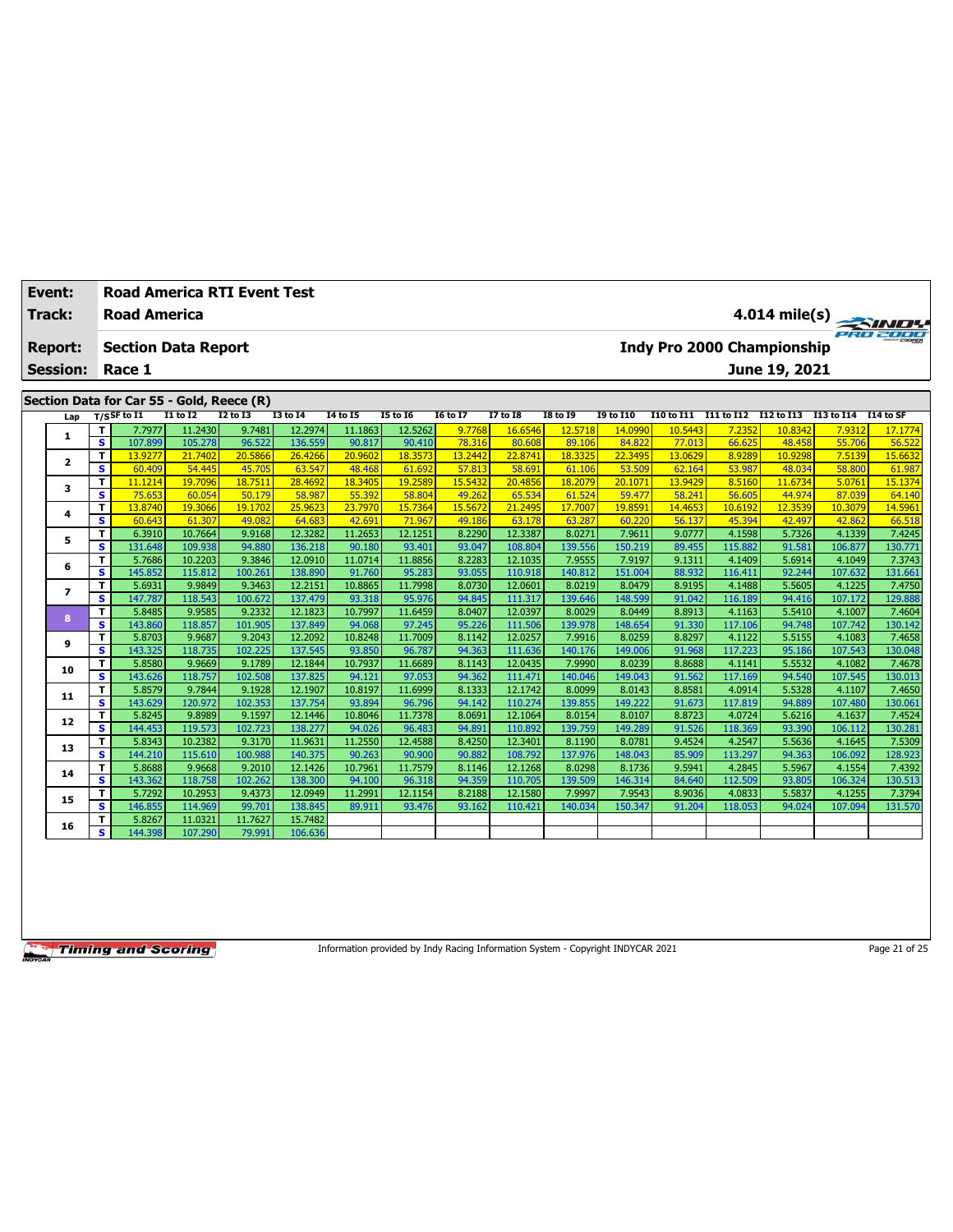| Event: |                 |              |                            |                   | <b>Road America RTI Event Test</b>        |                   |                   |                   |                   |                   |                   |                   |                   |                   |                                   |                   |                     |
|--------|-----------------|--------------|----------------------------|-------------------|-------------------------------------------|-------------------|-------------------|-------------------|-------------------|-------------------|-------------------|-------------------|-------------------|-------------------|-----------------------------------|-------------------|---------------------|
| Track: |                 |              | <b>Road America</b>        |                   |                                           |                   |                   |                   |                   |                   |                   |                   |                   |                   | 4.014 mile(s)                     |                   | <b>THE POINT !!</b> |
|        | <b>Report:</b>  |              | <b>Section Data Report</b> |                   |                                           |                   |                   |                   |                   |                   |                   |                   |                   |                   | <b>Indy Pro 2000 Championship</b> |                   |                     |
|        | <b>Session:</b> |              | Race 1                     |                   |                                           |                   |                   |                   |                   |                   |                   |                   |                   |                   | June 19, 2021                     |                   |                     |
|        |                 |              |                            |                   |                                           |                   |                   |                   |                   |                   |                   |                   |                   |                   |                                   |                   |                     |
|        |                 |              |                            |                   | Section Data for Car 55 - Gold, Reece (R) |                   |                   |                   |                   |                   |                   |                   |                   |                   |                                   |                   |                     |
|        | Lap             |              | $T/S$ SF to I1             | <b>I1 to I2</b>   | <b>I2 to I3</b>                           | <b>I3 to 14</b>   | <b>I4 to I5</b>   | <b>I5 to 16</b>   | <b>I6 to I7</b>   | <b>I7 to I8</b>   | <b>I8 to 19</b>   | <b>I9 to I10</b>  | I10 to I11        |                   | I11 to I12 I12 to I13 I13 to I14  |                   | I14 to SF           |
|        | 1               | T            | 7.7977                     | 11.2430           | 9.7481                                    | 12.2974           | 11.1863           | 12.5262           | 9.7768            | 16.6546           | 12.5718           | 14.0990           | 10.5443           | 7.2352            | 10.8342                           | 7.9312            | 17.1774             |
|        |                 | s            | 107.899                    | 105.278           | 96.522                                    | 136.559           | 90.817            | 90.410            | 78.316            | 80.608            | 89.106            | 84.822            | 77.013            | 66.625            | 48.458                            | 55.706            | 56.522              |
|        | $\mathbf{2}$    | т            | 13.9277                    | 21.7402           | 20.5866                                   | 26.4266           | 20.9602           | 18.3573           | 13.2442           | 22.8741           | 18.3325           | 22.3495           | 13.0629           | 8.9289            | 10.9298                           | 7.5139            | 15.6632             |
|        |                 | s            | 60.409                     | 54.445            | 45.705                                    | 63.547            | 48.468            | 61.692            | 57.813            | 58.691            | 61.106            | 53.509            | 62.164            | 53.987            | 48.034                            | 58.800            | 61.987              |
|        | 3               | T            | 11.1214                    | 19.7096           | 18.7511                                   | 28.4692           | 18.3405           | 19.2589           | 15.5432           | 20.4856           | 18,2079           | 20.1071           | 13,9429           | 8.5160            | 11.6734                           | 5.0761            | 15.1374             |
|        |                 | s            | 75.653                     | 60.054            | 50.179                                    | 58.987<br>25.9623 | 55.392            | 58.804            | 49.262<br>15.5672 | 65.534            | 61.524            | 59.477<br>19.8591 | 58.241            | 56.605            | 44.974                            | 87.039            | 64.140              |
|        | 4               | T<br>s       | 13.8740<br>60.643          | 19.3066<br>61.307 | 19.1702<br>49.082                         | 64.683            | 23.7970<br>42.691 | 15.7364<br>71.967 | 49.186            | 21.2495<br>63.178 | 17.7007<br>63.287 | 60.220            | 14.4653<br>56.137 | 10.6192<br>45.394 | 12.3539<br>42.497                 | 10.3079<br>42.862 | 14.5961<br>66.518   |
|        |                 | T            | 6.3910                     | 10.7664           | 9.9168                                    | 12.3282           | 11.2653           | 12.1251           | 8.2290            | 12.3387           | 8.0271            | 7.9611            | 9.0777            | 4.1598            | 5.7326                            | 4.1339            | 7.4245              |
|        | 5               | s            | 131.648                    | 109.938           | 94.880                                    | 136.218           | 90.180            | 93.401            | 93.047            | 108.804           | 139.556           | 150.219           | 89.455            | 115.882           | 91.581                            | 106.877           | 130.771             |
|        |                 | T            | 5.7686                     | 10.2203           | 9.3846                                    | 12.0910           | 11.0714           | 11.8856           | 8.2283            | 12.1035           | 7.9555            | 7.9197            | 9.1311            | 4.1409            | 5.6914                            | 4.1049            | 7.3743              |
|        | 6               | s            | 145.852                    | 115.812           | 100.261                                   | 138,890           | 91.760            | 95.283            | 93.055            | 110.918           | 140.812           | 151.004           | 88.932            | 116.411           | 92.244                            | 107.632           | 131.661             |
|        |                 | T            | 5.6931                     | 9.9849            | 9.3463                                    | 12.2151           | 10.8865           | 11.7998           | 8.0730            | 12.0601           | 8.0219            | 8.0479            | 8.9195            | 4.1488            | 5.5605                            | 4.1225            | 7.4750              |
|        | $\overline{ }$  | s            | 147.787                    | 118.543           | 100.672                                   | 137.479           | 93.318            | 95.976            | 94.845            | 111.317           | 139.646           | 148.599           | 91.042            | 116.189           | 94.416                            | 107.172           | 129.888             |
|        |                 | T            | 5.8485                     | 9.9585            | 9.2332                                    | 12.1823           | 10.7997           | 11.6459           | 8.0407            | 12.0397           | 8.0029            | 8.0449            | 8.8913            | 4.1163            | 5.5410                            | 4.1007            | 7.4604              |
|        | 8               | s            | 143.860                    | 118.857           | 101.905                                   | 137,849           | 94.068            | 97.245            | 95.226            | 111.506           | 139.978           | 148.654           | 91.330            | 117.106           | 94.748                            | 107.742           | 130.142             |
|        |                 | T            | 5.8703                     | 9.9687            | 9.2043                                    | 12.2092           | 10.8248           | 11.7009           | 8.1142            | 12.0257           | 7.9916            | 8.0259            | 8.8297            | 4.1122            | 5.5155                            | 4.1083            | 7.4658              |
|        | 9               | $\mathbf{s}$ | 143.325                    | 118.735           | 102.225                                   | 137.545           | 93.850            | 96.787            | 94.363            | 111.636           | 140.176           | 149.006           | 91.968            | 117.223           | 95.186                            | 107.543           | 130.048             |
|        |                 | T            | 5.8580                     | 9.9669            | 9.1789                                    | 12.1844           | 10.7937           | 11.6689           | 8.1143            | 12.0435           | 7.9990            | 8.0239            | 8.8688            | 4.1141            | 5.5532                            | 4.1082            | 7.4678              |
|        | 10              | s            | 143.626                    | 118.757           | 102.508                                   | 137,825           | 94.121            | 97.053            | 94.362            | 111.471           | 140.046           | 149.043           | 91.562            | 117.169           | 94.540                            | 107.545           | 130.013             |
|        |                 | T            | 5.8579                     | 9.7844            | 9.1928                                    | 12.1907           | 10.8197           | 11.6999           | 8.1333            | 12.1742           | 8.0099            | 8.0143            | 8.8581            | 4.0914            | 5.5328                            | 4.1107            | 7.4650              |
|        | 11              | s            | 143.629                    | 120.972           | 102.353                                   | 137.754           | 93.894            | 96.796            | 94.142            | 110.274           | 139.855           | 149.222           | 91.673            | 117.819           | 94.889                            | 107.480           | 130.061             |
|        | 12              | T            | 5.8245                     | 9.8989            | 9.1597                                    | 12.1446           | 10.8046           | 11.7378           | 8.0691            | 12.1064           | 8.0154            | 8.0107            | 8.8723            | 4.0724            | 5.6216                            | 4.1637            | 7.4524              |
|        |                 | s            | 144.453                    | 119.573           | 102.723                                   | 138.277           | 94.026            | 96.483            | 94.891            | 110.892           | 139.759           | 149.289           | 91.526            | 118.369           | 93.390                            | 106.112           | 130.281             |
|        | 13              | т            | 5.8343                     | 10.2382           | 9.3170                                    | 11.9631           | 11.2550           | 12.4588           | 8.4250            | 12.3401           | 8.1190            | 8.0781            | 9.4524            | 4.2547            | 5.5636                            | 4.1645            | 7.5309              |
|        |                 | $\mathbf{s}$ | 144.210                    | 115.610           | 100.988                                   | 140.375           | 90.263            | 90.900            | 90.882            | 108.792           | 137.976           | 148.043           | 85.909            | 113.297           | 94.363                            | 106.092           | 128.923             |
|        | 14              | T            | 5.8688                     | 9.9668            | 9.2010                                    | 12.1426           | 10.7961           | 11.7579           | 8.1146            | 12.1268           | 8.0298            | 8.1736            | 9.5941            | 4.2845            | 5.5967                            | 4.1554            | 7.4392              |
|        |                 | s            | 143.362                    | 118.758           | 102.262                                   | 138.300           | 94.100            | 96.318            | 94.359            | 110.705           | 139.509           | 146.314           | 84.640            | 112.509           | 93.805                            | 106.324           | 130.513             |
|        | 15              | T            | 5.7292                     | 10.2953           | 9.4373                                    | 12.0949           | 11.2991           | 12.1154           | 8.2188            | 12.1580           | 7.9997            | 7.9543            | 8.9036            | 4.0833            | 5.5837                            | 4.1255            | 7.3794              |
|        |                 | s            | 146.855                    | 114.969           | 99.701                                    | 138.845           | 89.911            | 93.476            | 93.162            | 110.421           | 140.034           | 150.347           | 91.204            | 118.053           | 94.024                            | 107.094           | 131.570             |
|        | 16              | T            | 5.8267                     | 11.0321           | 11.7627                                   | 15.7482           |                   |                   |                   |                   |                   |                   |                   |                   |                                   |                   |                     |
|        |                 | s            | 144.398                    | 107.290           | 79.991                                    | 106.636           |                   |                   |                   |                   |                   |                   |                   |                   |                                   |                   |                     |

Information provided by Indy Racing Information System - Copyright INDYCAR 2021 Page 21 of 25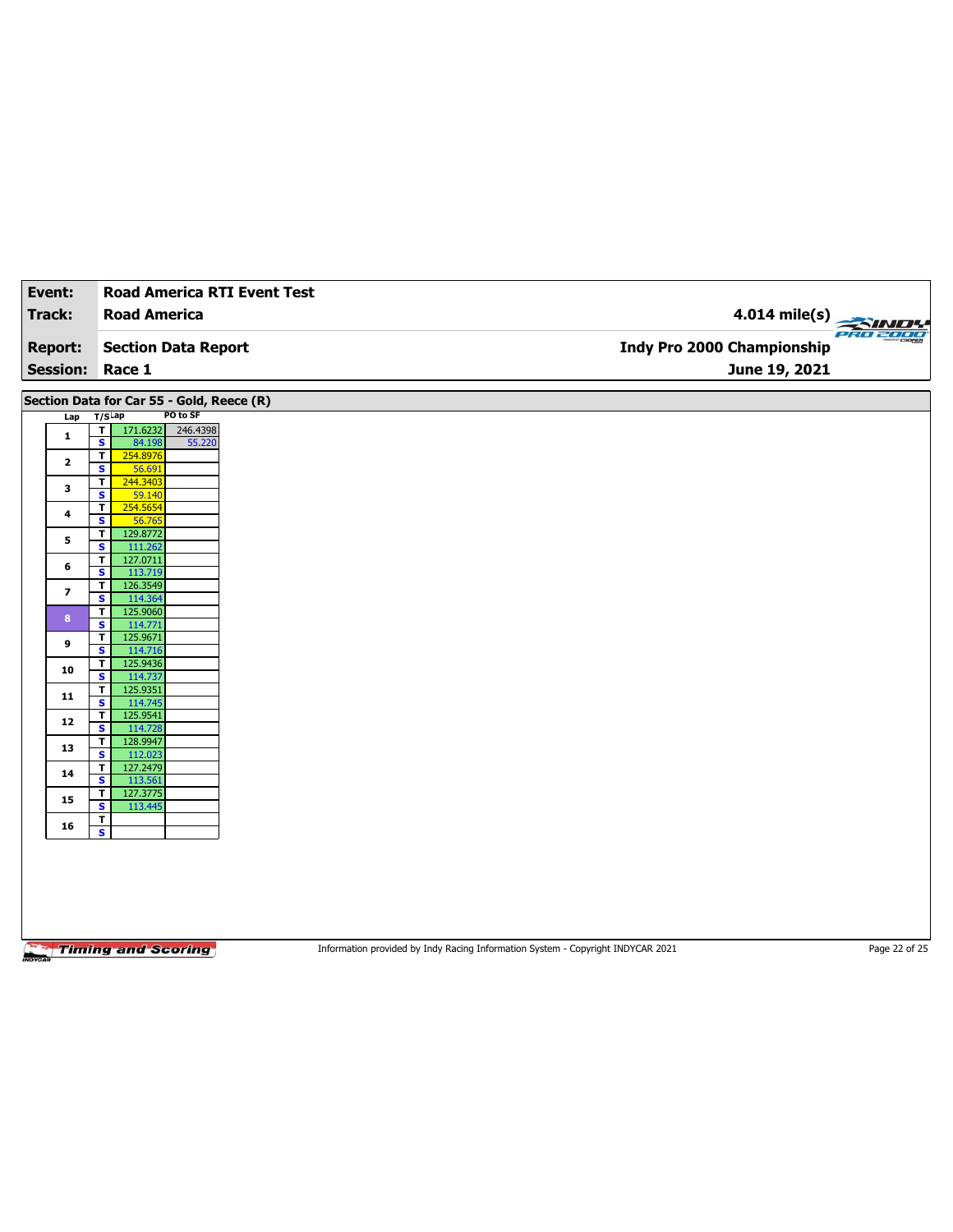| Event:         |              | <b>Road America RTI Event Test</b>                                                    |                            |
|----------------|--------------|---------------------------------------------------------------------------------------|----------------------------|
| <b>Track:</b>  |              | <b>Road America</b>                                                                   |                            |
|                |              |                                                                                       | $4.014$ mile(s)            |
| <b>Report:</b> |              | <b>Section Data Report</b>                                                            | Indy Pro 2000 Championship |
|                |              | Session: Race 1                                                                       | June 19, 2021              |
|                |              | Section Data for Car 55 - Gold, Reece (R)                                             |                            |
|                | Lap          | PO to SF<br>$T/S$ Lap                                                                 |                            |
|                | $\mathbf{1}$ | $\blacksquare$<br>171.6232<br>246.4398<br>$\overline{\mathbf{s}}$<br>84.198<br>55.220 |                            |
|                | $\mathbf{z}$ | 254.8976<br>T<br>$\mathbf{s}$<br>56.691                                               |                            |
|                | 3            | 244.3403<br>T                                                                         |                            |
|                |              | $\overline{\mathbf{s}}$<br>59.140<br>254.5654<br>٣                                    |                            |
|                | 4            | S<br>56.765                                                                           |                            |
|                | 5            | $\overline{\mathsf{r}}$<br>129.8772                                                   |                            |
|                |              | 111.262<br>$\overline{\mathbf{s}}$<br>127.0711<br>T.                                  |                            |
|                | 6            | S<br>113.719                                                                          |                            |
|                | 7            | $\overline{\mathsf{r}}$<br>126.3549                                                   |                            |
|                |              | $\overline{\mathbf{s}}$<br>114.364<br>125.9060<br>$\overline{\mathsf{r}}$             |                            |
|                | 8            | S<br>114.771                                                                          |                            |
|                | 9            | $\overline{\mathsf{r}}$<br>125.9671                                                   |                            |
|                |              | $\overline{\mathbf{s}}$<br>114.716                                                    |                            |
|                | 10           | 125.9436<br>T<br>$\overline{\mathbf{s}}$<br>114.737                                   |                            |
|                | 11           | $\overline{\mathbf{r}}$<br>125.9351                                                   |                            |
|                |              | $\overline{\mathbf{s}}$<br>114.745                                                    |                            |
|                | 12           | 125.9541<br>$\mathbf{T}$<br>$\mathbf{s}$<br>114.728                                   |                            |
|                | 13           | 128.9947<br>$\overline{\mathbf{r}}$                                                   |                            |
|                |              | $\overline{\mathbf{s}}$<br>112.023                                                    |                            |
|                | 14           | 127.2479<br>T<br>$\overline{\mathbf{s}}$<br>113.561                                   |                            |
|                | 15           | 127.3775<br>$\mathbf{T}$                                                              |                            |
|                |              | 113.445<br>s.                                                                         |                            |
|                | 16           | $\overline{\mathsf{r}}$<br>$\overline{\mathbf{s}}$                                    |                            |
|                |              |                                                                                       |                            |
|                |              |                                                                                       |                            |
|                |              |                                                                                       |                            |
|                |              |                                                                                       |                            |
|                |              |                                                                                       |                            |
|                |              |                                                                                       |                            |

Information provided by Indy Racing Information System - Copyright INDYCAR 2021 Page 22 of 25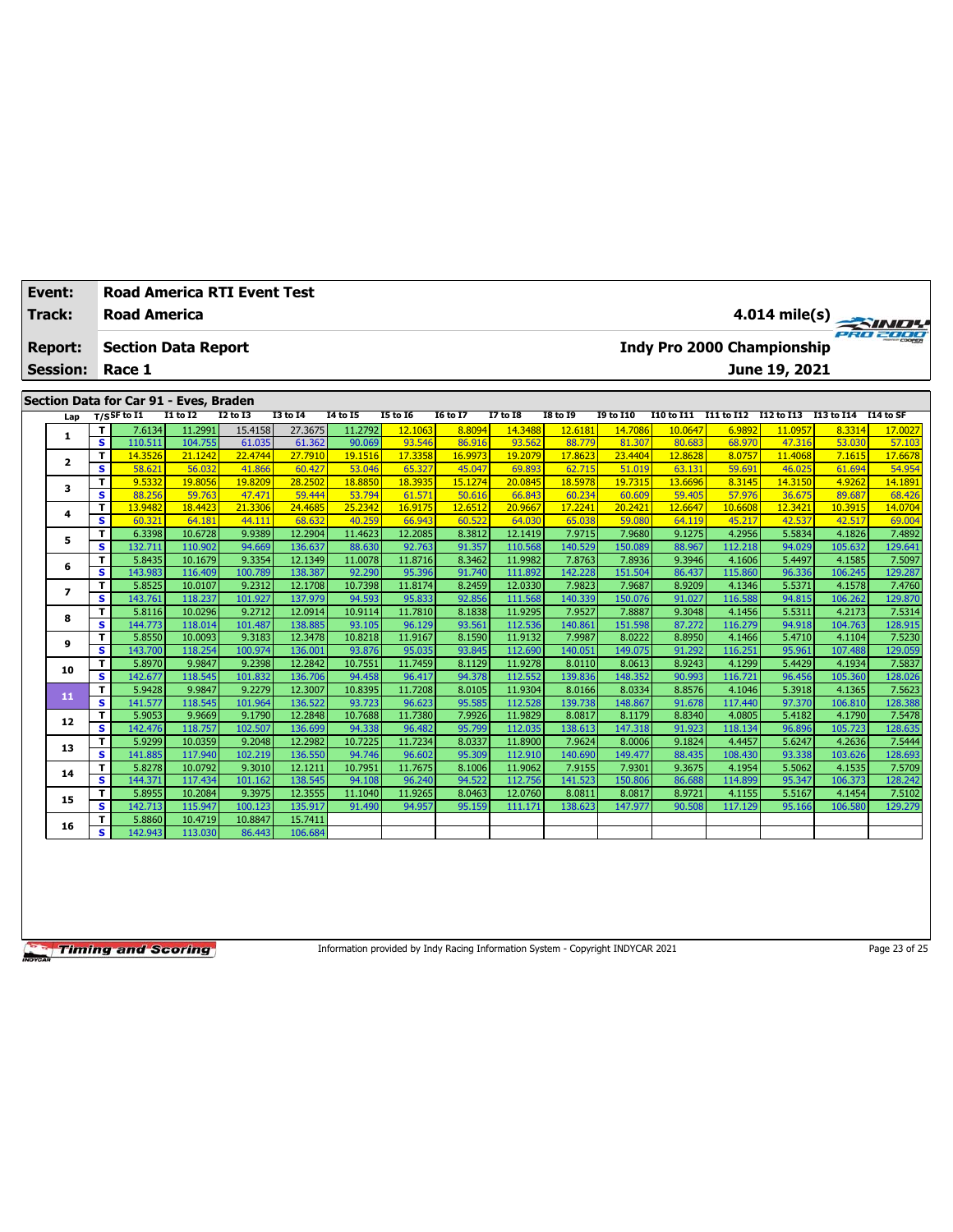| Event:          | <b>Road America RTI Event Test</b>                                                                                                                                                                                                                     |                            |                   |                   |                    |                   |                   |                   |                    |                   |                   |                   |                   |                   |                   |                   |
|-----------------|--------------------------------------------------------------------------------------------------------------------------------------------------------------------------------------------------------------------------------------------------------|----------------------------|-------------------|-------------------|--------------------|-------------------|-------------------|-------------------|--------------------|-------------------|-------------------|-------------------|-------------------|-------------------|-------------------|-------------------|
| Track:          | <b>Road America</b><br>$4.014$ mile(s)<br><b>Indy Pro 2000 Championship</b>                                                                                                                                                                            |                            |                   |                   |                    |                   |                   |                   |                    |                   |                   |                   |                   |                   |                   |                   |
| <b>Report:</b>  |                                                                                                                                                                                                                                                        | <b>Section Data Report</b> |                   |                   |                    |                   |                   |                   |                    |                   |                   |                   |                   |                   |                   |                   |
| <b>Session:</b> |                                                                                                                                                                                                                                                        | Race 1                     |                   |                   |                    |                   |                   |                   |                    |                   |                   |                   |                   | June 19, 2021     |                   |                   |
|                 | Section Data for Car 91 - Eves, Braden<br><b>I2 to I3</b><br>$T/S$ SF to I1<br><b>I1 to I2</b><br>13 to 14<br>14 to 15<br>15 to 16<br>16 to 17<br><b>I7 to I8</b><br><b>I8 to 19</b><br>I9 to I10<br>I11 to I12<br>I12 to I13 I13 to I14<br>I10 to I11 |                            |                   |                   |                    |                   |                   |                   |                    |                   |                   |                   |                   |                   |                   |                   |
| Lap             |                                                                                                                                                                                                                                                        |                            |                   |                   |                    |                   |                   |                   |                    |                   |                   |                   |                   |                   |                   | I14 to SF         |
| 1               | T                                                                                                                                                                                                                                                      | 7.6134                     | 11.2991           | 15.4158           | 27.3675            | 11.2792           | 12.1063           | 8.8094            | 14.3488            | 12.6181           | 14.7086           | 10.0647           | 6.9892            | 11.0957           | 8.3314            | 17.0027           |
|                 | $\overline{\mathbf{s}}$                                                                                                                                                                                                                                | 110.511                    | 104.755           | 61.035            | 61.362             | 90.069            | 93.546            | 86.916            | 93.562             | 88.779            | 81.307            | 80.683            | 68,970            | 47.316            | 53.030            | 57.103            |
| $\overline{2}$  | T                                                                                                                                                                                                                                                      | 14.3526                    | 21.1242           | 22.4744           | 27.7910            | 19.1516           | 17.3358           | 16.9973           | 19.2079            | 17.8623           | 23.4404           | 12.8628           | 8.0757            | 11.4068           | 7.1615            | 17.6678           |
|                 | s                                                                                                                                                                                                                                                      | 58.621                     | 56.032            | 41.866            | 60.427             | 53.046            | 65.327            | 45.047            | 69.893             | 62.715            | 51.019            | 63.131            | 59.691            | 46.025            | 61.694            | 54.954            |
| 3               | T<br>s                                                                                                                                                                                                                                                 | 9.5332                     | 19.8056           | 19.8209           | 28.2502            | 18,8850           | 18.3935           | 15.1274           | 20.0845            | 18.5978           | 19.7315           | 13.6696           | 8.3145            | 14.3150           | 4.9262            | 14.1891           |
|                 | T                                                                                                                                                                                                                                                      | 88.256<br>13.9482          | 59.763<br>18.4423 | 47.471<br>21.3306 | 59.444<br>24,4685  | 53.794<br>25.2342 | 61.571<br>16.9175 | 50.616<br>12.6512 | 66.843<br>20.9667  | 60.234<br>17.2241 | 60.609<br>20.2421 | 59.405<br>12.6647 | 57.976<br>10.6608 | 36.675<br>12.3421 | 89.687<br>10.3915 | 68.426<br>14.0704 |
| 4               | s                                                                                                                                                                                                                                                      | 60.321                     | 64.181            | 44.11             | 68.632             | 40.25             | 66.943            | 60.522            | 64.030             | 65.038            | 59.080            | 64.119            | 45.217            | 42.537            | 42.517            | 69.004            |
|                 | T                                                                                                                                                                                                                                                      | 6.3398                     | 10.6728           | 9.9389            | 12.2904            | 11.4623           | 12.2085           | 8.3812            | 12.1419            | 7.9715            | 7.9680            | 9.1275            | 4.2956            | 5.5834            | 4.1826            | 7.4892            |
| 5               | $\mathbf{s}$                                                                                                                                                                                                                                           | 132.711                    | 110.902           | 94.669            | 136.637            | 88.630            | 92.763            | 91.357            | 110.568            | 140.529           | 150.089           | 88.967            | 112.218           | 94.029            | 105.632           | 129.641           |
|                 | T                                                                                                                                                                                                                                                      | 5.8435                     | 10.1679           | 9.3354            | 12.1349            | 11.0078           | 11.8716           | 8.3462            | 11.9982            | 7.8763            | 7.8936            | 9.3946            | 4.1606            | 5.4497            | 4.1585            | 7.5097            |
| 6               | s                                                                                                                                                                                                                                                      | 143.983                    | 116.409           | 100.789           | 138.387            | 92.290            | 95.396            | 91.740            | 111.892            | 142.228           | 151.504           | 86.437            | 115.860           | 96.336            | 106.245           | 129.287           |
| 7               | T                                                                                                                                                                                                                                                      | 5.8525                     | 10.0107           | 9.2312            | 12.1708            | 10.7398           | 11.8174           | 8.2459            | 12.0330            | 7.9823            | 7.9687            | 8.9209            | 4.1346            | 5.5371            | 4.1578            | 7.4760            |
|                 | s                                                                                                                                                                                                                                                      | 143.761                    | 118.237           | 101.927           | 137,979            | 94.593            | 95.833            | 92.856            | 111.568            | 140.339           | 150.076           | 91.027            | 116.588           | 94.815            | 106.262           | 129.870           |
| 8               | T                                                                                                                                                                                                                                                      | 5.8116                     | 10.0296           | 9.2712            | 12.0914            | 10.9114           | 11.7810           | 8.1838            | 11.9295            | 7.9527            | 7.8887            | 9.3048            | 4.1456            | 5.5311            | 4.2173            | 7.5314            |
|                 | s                                                                                                                                                                                                                                                      | 144,773                    | 118.014           | 101.487           | 138,885            | 93.105            | 96.129            | 93.561            | 112.536            | 140.861           | 151.598           | 87.272            | 116.279           | 94.918            | 104.763           | 128.915           |
| 9               | T                                                                                                                                                                                                                                                      | 5.8550                     | 10.0093           | 9.3183            | 12.3478            | 10.8218           | 11.9167           | 8.1590            | 11.9132            | 7.9987            | 8.0222            | 8.8950            | 4.1466            | 5.4710            | 4.1104            | 7.5230            |
|                 | s                                                                                                                                                                                                                                                      | 143.700                    | 118.254           | 100.974           | 136.001            | 93.876            | 95.035            | 93.845            | 112.690            | 140.051           | 149.075           | 91.292            | 116.251           | 95.961            | 107.488           | 129.059           |
| 10              | T                                                                                                                                                                                                                                                      | 5.8970                     | 9.9847            | 9.2398            | 12.2842            | 10.7551           | 11.7459           | 8.1129            | 11.9278            | 8.0110            | 8.0613            | 8.9243            | 4.1299            | 5.4429            | 4.1934            | 7.5837            |
|                 | s                                                                                                                                                                                                                                                      | 142.677                    | 118.545           | 101.832           | 136.706            | 94.458            | 96.417            | 94.378            | 112.552            | 139.836           | 148.352           | 90.993            | 116.721           | 96.456            | 105.360           | 128.026           |
| 11              | T<br>s                                                                                                                                                                                                                                                 | 5.9428<br>141.577          | 9.9847<br>118.545 | 9.2279<br>101.964 | 12.3007<br>136.522 | 10.8395<br>93.723 | 11.7208<br>96.623 | 8.0105<br>95.585  | 11.9304<br>112.528 | 8.0166<br>139.738 | 8.0334<br>148.867 | 8.8576<br>91.678  | 4.1046<br>117.440 | 5.3918<br>97.370  | 4.1365<br>106.810 | 7.5623<br>128.388 |
|                 | T                                                                                                                                                                                                                                                      | 5.9053                     | 9.9669            | 9.1790            | 12.2848            | 10.7688           | 11.7380           | 7.9926            | 11.9829            | 8.0817            | 8.1179            | 8.8340            | 4.0805            | 5.4182            | 4.1790            | 7.5478            |
| 12              | s                                                                                                                                                                                                                                                      | 142.476                    | 118.757           | 102.507           | 136.699            | 94.338            | 96.482            | 95.799            | 112.035            | 138.613           | 147.318           | 91.923            | 118.134           | 96.896            | 105.723           | 128.635           |
|                 | T                                                                                                                                                                                                                                                      | 5.9299                     | 10.0359           | 9.2048            | 12.2982            | 10.7225           | 11.7234           | 8.0337            | 11.8900            | 7.9624            | 8.0006            | 9.1824            | 4.4457            | 5.6247            | 4.2636            | 7.5444            |
| 13              | $\mathbf{s}$                                                                                                                                                                                                                                           | 141.885                    | 117.940           | 102.219           | 136.550            | 94.746            | 96.602            | 95.309            | 112.910            | 140.690           | 149.477           | 88.435            | 108.430           | 93.338            | 103.626           | 128.693           |
|                 | T                                                                                                                                                                                                                                                      | 5.8278                     | 10.0792           | 9.3010            | 12.1211            | 10.7951           | 11.7675           | 8.1006            | 11.9062            | 7.9155            | 7.9301            | 9.3675            | 4.1954            | 5.5062            | 4.1535            | 7.5709            |
| 14              | $\overline{\mathbf{s}}$                                                                                                                                                                                                                                | 144.371                    | 117.434           | 101.162           | 138.545            | 94.108            | 96.240            | 94.522            | 112.756            | 141.523           | 150.806           | 86.688            | 114.899           | 95.347            | 106.373           | 128.242           |
|                 | T                                                                                                                                                                                                                                                      | 5.8955                     | 10.2084           | 9.3975            | 12.3555            | 11.1040           | 11.9265           | 8.0463            | 12.0760            | 8.0811            | 8.0817            | 8.9721            | 4.1155            | 5.5167            | 4.1454            | 7.5102            |
| 15              | $\overline{\mathbf{s}}$                                                                                                                                                                                                                                | 142.713                    | 115.947           | 100.123           | 135.917            | 91.490            | 94.957            | 95.159            | 111.171            | 138.623           | 147.977           | 90.508            | 117.129           | 95.166            | 106.580           | 129.279           |
| 16              | т                                                                                                                                                                                                                                                      | 5.8860                     | 10.4719           | 10.8847           | 15.7411            |                   |                   |                   |                    |                   |                   |                   |                   |                   |                   |                   |
|                 | s                                                                                                                                                                                                                                                      | 142.943                    | 113.030           | 86.443            | 106.684            |                   |                   |                   |                    |                   |                   |                   |                   |                   |                   |                   |

Information provided by Indy Racing Information System - Copyright INDYCAR 2021 Page 23 of 25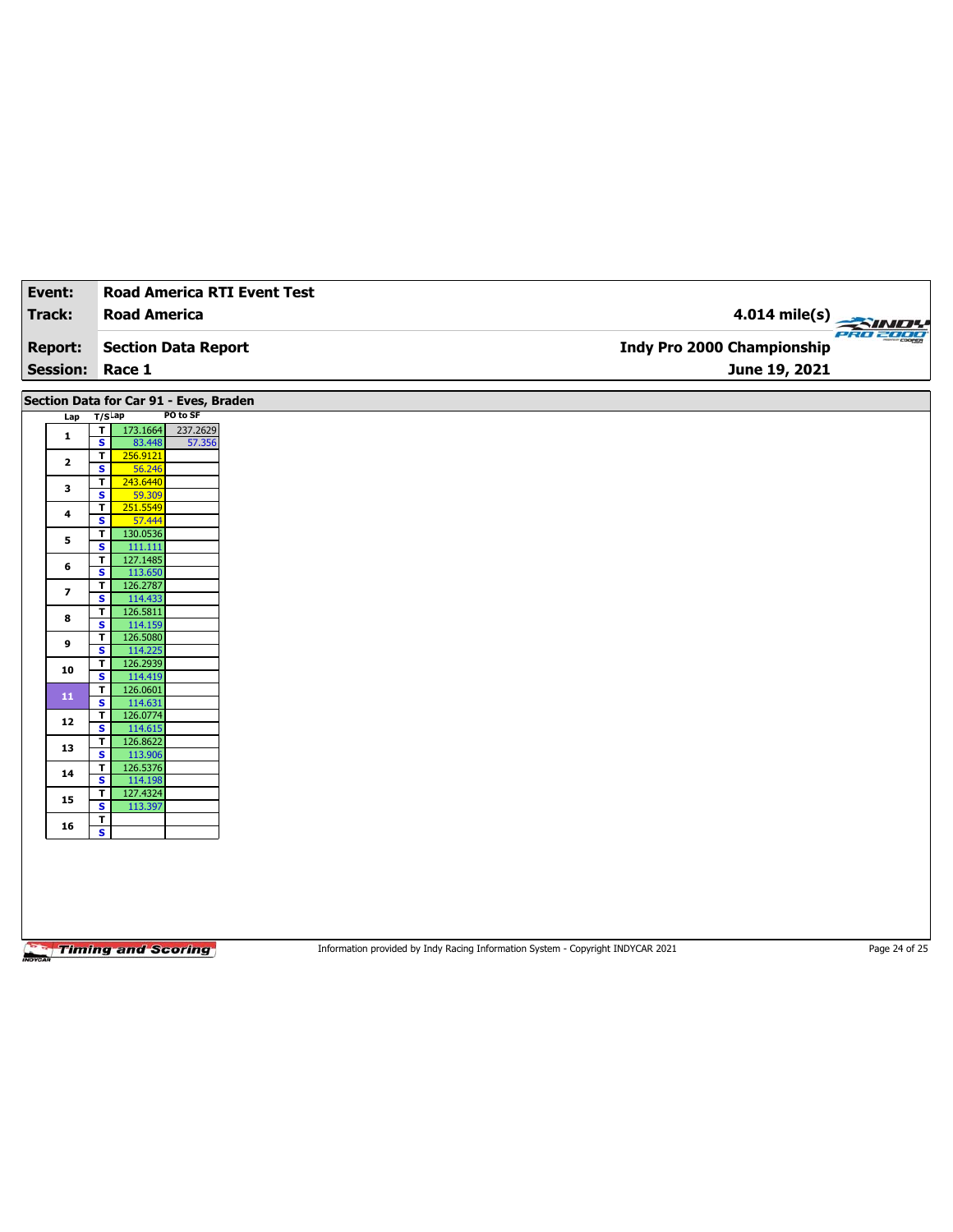| Event:          | <b>Road America RTI Event Test</b>                           |                            |
|-----------------|--------------------------------------------------------------|----------------------------|
| Track:          | <b>Road America</b>                                          | 4.014 mile(s)              |
|                 |                                                              | PRO 2000                   |
| <b>Report:</b>  | <b>Section Data Report</b>                                   | Indy Pro 2000 Championship |
| <b>Session:</b> | Race 1                                                       | June 19, 2021              |
|                 | Section Data for Car 91 - Eves, Braden                       |                            |
| Lap             | PO to SF<br>$T/S$ Lap                                        |                            |
| $\mathbf{1}$    | T.<br>237.2629<br>173.1664                                   |                            |
|                 | $\overline{\mathbf{s}}$<br>83.448<br>57.356<br>T<br>256.9121 |                            |
| $\mathbf{2}$    | S<br>56.246                                                  |                            |
| 3               | $\overline{\mathbf{r}}$<br>243.6440                          |                            |
|                 | $\overline{\mathbf{s}}$<br>59.309<br>T<br>251.5549           |                            |
| 4               | S<br>57.444                                                  |                            |
| 5               | T<br>130.0536                                                |                            |
|                 | $\overline{\mathbf{s}}$<br>111.111<br>127.1485<br>T          |                            |
| 6               | S<br>113.650                                                 |                            |
| 7               | $\overline{\mathbf{r}}$<br>126.2787                          |                            |
|                 | $\overline{\mathbf{s}}$<br>114.433<br>126.5811<br>T          |                            |
| 8               | S<br>114.159                                                 |                            |
| 9               | 126.5080<br>$\mathbf T$                                      |                            |
|                 | $\overline{\mathbf{s}}$<br>114.225<br>126.2939<br>T          |                            |
| 10              | S<br>114.419                                                 |                            |
| 11              | 126.0601<br>$\mathbf T$                                      |                            |
|                 | $\overline{\mathbf{s}}$<br>114.631<br>126.0774<br>T          |                            |
| 12              | S<br>114.615                                                 |                            |
| 13              | 126.8622<br>$\mathbf{T}$                                     |                            |
|                 | $\overline{\mathbf{s}}$<br>113.906<br>126.5376<br>T          |                            |
| 14              | S<br>114.198                                                 |                            |
| 15              | 127.4324<br>$\mathbf{r}$                                     |                            |
|                 | $\overline{\mathbf{s}}$<br>113.397<br>$\overline{1}$         |                            |
| 16              | $\overline{\mathbf{s}}$                                      |                            |
|                 |                                                              |                            |
|                 |                                                              |                            |
|                 |                                                              |                            |
|                 |                                                              |                            |
|                 |                                                              |                            |
|                 |                                                              |                            |

Information provided by Indy Racing Information System - Copyright INDYCAR 2021 Page 24 of 25